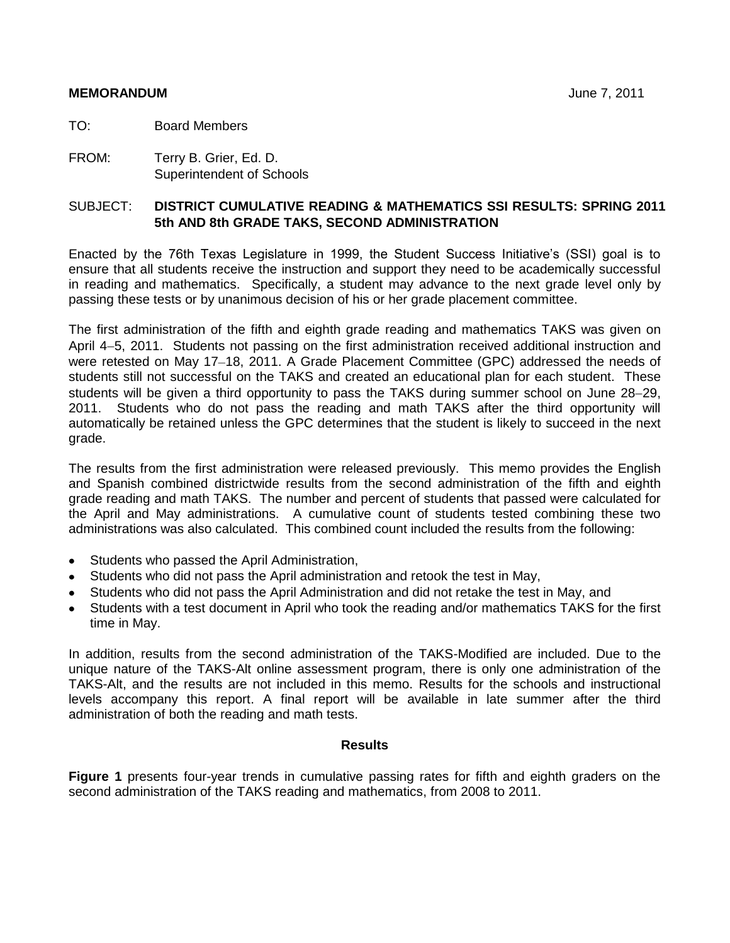#### **MEMORANDUM** June 7, 2011

TO: Board Members

FROM: Terry B. Grier, Ed. D. Superintendent of Schools

#### SUBJECT: **DISTRICT CUMULATIVE READING & MATHEMATICS SSI RESULTS: SPRING 2011 5th AND 8th GRADE TAKS, SECOND ADMINISTRATION**

Enacted by the 76th Texas Legislature in 1999, the Student Success Initiative's (SSI) goal is to ensure that all students receive the instruction and support they need to be academically successful in reading and mathematics. Specifically, a student may advance to the next grade level only by passing these tests or by unanimous decision of his or her grade placement committee.

The first administration of the fifth and eighth grade reading and mathematics TAKS was given on April 4–5, 2011. Students not passing on the first administration received additional instruction and were retested on May 17-18, 2011. A Grade Placement Committee (GPC) addressed the needs of students still not successful on the TAKS and created an educational plan for each student. These students will be given a third opportunity to pass the TAKS during summer school on June 28–29, 2011. Students who do not pass the reading and math TAKS after the third opportunity will automatically be retained unless the GPC determines that the student is likely to succeed in the next grade.

The results from the first administration were released previously. This memo provides the English and Spanish combined districtwide results from the second administration of the fifth and eighth grade reading and math TAKS. The number and percent of students that passed were calculated for the April and May administrations. A cumulative count of students tested combining these two administrations was also calculated. This combined count included the results from the following:

- $\bullet$ Students who passed the April Administration,
- Students who did not pass the April administration and retook the test in May,
- Students who did not pass the April Administration and did not retake the test in May, and
- Students with a test document in April who took the reading and/or mathematics TAKS for the first time in May.

In addition, results from the second administration of the TAKS-Modified are included. Due to the unique nature of the TAKS-Alt online assessment program, there is only one administration of the TAKS-Alt, and the results are not included in this memo. Results for the schools and instructional levels accompany this report. A final report will be available in late summer after the third administration of both the reading and math tests.

#### **Results**

**Figure 1** presents four-year trends in cumulative passing rates for fifth and eighth graders on the second administration of the TAKS reading and mathematics, from 2008 to 2011.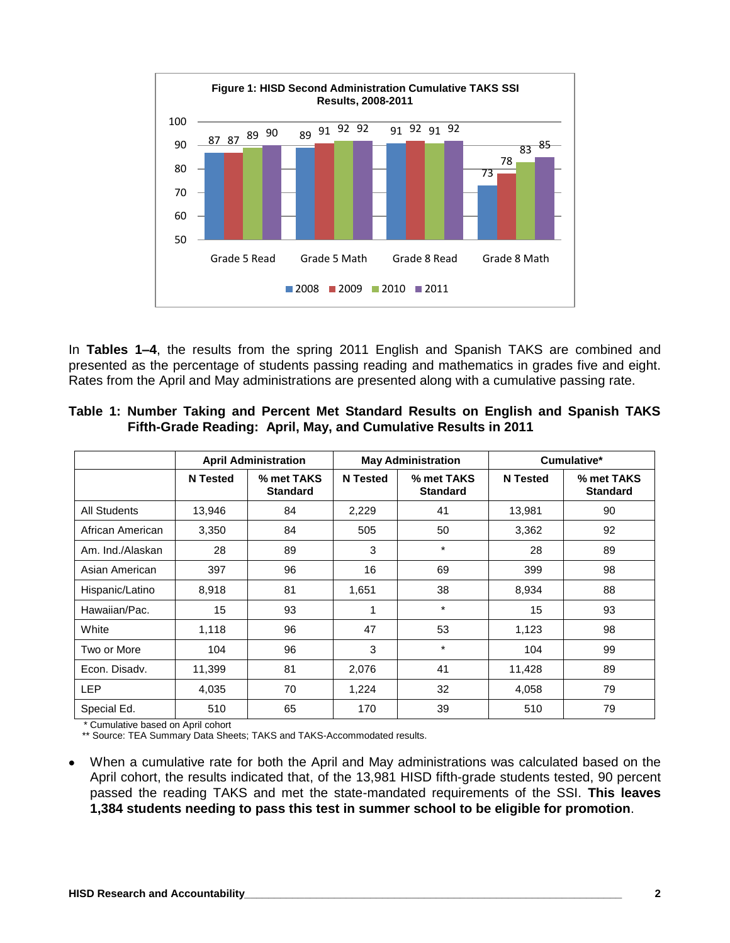

In **Tables 1–4**, the results from the spring 2011 English and Spanish TAKS are combined and presented as the percentage of students passing reading and mathematics in grades five and eight. Rates from the April and May administrations are presented along with a cumulative passing rate.

|  |  |  | Table 1: Number Taking and Percent Met Standard Results on English and Spanish TAKS |  |  |  |
|--|--|--|-------------------------------------------------------------------------------------|--|--|--|
|  |  |  | Fifth-Grade Reading: April, May, and Cumulative Results in 2011                     |  |  |  |

|                     |                 | <b>April Administration</b>   |                 | <b>May Administration</b>     |                 | Cumulative*                   |
|---------------------|-----------------|-------------------------------|-----------------|-------------------------------|-----------------|-------------------------------|
|                     | <b>N</b> Tested | % met TAKS<br><b>Standard</b> | <b>N</b> Tested | % met TAKS<br><b>Standard</b> | <b>N</b> Tested | % met TAKS<br><b>Standard</b> |
| <b>All Students</b> | 13,946          | 84                            | 2,229           | 41                            | 13,981          | 90                            |
| African American    | 3,350           | 84                            | 505             | 50                            | 3,362           | 92                            |
| Am. Ind./Alaskan    | 28              | 89                            | 3               | $\star$                       | 28              | 89                            |
| Asian American      | 397             | 96                            | 16              | 69                            | 399             | 98                            |
| Hispanic/Latino     | 8,918           | 81                            | 1,651           | 38                            | 8,934           | 88                            |
| Hawaiian/Pac.       | 15              | 93                            | 1               | $\star$                       | 15              | 93                            |
| White               | 1,118           | 96                            | 47              | 53                            | 1,123           | 98                            |
| Two or More         | 104             | 96                            | 3               | $\star$                       | 104             | 99                            |
| Econ. Disady.       | 11,399          | 81                            | 2,076           | 41                            | 11,428          | 89                            |
| <b>LEP</b>          | 4,035           | 70                            | 1,224           | 32                            | 4,058           | 79                            |
| Special Ed.         | 510             | 65                            | 170             | 39                            | 510             | 79                            |

\* Cumulative based on April cohort

\*\* Source: TEA Summary Data Sheets; TAKS and TAKS-Accommodated results.

When a cumulative rate for both the April and May administrations was calculated based on the  $\bullet$ April cohort, the results indicated that, of the 13,981 HISD fifth-grade students tested, 90 percent passed the reading TAKS and met the state-mandated requirements of the SSI. **This leaves 1,384 students needing to pass this test in summer school to be eligible for promotion**.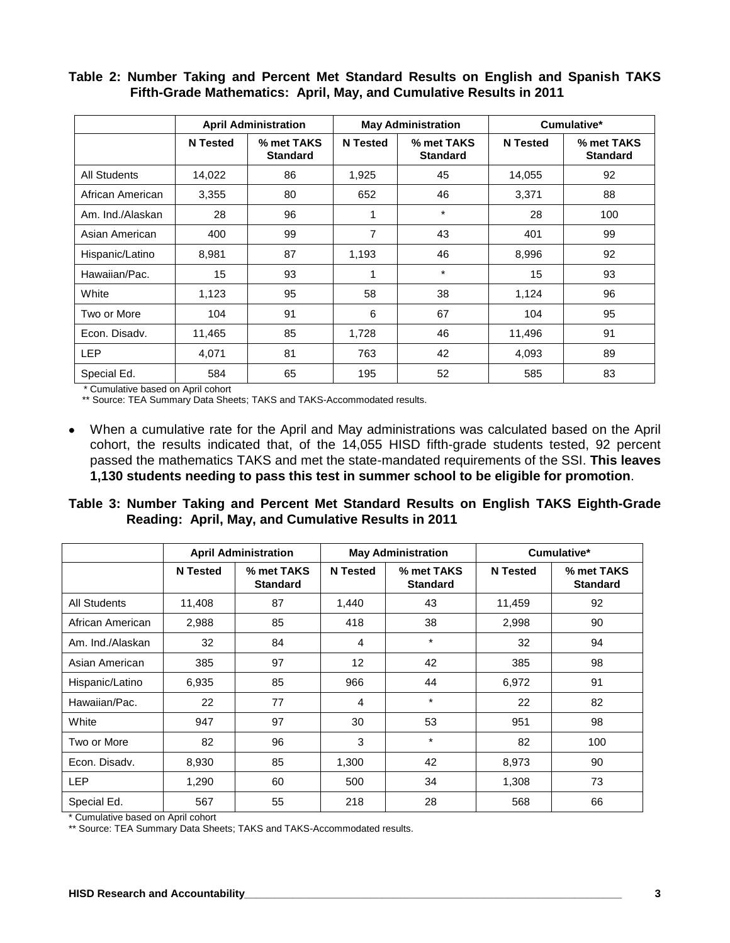#### **Table 2: Number Taking and Percent Met Standard Results on English and Spanish TAKS Fifth-Grade Mathematics: April, May, and Cumulative Results in 2011**

|                  |                 | <b>April Administration</b>   |                 | <b>May Administration</b>     |                 | Cumulative*                   |
|------------------|-----------------|-------------------------------|-----------------|-------------------------------|-----------------|-------------------------------|
|                  | <b>N</b> Tested | % met TAKS<br><b>Standard</b> | <b>N</b> Tested | % met TAKS<br><b>Standard</b> | <b>N</b> Tested | % met TAKS<br><b>Standard</b> |
| All Students     | 14,022          | 86                            | 1,925           | 45                            | 14,055          | 92                            |
| African American | 3,355           | 80                            | 652             | 46                            | 3,371           | 88                            |
| Am. Ind./Alaskan | 28              | 96                            | 1               | $\star$                       | 28              | 100                           |
| Asian American   | 400             | 99                            | 7               | 43                            | 401             | 99                            |
| Hispanic/Latino  | 8,981           | 87                            | 1,193           | 46                            | 8,996           | 92                            |
| Hawaiian/Pac.    | 15              | 93                            | 1               | $\star$                       | 15              | 93                            |
| White            | 1,123           | 95                            | 58              | 38                            | 1,124           | 96                            |
| Two or More      | 104             | 91                            | 6               | 67                            | 104             | 95                            |
| Econ. Disadv.    | 11,465          | 85                            | 1,728           | 46                            | 11,496          | 91                            |
| <b>LEP</b>       | 4,071           | 81                            | 763             | 42                            | 4,093           | 89                            |
| Special Ed.      | 584             | 65                            | 195             | 52                            | 585             | 83                            |

\* Cumulative based on April cohort

\*\* Source: TEA Summary Data Sheets; TAKS and TAKS-Accommodated results.

When a cumulative rate for the April and May administrations was calculated based on the April cohort, the results indicated that, of the 14,055 HISD fifth-grade students tested, 92 percent passed the mathematics TAKS and met the state-mandated requirements of the SSI. **This leaves 1,130 students needing to pass this test in summer school to be eligible for promotion**.

|  |  |  |                                                     |  |  | Table 3: Number Taking and Percent Met Standard Results on English TAKS Eighth-Grade |  |
|--|--|--|-----------------------------------------------------|--|--|--------------------------------------------------------------------------------------|--|
|  |  |  | Reading: April, May, and Cumulative Results in 2011 |  |  |                                                                                      |  |

|                     |                 | <b>April Administration</b>   |                 | <b>May Administration</b>     |                 | Cumulative*                   |
|---------------------|-----------------|-------------------------------|-----------------|-------------------------------|-----------------|-------------------------------|
|                     | <b>N</b> Tested | % met TAKS<br><b>Standard</b> | <b>N</b> Tested | % met TAKS<br><b>Standard</b> | <b>N</b> Tested | % met TAKS<br><b>Standard</b> |
| <b>All Students</b> | 11,408          | 87                            | 1,440           | 43                            | 11,459          | 92                            |
| African American    | 2,988           | 85                            | 418             | 38                            | 2,998           | 90                            |
| Am. Ind./Alaskan    | 32              | 84                            | $\overline{4}$  | $\star$                       | 32              | 94                            |
| Asian American      | 385             | 97                            | 12              | 42                            | 385             | 98                            |
| Hispanic/Latino     | 6,935           | 85                            | 966             | 44                            | 6,972           | 91                            |
| Hawaiian/Pac.       | 22              | 77                            | 4               | $\star$                       | 22              | 82                            |
| White               | 947             | 97                            | 30              | 53                            | 951             | 98                            |
| Two or More         | 82              | 96                            | 3               | $\star$                       | 82              | 100                           |
| Econ. Disadv.       | 8,930           | 85                            | 1,300           | 42                            | 8,973           | 90                            |
| <b>LEP</b>          | 1,290           | 60                            | 500             | 34                            | 1,308           | 73                            |
| Special Ed.         | 567             | 55                            | 218             | 28                            | 568             | 66                            |

\* Cumulative based on April cohort

\*\* Source: TEA Summary Data Sheets; TAKS and TAKS-Accommodated results.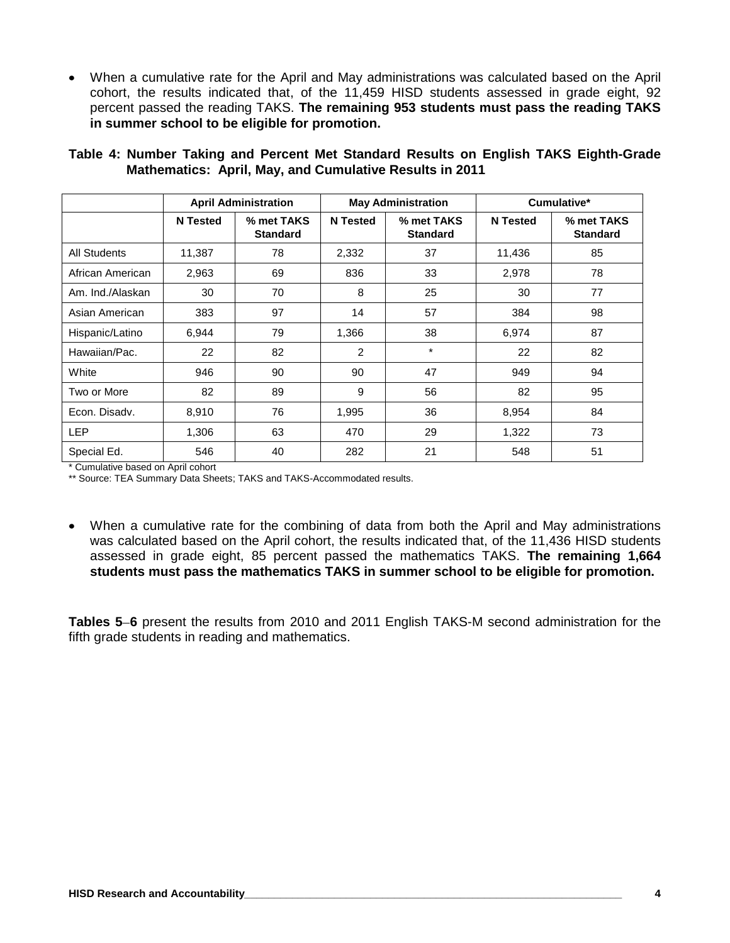When a cumulative rate for the April and May administrations was calculated based on the April cohort, the results indicated that, of the 11,459 HISD students assessed in grade eight, 92 percent passed the reading TAKS. **The remaining 953 students must pass the reading TAKS in summer school to be eligible for promotion.**

|                     |                 | <b>April Administration</b>   |                 | <b>May Administration</b>     |                 | Cumulative*                   |
|---------------------|-----------------|-------------------------------|-----------------|-------------------------------|-----------------|-------------------------------|
|                     | <b>N</b> Tested | % met TAKS<br><b>Standard</b> | <b>N</b> Tested | % met TAKS<br><b>Standard</b> | <b>N</b> Tested | % met TAKS<br><b>Standard</b> |
| <b>All Students</b> | 11.387          | 78                            | 2,332           | 37                            | 11,436          | 85                            |
| African American    | 2,963           | 69                            | 836             | 33                            | 2,978           | 78                            |
| Am. Ind./Alaskan    | 30              | 70                            | 8               | 25                            | 30              | 77                            |
| Asian American      | 383             | 97                            | 14              | 57                            | 384             | 98                            |
| Hispanic/Latino     | 6,944           | 79                            | 1,366           | 38                            | 6,974           | 87                            |
| Hawaiian/Pac.       | 22              | 82                            | $\overline{2}$  | $\star$                       | 22              | 82                            |
| White               | 946             | 90                            | 90              | 47                            | 949             | 94                            |
| Two or More         | 82              | 89                            | 9               | 56                            | 82              | 95                            |
| Econ. Disadv.       | 8,910           | 76                            | 1,995           | 36                            | 8,954           | 84                            |
| <b>LEP</b>          | 1,306           | 63                            | 470             | 29                            | 1,322           | 73                            |
| Special Ed.         | 546             | 40                            | 282             | 21                            | 548             | 51                            |

**Table 4: Number Taking and Percent Met Standard Results on English TAKS Eighth-Grade Mathematics: April, May, and Cumulative Results in 2011**

\* Cumulative based on April cohort

\*\* Source: TEA Summary Data Sheets; TAKS and TAKS-Accommodated results.

When a cumulative rate for the combining of data from both the April and May administrations was calculated based on the April cohort, the results indicated that, of the 11,436 HISD students assessed in grade eight, 85 percent passed the mathematics TAKS. **The remaining 1,664 students must pass the mathematics TAKS in summer school to be eligible for promotion.**

**Tables 5 6** present the results from 2010 and 2011 English TAKS-M second administration for the fifth grade students in reading and mathematics.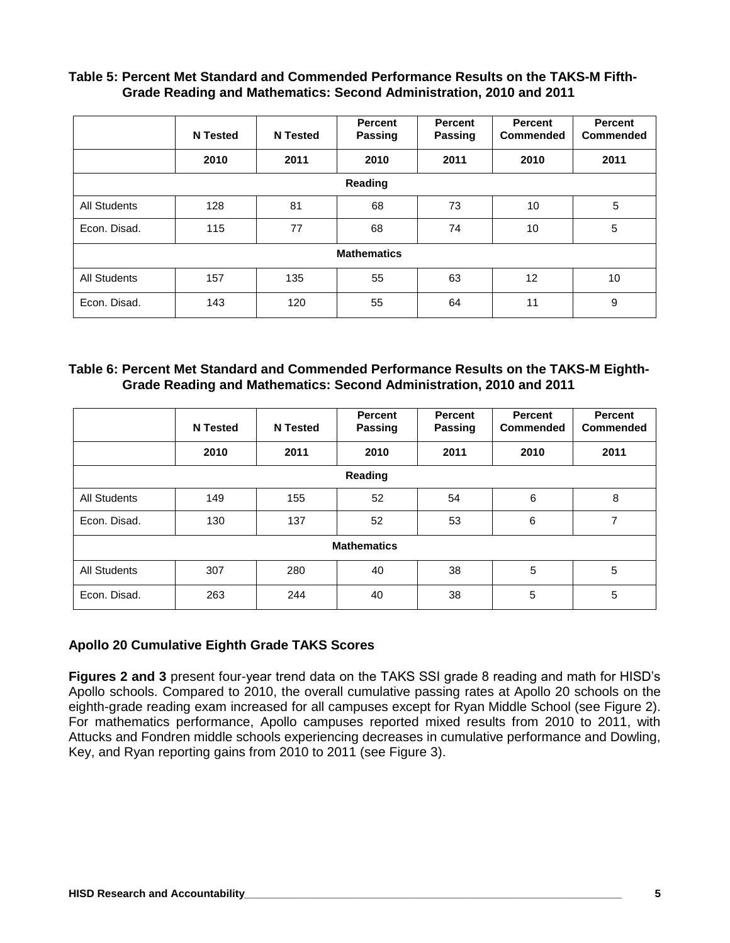#### **Table 5: Percent Met Standard and Commended Performance Results on the TAKS-M Fifth-Grade Reading and Mathematics: Second Administration, 2010 and 2011**

|                     | <b>N</b> Tested | <b>N</b> Tested | <b>Percent</b><br>Passing | Percent<br>Passing | Percent<br>Commended | Percent<br>Commended |
|---------------------|-----------------|-----------------|---------------------------|--------------------|----------------------|----------------------|
|                     | 2010            | 2011            | 2010                      | 2011               | 2010                 | 2011                 |
|                     |                 |                 | Reading                   |                    |                      |                      |
| <b>All Students</b> | 128             | 81              | 68                        | 73                 | 10                   | 5                    |
| Econ. Disad.        | 115             | 77              | 68                        | 74                 | 10                   | 5                    |
|                     |                 |                 | <b>Mathematics</b>        |                    |                      |                      |
| <b>All Students</b> | 157             | 135             | 55                        | 63                 | 12                   | 10                   |
| Econ. Disad.        | 143             | 120             | 55                        | 64                 | 11                   | 9                    |

#### **Table 6: Percent Met Standard and Commended Performance Results on the TAKS-M Eighth-Grade Reading and Mathematics: Second Administration, 2010 and 2011**

|                     | <b>N</b> Tested | <b>N</b> Tested | <b>Percent</b><br><b>Passing</b> | Percent<br>Passing | <b>Percent</b><br>Commended | <b>Percent</b><br>Commended |
|---------------------|-----------------|-----------------|----------------------------------|--------------------|-----------------------------|-----------------------------|
|                     | 2010            | 2011            | 2010                             | 2011               | 2010                        | 2011                        |
|                     |                 |                 | Reading                          |                    |                             |                             |
| <b>All Students</b> | 149             | 155             | 52                               | 54                 | 6                           | 8                           |
| Econ. Disad.        | 130             | 137             | 52                               | 53                 | 6                           | 7                           |
|                     |                 |                 | <b>Mathematics</b>               |                    |                             |                             |
| <b>All Students</b> | 307             | 280             | 40                               | 38                 | 5                           | 5                           |
| Econ. Disad.        | 263             | 244             | 40                               | 38                 | 5                           | 5                           |

#### **Apollo 20 Cumulative Eighth Grade TAKS Scores**

**Figures 2 and 3** present four-year trend data on the TAKS SSI grade 8 reading and math for HISD's Apollo schools. Compared to 2010, the overall cumulative passing rates at Apollo 20 schools on the eighth-grade reading exam increased for all campuses except for Ryan Middle School (see Figure 2). For mathematics performance, Apollo campuses reported mixed results from 2010 to 2011, with Attucks and Fondren middle schools experiencing decreases in cumulative performance and Dowling, Key, and Ryan reporting gains from 2010 to 2011 (see Figure 3).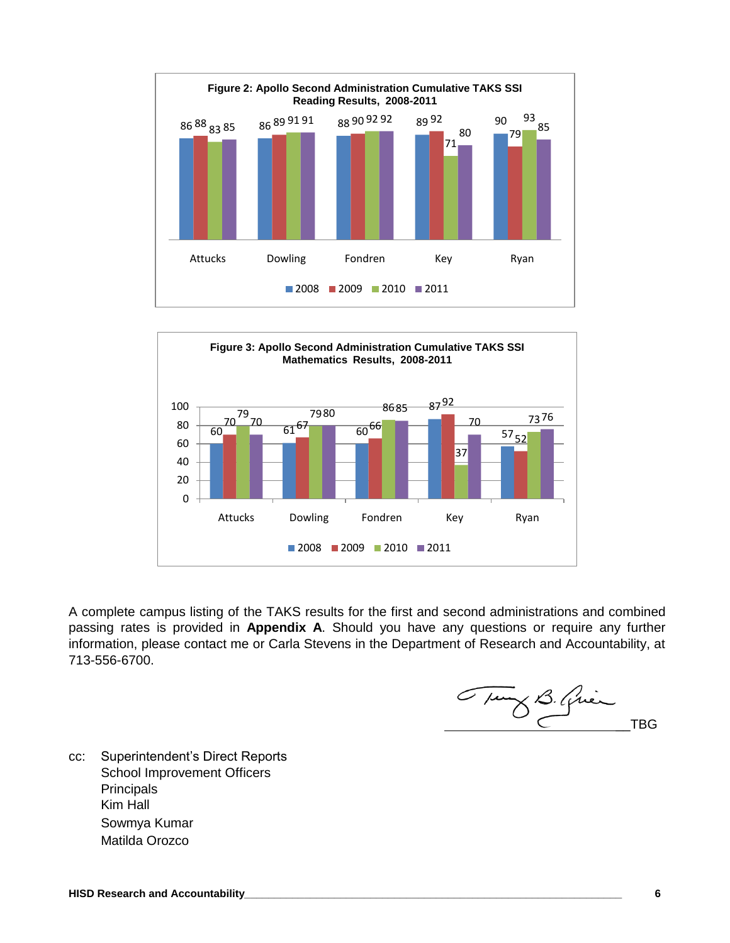



A complete campus listing of the TAKS results for the first and second administrations and combined passing rates is provided in **Appendix A**. Should you have any questions or require any further information, please contact me or Carla Stevens in the Department of Research and Accountability, at 713-556-6700.

Tury B. Quien

cc: Superintendent's Direct Reports School Improvement Officers **Principals** Kim Hall Sowmya Kumar Matilda Orozco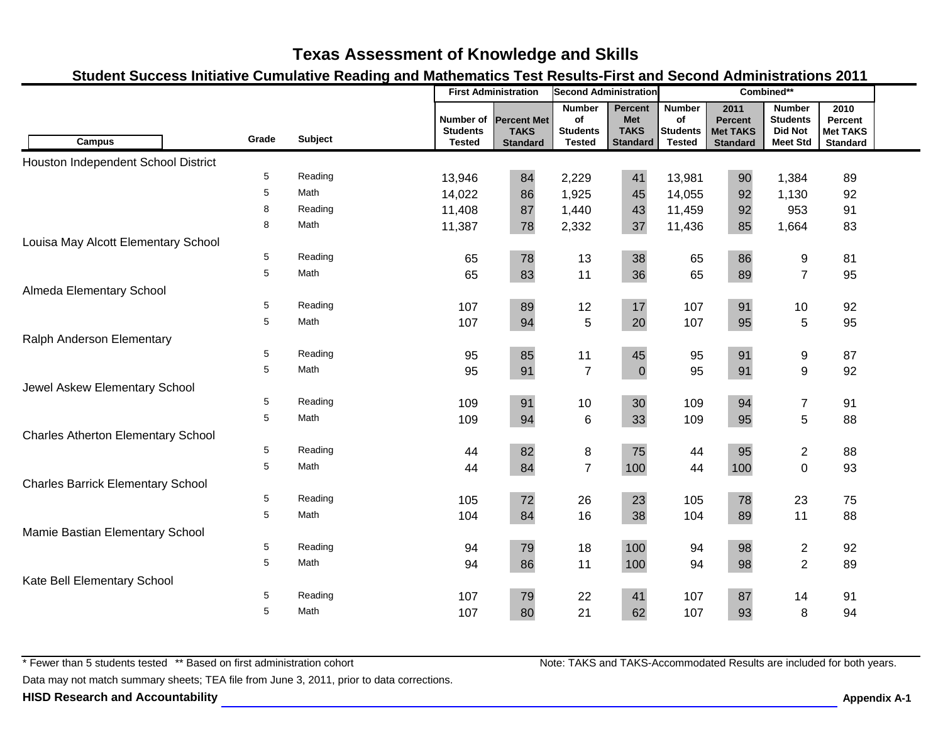### **Student Success Initiative Cumulative Reading and Mathematics Test Results-First and Second Administrations 2011**

|                                           |       |                |                                               | <b>First Administration</b>                          | <b>Second Administration</b>                            |                                                                | Combined**                                              |                                                              |                                                                       |                                                       |  |
|-------------------------------------------|-------|----------------|-----------------------------------------------|------------------------------------------------------|---------------------------------------------------------|----------------------------------------------------------------|---------------------------------------------------------|--------------------------------------------------------------|-----------------------------------------------------------------------|-------------------------------------------------------|--|
| <b>Campus</b>                             | Grade | <b>Subject</b> | Number of<br><b>Students</b><br><b>Tested</b> | <b>Percent Met</b><br><b>TAKS</b><br><b>Standard</b> | <b>Number</b><br>of<br><b>Students</b><br><b>Tested</b> | <b>Percent</b><br><b>Met</b><br><b>TAKS</b><br><b>Standard</b> | <b>Number</b><br>of<br><b>Students</b><br><b>Tested</b> | 2011<br><b>Percent</b><br><b>Met TAKS</b><br><b>Standard</b> | <b>Number</b><br><b>Students</b><br><b>Did Not</b><br><b>Meet Std</b> | 2010<br>Percent<br><b>Met TAKS</b><br><b>Standard</b> |  |
| Houston Independent School District       |       |                |                                               |                                                      |                                                         |                                                                |                                                         |                                                              |                                                                       |                                                       |  |
|                                           | 5     | Reading        | 13,946                                        | 84                                                   | 2,229                                                   | 41                                                             | 13,981                                                  | 90                                                           | 1,384                                                                 | 89                                                    |  |
|                                           | 5     | Math           | 14,022                                        | 86                                                   | 1,925                                                   | 45                                                             | 14,055                                                  | 92                                                           | 1,130                                                                 | 92                                                    |  |
|                                           | 8     | Reading        | 11,408                                        | 87                                                   | 1,440                                                   | 43                                                             | 11,459                                                  | 92                                                           | 953                                                                   | 91                                                    |  |
|                                           | 8     | Math           | 11,387                                        | 78                                                   | 2,332                                                   | 37                                                             | 11,436                                                  | 85                                                           | 1,664                                                                 | 83                                                    |  |
| Louisa May Alcott Elementary School       |       |                |                                               |                                                      |                                                         |                                                                |                                                         |                                                              |                                                                       |                                                       |  |
|                                           | 5     | Reading        | 65                                            | 78                                                   | 13                                                      | 38                                                             | 65                                                      | 86                                                           | $\boldsymbol{9}$                                                      | 81                                                    |  |
|                                           | 5     | Math           | 65                                            | 83                                                   | 11                                                      | 36                                                             | 65                                                      | 89                                                           | $\overline{7}$                                                        | 95                                                    |  |
| Almeda Elementary School                  |       |                |                                               |                                                      |                                                         |                                                                |                                                         |                                                              |                                                                       |                                                       |  |
|                                           | 5     | Reading        | 107                                           | 89                                                   | 12                                                      | 17                                                             | 107                                                     | 91                                                           | 10                                                                    | 92                                                    |  |
|                                           | 5     | Math           | 107                                           | 94                                                   | 5                                                       | 20                                                             | 107                                                     | 95                                                           | 5                                                                     | 95                                                    |  |
| Ralph Anderson Elementary                 |       |                |                                               |                                                      |                                                         |                                                                |                                                         |                                                              |                                                                       |                                                       |  |
|                                           | 5     | Reading        | 95                                            | 85                                                   | 11                                                      | 45                                                             | 95                                                      | 91                                                           | 9                                                                     | 87                                                    |  |
|                                           | 5     | Math           | 95                                            | 91                                                   | $\overline{7}$                                          | $\mathbf 0$                                                    | 95                                                      | 91                                                           | $\boldsymbol{9}$                                                      | 92                                                    |  |
| Jewel Askew Elementary School             |       |                |                                               |                                                      |                                                         |                                                                |                                                         |                                                              |                                                                       |                                                       |  |
|                                           | 5     | Reading        | 109                                           | 91                                                   | 10                                                      | 30                                                             | 109                                                     | 94                                                           | $\overline{7}$                                                        | 91                                                    |  |
|                                           | 5     | Math           | 109                                           | 94                                                   | $\,6$                                                   | 33                                                             | 109                                                     | 95                                                           | 5                                                                     | 88                                                    |  |
| <b>Charles Atherton Elementary School</b> |       |                |                                               |                                                      |                                                         |                                                                |                                                         |                                                              |                                                                       |                                                       |  |
|                                           | 5     | Reading        | 44                                            | 82                                                   | $\,8\,$                                                 | 75                                                             | 44                                                      | 95                                                           | $\overline{2}$                                                        | 88                                                    |  |
|                                           | 5     | Math           | 44                                            | 84                                                   | $\overline{7}$                                          | 100                                                            | 44                                                      | 100                                                          | $\overline{0}$                                                        | 93                                                    |  |
| <b>Charles Barrick Elementary School</b>  |       |                |                                               |                                                      |                                                         |                                                                |                                                         |                                                              |                                                                       |                                                       |  |
|                                           | 5     | Reading        | 105                                           | 72                                                   | 26                                                      | 23                                                             | 105                                                     | 78                                                           | 23                                                                    | 75                                                    |  |
|                                           | 5     | Math           | 104                                           | 84                                                   | 16                                                      | 38                                                             | 104                                                     | 89                                                           | 11                                                                    | 88                                                    |  |
| Mamie Bastian Elementary School           | 5     | Reading        |                                               |                                                      |                                                         | 100                                                            |                                                         |                                                              |                                                                       |                                                       |  |
|                                           | 5     | Math           | 94                                            | 79                                                   | 18                                                      |                                                                | 94                                                      | 98                                                           | $\overline{2}$                                                        | 92                                                    |  |
|                                           |       |                | 94                                            | 86                                                   | 11                                                      | 100                                                            | 94                                                      | 98                                                           | $\overline{2}$                                                        | 89                                                    |  |
| Kate Bell Elementary School               | 5     | Reading        | 107                                           | 79                                                   | 22                                                      | 41                                                             | 107                                                     | 87                                                           | 14                                                                    | 91                                                    |  |
|                                           | 5     | Math           | 107                                           | 80                                                   | 21                                                      | 62                                                             | 107                                                     | 93                                                           | 8                                                                     | 94                                                    |  |
|                                           |       |                |                                               |                                                      |                                                         |                                                                |                                                         |                                                              |                                                                       |                                                       |  |

\* Fewer than 5 students tested \*\* Based on first administration cohort

Data may not match summary sheets; TEA file from June 3, 2011, prior to data corrections.

**HISD Research and Accountability Appendix A-1**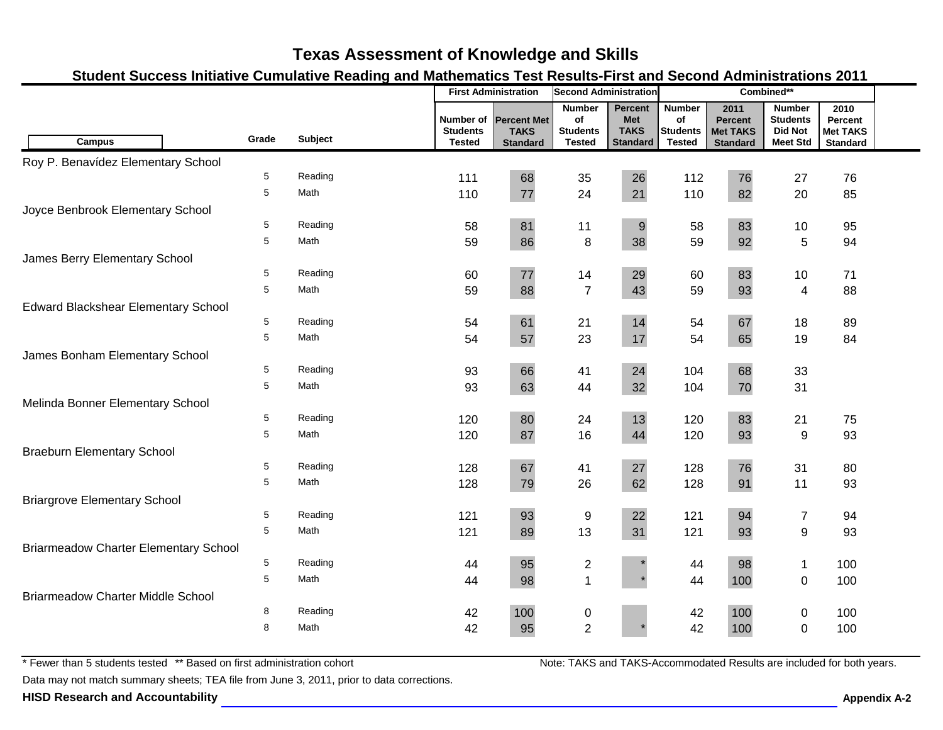### **Student Success Initiative Cumulative Reading and Mathematics Test Results-First and Second Administrations 2011**

| <b>Number</b><br>Percent<br><b>Number</b><br>2011<br>2010<br><b>Number</b><br><b>Students</b><br>Number of<br><b>Percent Met</b><br>of<br><b>Met</b><br>of<br><b>Percent</b><br>Percent<br><b>TAKS</b><br><b>Did Not</b><br><b>Students</b><br><b>TAKS</b><br><b>Students</b><br><b>Students</b><br><b>Met TAKS</b><br><b>Met TAKS</b><br>Grade<br>Subject<br><b>Campus</b><br><b>Standard</b><br><b>Tested</b><br><b>Meet Std</b><br><b>Tested</b><br><b>Standard</b><br><b>Tested</b><br><b>Standard</b><br><b>Standard</b><br>Roy P. Benavídez Elementary School<br>5<br>Reading<br>68<br>26<br>112<br>76<br>111<br>35<br>27<br>76<br>5<br>Math<br>110<br>77<br>24<br>21<br>110<br>82<br>20<br>85<br>Joyce Benbrook Elementary School<br>Reading<br>81<br>83<br>5<br>$\boldsymbol{9}$<br>11<br>58<br>10<br>95<br>58<br>5<br>5<br>Math<br>86<br>$\,8\,$<br>38<br>59<br>92<br>94<br>59<br>James Berry Elementary School<br>5<br>Reading<br>83<br>77<br>29<br>60<br>14<br>60<br>10<br>71<br>5<br>$\overline{7}$<br>88<br>Math<br>59<br>43<br>59<br>93<br>4<br>88<br><b>Edward Blackshear Elementary School</b><br>5<br>Reading<br>61<br>21<br>14<br>67<br>18<br>89<br>54<br>54<br>5<br>57<br>65<br>84<br>Math<br>54<br>23<br>17<br>54<br>19<br>James Bonham Elementary School<br>5<br>Reading<br>66<br>24<br>68<br>33<br>93<br>41<br>104<br>5<br>Math<br>93<br>63<br>44<br>104<br>31<br>32<br>70<br>Melinda Bonner Elementary School<br>5<br>Reading<br>80<br>13<br>83<br>24<br>120<br>21<br>75<br>120<br>5<br>Math<br>87<br>16<br>93<br>9<br>93<br>120<br>44<br>120<br><b>Braeburn Elementary School</b><br>67<br>27<br>5<br>Reading<br>128<br>76<br>128<br>31<br>80<br>41<br>5<br>Math<br>26<br>128<br>128<br>79<br>62<br>91<br>11<br>93<br><b>Briargrove Elementary School</b><br>5<br>Reading<br>93<br>22<br>94<br>121<br>9<br>121<br>$\overline{7}$<br>94<br>5<br>13<br>Math<br>89<br>31<br>$\mathsf g$<br>121<br>121<br>93<br>93<br><b>Briarmeadow Charter Elementary School</b><br>5<br>Reading<br>95<br>98<br>$\overline{\mathbf{c}}$<br>100<br>44<br>44<br>$\mathbf{1}$<br>5<br>Math<br>98<br>$\overline{1}$<br>100<br>44<br>$\boldsymbol{0}$<br>100<br>44<br><b>Briarmeadow Charter Middle School</b><br>8<br>Reading<br>100<br>100<br>100<br>42<br>42<br>0<br>0 |  |  | <b>First Administration</b> |  | <b>Second Administration</b> |  | Combined** |  |  |  |  |
|----------------------------------------------------------------------------------------------------------------------------------------------------------------------------------------------------------------------------------------------------------------------------------------------------------------------------------------------------------------------------------------------------------------------------------------------------------------------------------------------------------------------------------------------------------------------------------------------------------------------------------------------------------------------------------------------------------------------------------------------------------------------------------------------------------------------------------------------------------------------------------------------------------------------------------------------------------------------------------------------------------------------------------------------------------------------------------------------------------------------------------------------------------------------------------------------------------------------------------------------------------------------------------------------------------------------------------------------------------------------------------------------------------------------------------------------------------------------------------------------------------------------------------------------------------------------------------------------------------------------------------------------------------------------------------------------------------------------------------------------------------------------------------------------------------------------------------------------------------------------------------------------------------------------------------------------------------------------------------------------------------------------------------------------------------------------------------------------------------------------------------------------------------------------------------------------------------------------------------------------------------------------------|--|--|-----------------------------|--|------------------------------|--|------------|--|--|--|--|
|                                                                                                                                                                                                                                                                                                                                                                                                                                                                                                                                                                                                                                                                                                                                                                                                                                                                                                                                                                                                                                                                                                                                                                                                                                                                                                                                                                                                                                                                                                                                                                                                                                                                                                                                                                                                                                                                                                                                                                                                                                                                                                                                                                                                                                                                            |  |  |                             |  |                              |  |            |  |  |  |  |
|                                                                                                                                                                                                                                                                                                                                                                                                                                                                                                                                                                                                                                                                                                                                                                                                                                                                                                                                                                                                                                                                                                                                                                                                                                                                                                                                                                                                                                                                                                                                                                                                                                                                                                                                                                                                                                                                                                                                                                                                                                                                                                                                                                                                                                                                            |  |  |                             |  |                              |  |            |  |  |  |  |
|                                                                                                                                                                                                                                                                                                                                                                                                                                                                                                                                                                                                                                                                                                                                                                                                                                                                                                                                                                                                                                                                                                                                                                                                                                                                                                                                                                                                                                                                                                                                                                                                                                                                                                                                                                                                                                                                                                                                                                                                                                                                                                                                                                                                                                                                            |  |  |                             |  |                              |  |            |  |  |  |  |
|                                                                                                                                                                                                                                                                                                                                                                                                                                                                                                                                                                                                                                                                                                                                                                                                                                                                                                                                                                                                                                                                                                                                                                                                                                                                                                                                                                                                                                                                                                                                                                                                                                                                                                                                                                                                                                                                                                                                                                                                                                                                                                                                                                                                                                                                            |  |  |                             |  |                              |  |            |  |  |  |  |
|                                                                                                                                                                                                                                                                                                                                                                                                                                                                                                                                                                                                                                                                                                                                                                                                                                                                                                                                                                                                                                                                                                                                                                                                                                                                                                                                                                                                                                                                                                                                                                                                                                                                                                                                                                                                                                                                                                                                                                                                                                                                                                                                                                                                                                                                            |  |  |                             |  |                              |  |            |  |  |  |  |
|                                                                                                                                                                                                                                                                                                                                                                                                                                                                                                                                                                                                                                                                                                                                                                                                                                                                                                                                                                                                                                                                                                                                                                                                                                                                                                                                                                                                                                                                                                                                                                                                                                                                                                                                                                                                                                                                                                                                                                                                                                                                                                                                                                                                                                                                            |  |  |                             |  |                              |  |            |  |  |  |  |
|                                                                                                                                                                                                                                                                                                                                                                                                                                                                                                                                                                                                                                                                                                                                                                                                                                                                                                                                                                                                                                                                                                                                                                                                                                                                                                                                                                                                                                                                                                                                                                                                                                                                                                                                                                                                                                                                                                                                                                                                                                                                                                                                                                                                                                                                            |  |  |                             |  |                              |  |            |  |  |  |  |
|                                                                                                                                                                                                                                                                                                                                                                                                                                                                                                                                                                                                                                                                                                                                                                                                                                                                                                                                                                                                                                                                                                                                                                                                                                                                                                                                                                                                                                                                                                                                                                                                                                                                                                                                                                                                                                                                                                                                                                                                                                                                                                                                                                                                                                                                            |  |  |                             |  |                              |  |            |  |  |  |  |
|                                                                                                                                                                                                                                                                                                                                                                                                                                                                                                                                                                                                                                                                                                                                                                                                                                                                                                                                                                                                                                                                                                                                                                                                                                                                                                                                                                                                                                                                                                                                                                                                                                                                                                                                                                                                                                                                                                                                                                                                                                                                                                                                                                                                                                                                            |  |  |                             |  |                              |  |            |  |  |  |  |
|                                                                                                                                                                                                                                                                                                                                                                                                                                                                                                                                                                                                                                                                                                                                                                                                                                                                                                                                                                                                                                                                                                                                                                                                                                                                                                                                                                                                                                                                                                                                                                                                                                                                                                                                                                                                                                                                                                                                                                                                                                                                                                                                                                                                                                                                            |  |  |                             |  |                              |  |            |  |  |  |  |
|                                                                                                                                                                                                                                                                                                                                                                                                                                                                                                                                                                                                                                                                                                                                                                                                                                                                                                                                                                                                                                                                                                                                                                                                                                                                                                                                                                                                                                                                                                                                                                                                                                                                                                                                                                                                                                                                                                                                                                                                                                                                                                                                                                                                                                                                            |  |  |                             |  |                              |  |            |  |  |  |  |
|                                                                                                                                                                                                                                                                                                                                                                                                                                                                                                                                                                                                                                                                                                                                                                                                                                                                                                                                                                                                                                                                                                                                                                                                                                                                                                                                                                                                                                                                                                                                                                                                                                                                                                                                                                                                                                                                                                                                                                                                                                                                                                                                                                                                                                                                            |  |  |                             |  |                              |  |            |  |  |  |  |
|                                                                                                                                                                                                                                                                                                                                                                                                                                                                                                                                                                                                                                                                                                                                                                                                                                                                                                                                                                                                                                                                                                                                                                                                                                                                                                                                                                                                                                                                                                                                                                                                                                                                                                                                                                                                                                                                                                                                                                                                                                                                                                                                                                                                                                                                            |  |  |                             |  |                              |  |            |  |  |  |  |
|                                                                                                                                                                                                                                                                                                                                                                                                                                                                                                                                                                                                                                                                                                                                                                                                                                                                                                                                                                                                                                                                                                                                                                                                                                                                                                                                                                                                                                                                                                                                                                                                                                                                                                                                                                                                                                                                                                                                                                                                                                                                                                                                                                                                                                                                            |  |  |                             |  |                              |  |            |  |  |  |  |
|                                                                                                                                                                                                                                                                                                                                                                                                                                                                                                                                                                                                                                                                                                                                                                                                                                                                                                                                                                                                                                                                                                                                                                                                                                                                                                                                                                                                                                                                                                                                                                                                                                                                                                                                                                                                                                                                                                                                                                                                                                                                                                                                                                                                                                                                            |  |  |                             |  |                              |  |            |  |  |  |  |
|                                                                                                                                                                                                                                                                                                                                                                                                                                                                                                                                                                                                                                                                                                                                                                                                                                                                                                                                                                                                                                                                                                                                                                                                                                                                                                                                                                                                                                                                                                                                                                                                                                                                                                                                                                                                                                                                                                                                                                                                                                                                                                                                                                                                                                                                            |  |  |                             |  |                              |  |            |  |  |  |  |
|                                                                                                                                                                                                                                                                                                                                                                                                                                                                                                                                                                                                                                                                                                                                                                                                                                                                                                                                                                                                                                                                                                                                                                                                                                                                                                                                                                                                                                                                                                                                                                                                                                                                                                                                                                                                                                                                                                                                                                                                                                                                                                                                                                                                                                                                            |  |  |                             |  |                              |  |            |  |  |  |  |
|                                                                                                                                                                                                                                                                                                                                                                                                                                                                                                                                                                                                                                                                                                                                                                                                                                                                                                                                                                                                                                                                                                                                                                                                                                                                                                                                                                                                                                                                                                                                                                                                                                                                                                                                                                                                                                                                                                                                                                                                                                                                                                                                                                                                                                                                            |  |  |                             |  |                              |  |            |  |  |  |  |
|                                                                                                                                                                                                                                                                                                                                                                                                                                                                                                                                                                                                                                                                                                                                                                                                                                                                                                                                                                                                                                                                                                                                                                                                                                                                                                                                                                                                                                                                                                                                                                                                                                                                                                                                                                                                                                                                                                                                                                                                                                                                                                                                                                                                                                                                            |  |  |                             |  |                              |  |            |  |  |  |  |
|                                                                                                                                                                                                                                                                                                                                                                                                                                                                                                                                                                                                                                                                                                                                                                                                                                                                                                                                                                                                                                                                                                                                                                                                                                                                                                                                                                                                                                                                                                                                                                                                                                                                                                                                                                                                                                                                                                                                                                                                                                                                                                                                                                                                                                                                            |  |  |                             |  |                              |  |            |  |  |  |  |
|                                                                                                                                                                                                                                                                                                                                                                                                                                                                                                                                                                                                                                                                                                                                                                                                                                                                                                                                                                                                                                                                                                                                                                                                                                                                                                                                                                                                                                                                                                                                                                                                                                                                                                                                                                                                                                                                                                                                                                                                                                                                                                                                                                                                                                                                            |  |  |                             |  |                              |  |            |  |  |  |  |
|                                                                                                                                                                                                                                                                                                                                                                                                                                                                                                                                                                                                                                                                                                                                                                                                                                                                                                                                                                                                                                                                                                                                                                                                                                                                                                                                                                                                                                                                                                                                                                                                                                                                                                                                                                                                                                                                                                                                                                                                                                                                                                                                                                                                                                                                            |  |  |                             |  |                              |  |            |  |  |  |  |
|                                                                                                                                                                                                                                                                                                                                                                                                                                                                                                                                                                                                                                                                                                                                                                                                                                                                                                                                                                                                                                                                                                                                                                                                                                                                                                                                                                                                                                                                                                                                                                                                                                                                                                                                                                                                                                                                                                                                                                                                                                                                                                                                                                                                                                                                            |  |  |                             |  |                              |  |            |  |  |  |  |
|                                                                                                                                                                                                                                                                                                                                                                                                                                                                                                                                                                                                                                                                                                                                                                                                                                                                                                                                                                                                                                                                                                                                                                                                                                                                                                                                                                                                                                                                                                                                                                                                                                                                                                                                                                                                                                                                                                                                                                                                                                                                                                                                                                                                                                                                            |  |  |                             |  |                              |  |            |  |  |  |  |
|                                                                                                                                                                                                                                                                                                                                                                                                                                                                                                                                                                                                                                                                                                                                                                                                                                                                                                                                                                                                                                                                                                                                                                                                                                                                                                                                                                                                                                                                                                                                                                                                                                                                                                                                                                                                                                                                                                                                                                                                                                                                                                                                                                                                                                                                            |  |  |                             |  |                              |  |            |  |  |  |  |
|                                                                                                                                                                                                                                                                                                                                                                                                                                                                                                                                                                                                                                                                                                                                                                                                                                                                                                                                                                                                                                                                                                                                                                                                                                                                                                                                                                                                                                                                                                                                                                                                                                                                                                                                                                                                                                                                                                                                                                                                                                                                                                                                                                                                                                                                            |  |  |                             |  |                              |  |            |  |  |  |  |
|                                                                                                                                                                                                                                                                                                                                                                                                                                                                                                                                                                                                                                                                                                                                                                                                                                                                                                                                                                                                                                                                                                                                                                                                                                                                                                                                                                                                                                                                                                                                                                                                                                                                                                                                                                                                                                                                                                                                                                                                                                                                                                                                                                                                                                                                            |  |  |                             |  |                              |  |            |  |  |  |  |
|                                                                                                                                                                                                                                                                                                                                                                                                                                                                                                                                                                                                                                                                                                                                                                                                                                                                                                                                                                                                                                                                                                                                                                                                                                                                                                                                                                                                                                                                                                                                                                                                                                                                                                                                                                                                                                                                                                                                                                                                                                                                                                                                                                                                                                                                            |  |  |                             |  |                              |  |            |  |  |  |  |
|                                                                                                                                                                                                                                                                                                                                                                                                                                                                                                                                                                                                                                                                                                                                                                                                                                                                                                                                                                                                                                                                                                                                                                                                                                                                                                                                                                                                                                                                                                                                                                                                                                                                                                                                                                                                                                                                                                                                                                                                                                                                                                                                                                                                                                                                            |  |  |                             |  |                              |  |            |  |  |  |  |
|                                                                                                                                                                                                                                                                                                                                                                                                                                                                                                                                                                                                                                                                                                                                                                                                                                                                                                                                                                                                                                                                                                                                                                                                                                                                                                                                                                                                                                                                                                                                                                                                                                                                                                                                                                                                                                                                                                                                                                                                                                                                                                                                                                                                                                                                            |  |  |                             |  |                              |  |            |  |  |  |  |
| $\overline{2}$<br>42<br>8<br>Math<br>42<br>95<br>100<br>$\overline{0}$<br>100                                                                                                                                                                                                                                                                                                                                                                                                                                                                                                                                                                                                                                                                                                                                                                                                                                                                                                                                                                                                                                                                                                                                                                                                                                                                                                                                                                                                                                                                                                                                                                                                                                                                                                                                                                                                                                                                                                                                                                                                                                                                                                                                                                                              |  |  |                             |  |                              |  |            |  |  |  |  |

\* Fewer than 5 students tested \*\* Based on first administration cohort

Data may not match summary sheets; TEA file from June 3, 2011, prior to data corrections.

**HISD Research and Accountability Appendix A-2**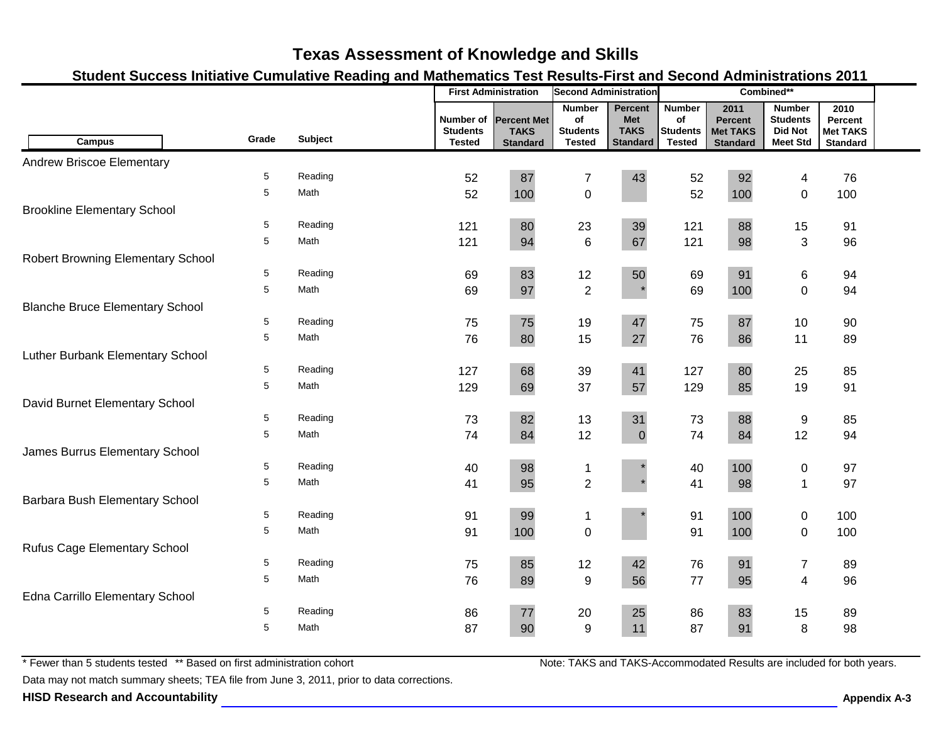### **Student Success Initiative Cumulative Reading and Mathematics Test Results-First and Second Administrations 2011**

|                                          |       |                |                                               | <b>First Administration</b>                          | <b>Second Administration</b>                            |                                                         |                                                         |                                                              | Combined**                                                            |                                                       |  |
|------------------------------------------|-------|----------------|-----------------------------------------------|------------------------------------------------------|---------------------------------------------------------|---------------------------------------------------------|---------------------------------------------------------|--------------------------------------------------------------|-----------------------------------------------------------------------|-------------------------------------------------------|--|
| <b>Campus</b>                            | Grade | <b>Subject</b> | Number of<br><b>Students</b><br><b>Tested</b> | <b>Percent Met</b><br><b>TAKS</b><br><b>Standard</b> | <b>Number</b><br>of<br><b>Students</b><br><b>Tested</b> | Percent<br><b>Met</b><br><b>TAKS</b><br><b>Standard</b> | <b>Number</b><br>of<br><b>Students</b><br><b>Tested</b> | 2011<br><b>Percent</b><br><b>Met TAKS</b><br><b>Standard</b> | <b>Number</b><br><b>Students</b><br><b>Did Not</b><br><b>Meet Std</b> | 2010<br>Percent<br><b>Met TAKS</b><br><b>Standard</b> |  |
| <b>Andrew Briscoe Elementary</b>         |       |                |                                               |                                                      |                                                         |                                                         |                                                         |                                                              |                                                                       |                                                       |  |
|                                          | 5     | Reading        | 52                                            | 87                                                   | $\overline{7}$                                          | 43                                                      | 52                                                      | 92                                                           | 4                                                                     | 76                                                    |  |
|                                          | 5     | Math           | 52                                            | 100                                                  | $\mathbf 0$                                             |                                                         | 52                                                      | 100                                                          | $\mathbf 0$                                                           | 100                                                   |  |
| <b>Brookline Elementary School</b>       |       |                |                                               |                                                      |                                                         |                                                         |                                                         |                                                              |                                                                       |                                                       |  |
|                                          | 5     | Reading        | 121                                           | 80                                                   | 23                                                      | 39                                                      | 121                                                     | 88                                                           | 15                                                                    | 91                                                    |  |
|                                          | 5     | Math           | 121                                           | 94                                                   | $\,6$                                                   | 67                                                      | 121                                                     | 98                                                           | 3                                                                     | 96                                                    |  |
| <b>Robert Browning Elementary School</b> |       |                |                                               |                                                      |                                                         |                                                         |                                                         |                                                              |                                                                       |                                                       |  |
|                                          | 5     | Reading        | 69                                            | 83                                                   | 12                                                      | 50                                                      | 69                                                      | 91                                                           | 6                                                                     | 94                                                    |  |
|                                          | 5     | Math           | 69                                            | 97                                                   | $\overline{2}$                                          |                                                         | 69                                                      | 100                                                          | $\mathbf 0$                                                           | 94                                                    |  |
| <b>Blanche Bruce Elementary School</b>   |       |                |                                               |                                                      |                                                         |                                                         |                                                         |                                                              |                                                                       |                                                       |  |
|                                          | 5     | Reading        | 75                                            | 75                                                   | 19                                                      | 47                                                      | 75                                                      | 87                                                           | 10                                                                    | 90                                                    |  |
|                                          | 5     | Math           | 76                                            | 80                                                   | 15                                                      | 27                                                      | 76                                                      | 86                                                           | 11                                                                    | 89                                                    |  |
| Luther Burbank Elementary School         |       |                |                                               |                                                      |                                                         |                                                         |                                                         |                                                              |                                                                       |                                                       |  |
|                                          | 5     | Reading        | 127                                           | 68                                                   | 39                                                      | 41                                                      | 127                                                     | 80                                                           | 25                                                                    | 85                                                    |  |
|                                          | 5     | Math           | 129                                           | 69                                                   | 37                                                      | 57                                                      | 129                                                     | 85                                                           | 19                                                                    | 91                                                    |  |
| David Burnet Elementary School           |       |                |                                               |                                                      |                                                         |                                                         |                                                         |                                                              |                                                                       |                                                       |  |
|                                          | 5     | Reading        | 73                                            | 82                                                   | 13                                                      | 31                                                      | 73                                                      | 88                                                           | $\boldsymbol{9}$                                                      | 85                                                    |  |
|                                          | 5     | Math           | 74                                            | 84                                                   | 12                                                      | $\mathbf 0$                                             | 74                                                      | 84                                                           | 12                                                                    | 94                                                    |  |
| James Burrus Elementary School           |       |                |                                               |                                                      |                                                         |                                                         |                                                         |                                                              |                                                                       |                                                       |  |
|                                          | 5     | Reading        | 40                                            | 98                                                   | 1                                                       |                                                         | 40                                                      | 100                                                          | 0                                                                     | 97                                                    |  |
|                                          | 5     | Math           | 41                                            | 95                                                   | $\overline{2}$                                          |                                                         | 41                                                      | 98                                                           | $\mathbf{1}$                                                          | 97                                                    |  |
| Barbara Bush Elementary School           |       |                |                                               |                                                      |                                                         |                                                         |                                                         |                                                              |                                                                       |                                                       |  |
|                                          | 5     | Reading        | 91                                            | 99                                                   | $\mathbf 1$                                             |                                                         | 91                                                      | 100                                                          | $\mathbf 0$                                                           | 100                                                   |  |
|                                          | 5     | Math           | 91                                            | 100                                                  | $\mathbf 0$                                             |                                                         | 91                                                      | 100                                                          | $\pmb{0}$                                                             | 100                                                   |  |
| <b>Rufus Cage Elementary School</b>      |       |                |                                               |                                                      |                                                         |                                                         |                                                         |                                                              |                                                                       |                                                       |  |
|                                          | 5     | Reading        | 75                                            | 85                                                   | 12                                                      | 42                                                      | 76                                                      | 91                                                           | $\boldsymbol{7}$                                                      | 89                                                    |  |
|                                          | 5     | Math           | 76                                            | 89                                                   | $\boldsymbol{9}$                                        | 56                                                      | 77                                                      | 95                                                           | 4                                                                     | 96                                                    |  |
| Edna Carrillo Elementary School          |       |                |                                               |                                                      |                                                         |                                                         |                                                         |                                                              |                                                                       |                                                       |  |
|                                          | 5     | Reading        | 86                                            | $77$                                                 | 20                                                      | 25                                                      | 86                                                      | 83                                                           | 15                                                                    | 89                                                    |  |
|                                          | 5     | Math           | 87                                            | 90                                                   | 9                                                       | 11                                                      | 87                                                      | 91                                                           | 8                                                                     | 98                                                    |  |

\* Fewer than 5 students tested \*\* Based on first administration cohort

Data may not match summary sheets; TEA file from June 3, 2011, prior to data corrections.

**HISD Research and Accountability Appendix A-3**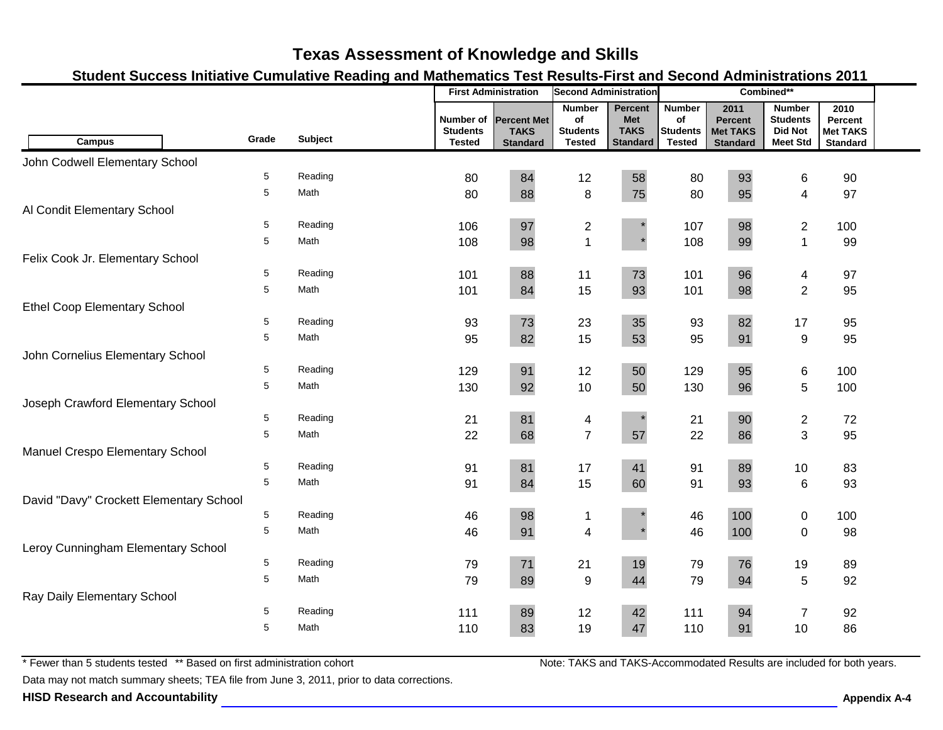### **Student Success Initiative Cumulative Reading and Mathematics Test Results-First and Second Administrations 2011**

|                                         |            |         |                                               | <b>First Administration</b>                          | <b>Second Administration</b>                            |                                                         |                                                         |                                                              | Combined**                                                            |                                                       |  |
|-----------------------------------------|------------|---------|-----------------------------------------------|------------------------------------------------------|---------------------------------------------------------|---------------------------------------------------------|---------------------------------------------------------|--------------------------------------------------------------|-----------------------------------------------------------------------|-------------------------------------------------------|--|
| <b>Campus</b>                           | Grade      | Subject | Number of<br><b>Students</b><br><b>Tested</b> | <b>Percent Met</b><br><b>TAKS</b><br><b>Standard</b> | <b>Number</b><br>of<br><b>Students</b><br><b>Tested</b> | Percent<br><b>Met</b><br><b>TAKS</b><br><b>Standard</b> | <b>Number</b><br>of<br><b>Students</b><br><b>Tested</b> | 2011<br><b>Percent</b><br><b>Met TAKS</b><br><b>Standard</b> | <b>Number</b><br><b>Students</b><br><b>Did Not</b><br><b>Meet Std</b> | 2010<br>Percent<br><b>Met TAKS</b><br><b>Standard</b> |  |
| John Codwell Elementary School          |            |         |                                               |                                                      |                                                         |                                                         |                                                         |                                                              |                                                                       |                                                       |  |
|                                         | 5          | Reading | 80                                            | 84                                                   | 12                                                      | 58                                                      | 80                                                      | 93                                                           | 6                                                                     | 90                                                    |  |
|                                         | 5          | Math    | 80                                            | 88                                                   | 8                                                       | 75                                                      | 80                                                      | 95                                                           | 4                                                                     | 97                                                    |  |
| Al Condit Elementary School             |            |         |                                               |                                                      |                                                         |                                                         |                                                         |                                                              |                                                                       |                                                       |  |
|                                         | 5          | Reading | 106                                           | 97                                                   | $\overline{c}$                                          |                                                         | 107                                                     | 98                                                           | $\overline{c}$                                                        | 100                                                   |  |
|                                         | 5          | Math    | 108                                           | 98                                                   | $\mathbf{1}$                                            |                                                         | 108                                                     | 99                                                           | $\mathbf{1}$                                                          | 99                                                    |  |
| Felix Cook Jr. Elementary School        |            |         |                                               |                                                      |                                                         |                                                         |                                                         |                                                              |                                                                       |                                                       |  |
|                                         | 5          | Reading | 101                                           | 88                                                   | 11                                                      | 73                                                      | 101                                                     | 96                                                           | 4                                                                     | 97                                                    |  |
|                                         | 5          | Math    | 101                                           | 84                                                   | 15                                                      | 93                                                      | 101                                                     | 98                                                           | $\overline{2}$                                                        | 95                                                    |  |
| <b>Ethel Coop Elementary School</b>     |            |         |                                               |                                                      |                                                         |                                                         |                                                         |                                                              |                                                                       |                                                       |  |
|                                         | 5          | Reading | 93                                            | 73                                                   | 23                                                      | 35                                                      | 93                                                      | 82                                                           | 17                                                                    | 95                                                    |  |
|                                         | 5          | Math    | 95                                            | 82                                                   | 15                                                      | 53                                                      | 95                                                      | 91                                                           | $\boldsymbol{9}$                                                      | 95                                                    |  |
| John Cornelius Elementary School        |            |         |                                               |                                                      |                                                         |                                                         |                                                         |                                                              |                                                                       |                                                       |  |
|                                         | 5          | Reading | 129                                           | 91                                                   | 12                                                      | 50                                                      | 129                                                     | 95                                                           | 6                                                                     | 100                                                   |  |
|                                         | 5          | Math    | 130                                           | 92                                                   | 10                                                      | 50                                                      | 130                                                     | 96                                                           | 5                                                                     | 100                                                   |  |
| Joseph Crawford Elementary School       |            |         |                                               |                                                      |                                                         |                                                         |                                                         |                                                              |                                                                       |                                                       |  |
|                                         | 5          | Reading | 21                                            | 81                                                   | 4                                                       |                                                         | 21                                                      | 90                                                           | $\overline{\mathbf{c}}$                                               | 72                                                    |  |
|                                         | 5          | Math    | 22                                            | 68                                                   | $\overline{7}$                                          | 57                                                      | 22                                                      | 86                                                           | 3                                                                     | 95                                                    |  |
| Manuel Crespo Elementary School         |            |         |                                               |                                                      |                                                         |                                                         |                                                         |                                                              |                                                                       |                                                       |  |
|                                         | 5          | Reading | 91                                            | 81                                                   | 17                                                      | 41                                                      | 91                                                      | 89                                                           | 10                                                                    | 83                                                    |  |
|                                         | 5          | Math    | 91                                            | 84                                                   | 15                                                      | 60                                                      | 91                                                      | 93                                                           | 6                                                                     | 93                                                    |  |
| David "Davy" Crockett Elementary School |            |         |                                               |                                                      |                                                         |                                                         |                                                         |                                                              |                                                                       |                                                       |  |
|                                         | $\sqrt{5}$ | Reading | 46                                            | 98                                                   | 1                                                       |                                                         | 46                                                      | 100                                                          | $\pmb{0}$                                                             | 100                                                   |  |
|                                         | $\sqrt{5}$ | Math    | 46                                            | 91                                                   | $\overline{\mathbf{4}}$                                 |                                                         | 46                                                      | 100                                                          | $\pmb{0}$                                                             | 98                                                    |  |
| Leroy Cunningham Elementary School      |            |         |                                               |                                                      |                                                         |                                                         |                                                         |                                                              |                                                                       |                                                       |  |
|                                         | 5          | Reading | 79                                            | 71                                                   | 21                                                      | 19                                                      | 79                                                      | 76                                                           | 19                                                                    | 89                                                    |  |
|                                         | 5          | Math    | 79                                            | 89                                                   | $\boldsymbol{9}$                                        | 44                                                      | 79                                                      | 94                                                           | 5                                                                     | 92                                                    |  |
| Ray Daily Elementary School             |            |         |                                               |                                                      |                                                         |                                                         |                                                         |                                                              |                                                                       |                                                       |  |
|                                         | 5          | Reading | 111                                           | 89                                                   | 12                                                      | 42                                                      | 111                                                     | 94                                                           | $\boldsymbol{7}$                                                      | 92                                                    |  |
|                                         | 5          | Math    | 110                                           | 83                                                   | 19                                                      | 47                                                      | 110                                                     | 91                                                           | 10                                                                    | 86                                                    |  |

\* Fewer than 5 students tested \*\* Based on first administration cohort

Data may not match summary sheets; TEA file from June 3, 2011, prior to data corrections.

**HISD Research and Accountability Appendix A-4**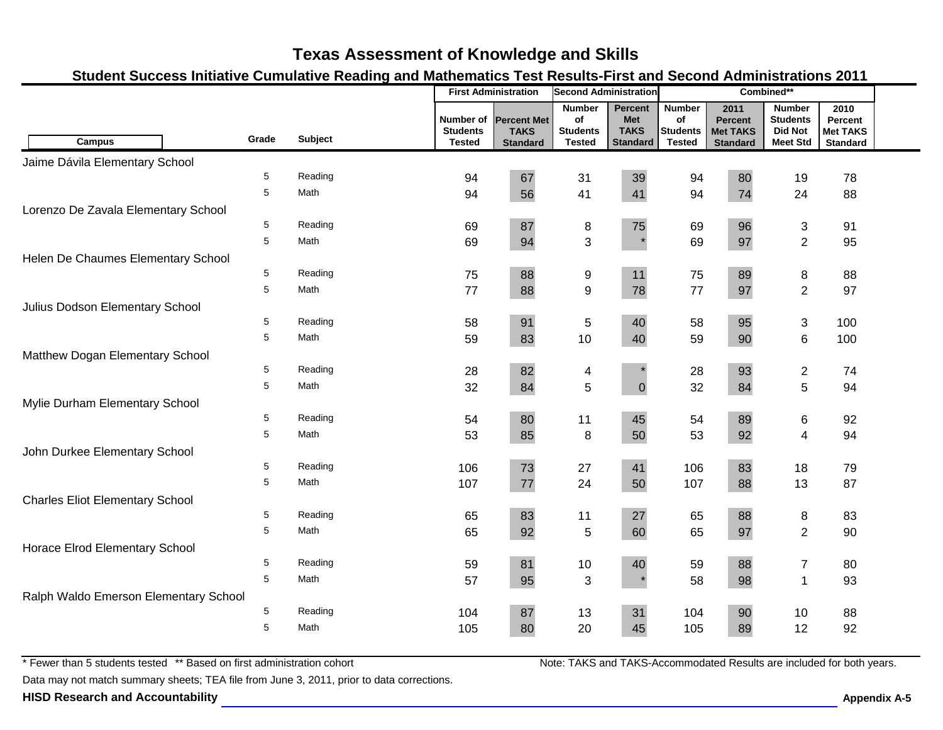### **Student Success Initiative Cumulative Reading and Mathematics Test Results-First and Second Administrations 2011**

|                                        |       |                |                                               | <b>First Administration</b>                          | <b>Second Administration</b>                            |                                                         |                                                         |                                                              | Combined**                                                            |                                                       |  |
|----------------------------------------|-------|----------------|-----------------------------------------------|------------------------------------------------------|---------------------------------------------------------|---------------------------------------------------------|---------------------------------------------------------|--------------------------------------------------------------|-----------------------------------------------------------------------|-------------------------------------------------------|--|
| <b>Campus</b>                          | Grade | <b>Subject</b> | Number of<br><b>Students</b><br><b>Tested</b> | <b>Percent Met</b><br><b>TAKS</b><br><b>Standard</b> | <b>Number</b><br>of<br><b>Students</b><br><b>Tested</b> | Percent<br><b>Met</b><br><b>TAKS</b><br><b>Standard</b> | <b>Number</b><br>of<br><b>Students</b><br><b>Tested</b> | 2011<br><b>Percent</b><br><b>Met TAKS</b><br><b>Standard</b> | <b>Number</b><br><b>Students</b><br><b>Did Not</b><br><b>Meet Std</b> | 2010<br>Percent<br><b>Met TAKS</b><br><b>Standard</b> |  |
| Jaime Dávila Elementary School         |       |                |                                               |                                                      |                                                         |                                                         |                                                         |                                                              |                                                                       |                                                       |  |
|                                        | 5     | Reading        | 94                                            | 67                                                   | 31                                                      | 39                                                      | 94                                                      | 80                                                           | 19                                                                    | 78                                                    |  |
|                                        | 5     | Math           | 94                                            | 56                                                   | 41                                                      | 41                                                      | 94                                                      | 74                                                           | 24                                                                    | 88                                                    |  |
| Lorenzo De Zavala Elementary School    |       |                |                                               |                                                      |                                                         |                                                         |                                                         |                                                              |                                                                       |                                                       |  |
|                                        | 5     | Reading        | 69                                            | 87                                                   | 8                                                       | 75                                                      | 69                                                      | 96                                                           | 3                                                                     | 91                                                    |  |
|                                        | 5     | Math           | 69                                            | 94                                                   | 3                                                       | $\star$                                                 | 69                                                      | 97                                                           | $\overline{2}$                                                        | 95                                                    |  |
| Helen De Chaumes Elementary School     |       |                |                                               |                                                      |                                                         |                                                         |                                                         |                                                              |                                                                       |                                                       |  |
|                                        | 5     | Reading        | 75                                            | 88                                                   | 9                                                       | 11                                                      | 75                                                      | 89                                                           | 8                                                                     | 88                                                    |  |
|                                        | 5     | Math           | 77                                            | 88                                                   | $\boldsymbol{9}$                                        | 78                                                      | 77                                                      | 97                                                           | $\overline{2}$                                                        | 97                                                    |  |
| Julius Dodson Elementary School        |       |                |                                               |                                                      |                                                         |                                                         |                                                         |                                                              |                                                                       |                                                       |  |
|                                        | 5     | Reading        | 58                                            | 91                                                   | 5                                                       | 40                                                      | 58                                                      | 95                                                           | 3                                                                     | 100                                                   |  |
|                                        | 5     | Math           | 59                                            | 83                                                   | 10                                                      | 40                                                      | 59                                                      | 90                                                           | 6                                                                     | 100                                                   |  |
| Matthew Dogan Elementary School        |       |                |                                               |                                                      |                                                         |                                                         |                                                         |                                                              |                                                                       |                                                       |  |
|                                        | 5     | Reading        | 28                                            | 82                                                   | 4                                                       |                                                         | 28                                                      | 93                                                           | $\overline{c}$                                                        | 74                                                    |  |
|                                        | 5     | Math           | 32                                            | 84                                                   | 5                                                       | $\mathbf 0$                                             | 32                                                      | 84                                                           | 5                                                                     | 94                                                    |  |
| Mylie Durham Elementary School         |       |                |                                               |                                                      |                                                         |                                                         |                                                         |                                                              |                                                                       |                                                       |  |
|                                        | 5     | Reading        | 54                                            | 80                                                   | 11                                                      | 45                                                      | 54                                                      | 89                                                           | 6                                                                     | 92                                                    |  |
|                                        | 5     | Math           | 53                                            | 85                                                   | 8                                                       | 50                                                      | 53                                                      | 92                                                           | 4                                                                     | 94                                                    |  |
| John Durkee Elementary School          |       |                |                                               |                                                      |                                                         |                                                         |                                                         |                                                              |                                                                       |                                                       |  |
|                                        | 5     | Reading        | 106                                           | 73                                                   | 27                                                      | 41                                                      | 106                                                     | 83                                                           | 18                                                                    | 79                                                    |  |
|                                        | 5     | Math           | 107                                           | 77                                                   | 24                                                      | 50                                                      | 107                                                     | 88                                                           | 13                                                                    | 87                                                    |  |
| <b>Charles Eliot Elementary School</b> |       |                |                                               |                                                      |                                                         |                                                         |                                                         |                                                              |                                                                       |                                                       |  |
|                                        | 5     | Reading        | 65                                            | 83                                                   | 11                                                      | 27                                                      | 65                                                      | 88                                                           | 8                                                                     | 83                                                    |  |
|                                        | 5     | Math           | 65                                            | 92                                                   | 5                                                       | 60                                                      | 65                                                      | 97                                                           | $\overline{2}$                                                        | 90                                                    |  |
| Horace Elrod Elementary School         |       |                |                                               |                                                      |                                                         |                                                         |                                                         |                                                              |                                                                       |                                                       |  |
|                                        | 5     | Reading        | 59                                            | 81                                                   | 10                                                      | 40                                                      | 59                                                      | 88                                                           | $\overline{7}$                                                        | 80                                                    |  |
|                                        | 5     | Math           | 57                                            | 95                                                   | 3                                                       |                                                         | 58                                                      | 98                                                           | $\mathbf 1$                                                           | 93                                                    |  |
| Ralph Waldo Emerson Elementary School  |       |                |                                               |                                                      |                                                         |                                                         |                                                         |                                                              |                                                                       |                                                       |  |
|                                        | 5     | Reading        | 104                                           | 87                                                   | 13                                                      | 31                                                      | 104                                                     | 90                                                           | 10                                                                    | 88                                                    |  |
|                                        | 5     | Math           | 105                                           | 80                                                   | 20                                                      | 45                                                      | 105                                                     | 89                                                           | 12                                                                    | 92                                                    |  |

\* Fewer than 5 students tested \*\* Based on first administration cohort

Data may not match summary sheets; TEA file from June 3, 2011, prior to data corrections.

**HISD Research and Accountability Appendix A-5**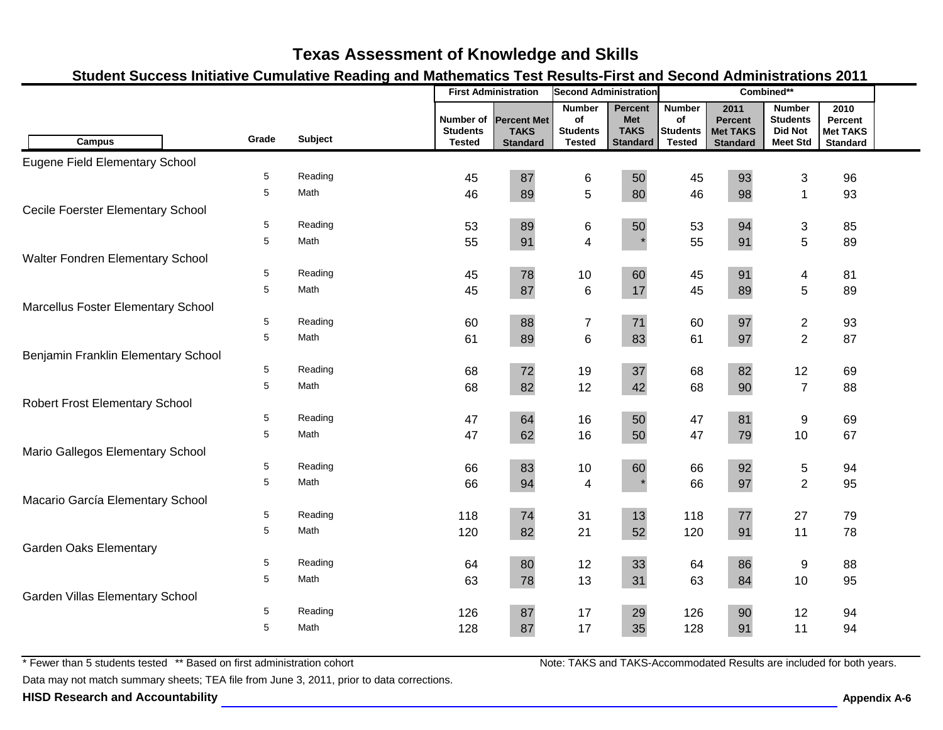### **Student Success Initiative Cumulative Reading and Mathematics Test Results-First and Second Administrations 2011**

|                                        |       |                | <b>First Administration</b><br><b>Second Administration</b> |                                                      | Combined**                                              |                                                         |                                                         |                                                              |                                                                       |                                                       |  |
|----------------------------------------|-------|----------------|-------------------------------------------------------------|------------------------------------------------------|---------------------------------------------------------|---------------------------------------------------------|---------------------------------------------------------|--------------------------------------------------------------|-----------------------------------------------------------------------|-------------------------------------------------------|--|
| <b>Campus</b>                          | Grade | <b>Subject</b> | Number of<br><b>Students</b><br><b>Tested</b>               | <b>Percent Met</b><br><b>TAKS</b><br><b>Standard</b> | <b>Number</b><br>of<br><b>Students</b><br><b>Tested</b> | Percent<br><b>Met</b><br><b>TAKS</b><br><b>Standard</b> | <b>Number</b><br>of<br><b>Students</b><br><b>Tested</b> | 2011<br><b>Percent</b><br><b>Met TAKS</b><br><b>Standard</b> | <b>Number</b><br><b>Students</b><br><b>Did Not</b><br><b>Meet Std</b> | 2010<br>Percent<br><b>Met TAKS</b><br><b>Standard</b> |  |
| Eugene Field Elementary School         |       |                |                                                             |                                                      |                                                         |                                                         |                                                         |                                                              |                                                                       |                                                       |  |
|                                        | 5     | Reading        | 45                                                          | 87                                                   | 6                                                       | 50                                                      | 45                                                      | 93                                                           | 3                                                                     | 96                                                    |  |
|                                        | 5     | Math           | 46                                                          | 89                                                   | 5                                                       | 80                                                      | 46                                                      | 98                                                           | $\mathbf{1}$                                                          | 93                                                    |  |
| Cecile Foerster Elementary School      |       |                |                                                             |                                                      |                                                         |                                                         |                                                         |                                                              |                                                                       |                                                       |  |
|                                        | 5     | Reading        | 53                                                          | 89                                                   | 6                                                       | 50                                                      | 53                                                      | 94                                                           | $\mathfrak{S}$                                                        | 85                                                    |  |
|                                        | 5     | Math           | 55                                                          | 91                                                   | $\overline{\mathbf{4}}$                                 |                                                         | 55                                                      | 91                                                           | 5                                                                     | 89                                                    |  |
| Walter Fondren Elementary School       |       |                |                                                             |                                                      |                                                         |                                                         |                                                         |                                                              |                                                                       |                                                       |  |
|                                        | 5     | Reading        | 45                                                          | 78                                                   | 10                                                      | 60                                                      | 45                                                      | 91                                                           | 4                                                                     | 81                                                    |  |
|                                        | 5     | Math           | 45                                                          | 87                                                   | $\,6\,$                                                 | 17                                                      | 45                                                      | 89                                                           | 5                                                                     | 89                                                    |  |
| Marcellus Foster Elementary School     |       |                |                                                             |                                                      |                                                         |                                                         |                                                         |                                                              |                                                                       |                                                       |  |
|                                        | 5     | Reading        | 60                                                          | 88                                                   | $\boldsymbol{7}$                                        | 71                                                      | 60                                                      | 97                                                           | $\mathbf{2}$                                                          | 93                                                    |  |
|                                        | 5     | Math           | 61                                                          | 89                                                   | $6\phantom{1}$                                          | 83                                                      | 61                                                      | 97                                                           | $\overline{2}$                                                        | 87                                                    |  |
| Benjamin Franklin Elementary School    |       |                |                                                             |                                                      |                                                         |                                                         |                                                         |                                                              |                                                                       |                                                       |  |
|                                        | 5     | Reading        | 68                                                          | 72                                                   | 19                                                      | 37                                                      | 68                                                      | 82                                                           | 12                                                                    | 69                                                    |  |
|                                        | 5     | Math           | 68                                                          | 82                                                   | 12                                                      | 42                                                      | 68                                                      | 90                                                           | $\overline{7}$                                                        | 88                                                    |  |
| <b>Robert Frost Elementary School</b>  |       |                |                                                             |                                                      |                                                         |                                                         |                                                         |                                                              |                                                                       |                                                       |  |
|                                        | 5     | Reading        | 47                                                          | 64                                                   | 16                                                      | 50                                                      | 47                                                      | 81                                                           | 9                                                                     | 69                                                    |  |
|                                        | 5     | Math           | 47                                                          | 62                                                   | 16                                                      | 50                                                      | 47                                                      | 79                                                           | 10                                                                    | 67                                                    |  |
| Mario Gallegos Elementary School       |       |                |                                                             |                                                      |                                                         |                                                         |                                                         |                                                              |                                                                       |                                                       |  |
|                                        | 5     | Reading        | 66                                                          | 83                                                   | 10                                                      | 60                                                      | 66                                                      | 92                                                           | $\,$ 5 $\,$                                                           | 94                                                    |  |
|                                        | 5     | Math           | 66                                                          | 94                                                   | $\overline{\mathbf{4}}$                                 |                                                         | 66                                                      | 97                                                           | $\overline{2}$                                                        | 95                                                    |  |
| Macario García Elementary School       |       |                |                                                             |                                                      |                                                         |                                                         |                                                         |                                                              |                                                                       |                                                       |  |
|                                        | 5     | Reading        | 118                                                         | 74                                                   | 31                                                      | 13                                                      | 118                                                     | 77                                                           | 27                                                                    | 79                                                    |  |
|                                        | 5     | Math           | 120                                                         | 82                                                   | 21                                                      | 52                                                      | 120                                                     | 91                                                           | 11                                                                    | 78                                                    |  |
| <b>Garden Oaks Elementary</b>          |       |                |                                                             |                                                      |                                                         |                                                         |                                                         |                                                              |                                                                       |                                                       |  |
|                                        | 5     | Reading        | 64                                                          | 80                                                   | 12                                                      | 33                                                      | 64                                                      | 86                                                           | 9                                                                     | 88                                                    |  |
|                                        | 5     | Math           | 63                                                          | 78                                                   | 13                                                      | 31                                                      | 63                                                      | 84                                                           | 10                                                                    | 95                                                    |  |
| <b>Garden Villas Elementary School</b> |       |                |                                                             |                                                      |                                                         |                                                         |                                                         |                                                              |                                                                       |                                                       |  |
|                                        | 5     | Reading        | 126                                                         | 87                                                   | 17                                                      | 29                                                      | 126                                                     | 90                                                           | 12                                                                    | 94                                                    |  |
|                                        | 5     | Math           | 128                                                         | 87                                                   | 17                                                      | 35                                                      | 128                                                     | 91                                                           | 11                                                                    | 94                                                    |  |

\* Fewer than 5 students tested \*\* Based on first administration cohort

Data may not match summary sheets; TEA file from June 3, 2011, prior to data corrections.

**HISD Research and Accountability Appendix A-6**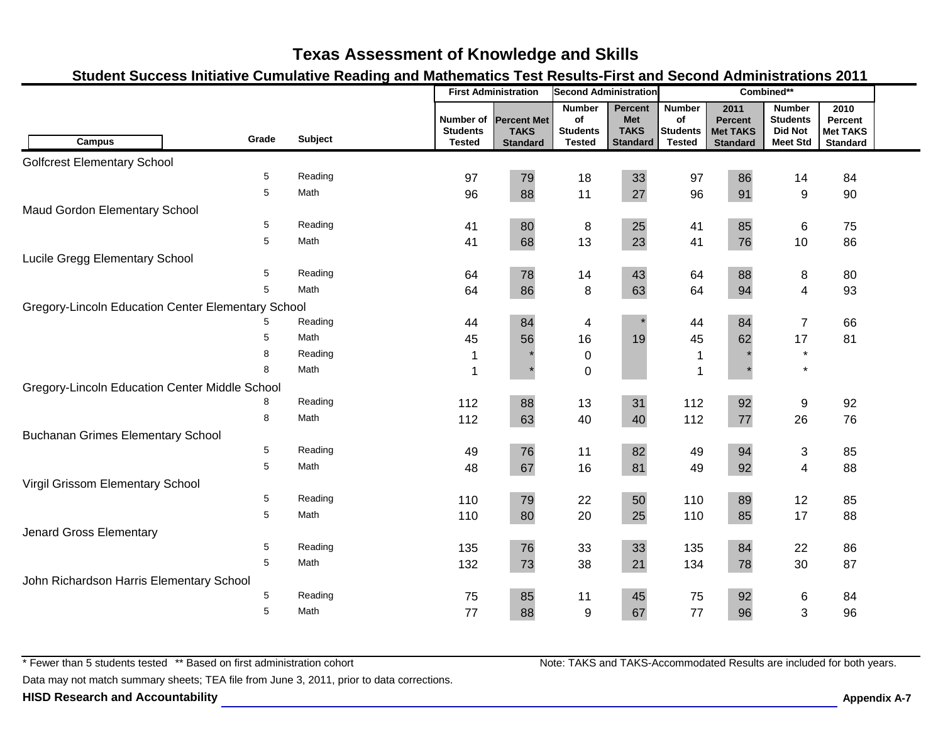### **Student Success Initiative Cumulative Reading and Mathematics Test Results-First and Second Administrations 2011**

|                                                    |       |         |                                               | <b>First Administration</b>                          | <b>Second Administration</b>                            |                                                         |                                                         |                                                              | Combined**                                                            |                                                       |  |
|----------------------------------------------------|-------|---------|-----------------------------------------------|------------------------------------------------------|---------------------------------------------------------|---------------------------------------------------------|---------------------------------------------------------|--------------------------------------------------------------|-----------------------------------------------------------------------|-------------------------------------------------------|--|
| Campus                                             | Grade | Subject | Number of<br><b>Students</b><br><b>Tested</b> | <b>Percent Met</b><br><b>TAKS</b><br><b>Standard</b> | <b>Number</b><br>of<br><b>Students</b><br><b>Tested</b> | <b>Percent</b><br>Met<br><b>TAKS</b><br><b>Standard</b> | <b>Number</b><br>of<br><b>Students</b><br><b>Tested</b> | 2011<br><b>Percent</b><br><b>Met TAKS</b><br><b>Standard</b> | <b>Number</b><br><b>Students</b><br><b>Did Not</b><br><b>Meet Std</b> | 2010<br>Percent<br><b>Met TAKS</b><br><b>Standard</b> |  |
| <b>Golfcrest Elementary School</b>                 |       |         |                                               |                                                      |                                                         |                                                         |                                                         |                                                              |                                                                       |                                                       |  |
|                                                    | 5     | Reading | 97                                            | 79                                                   | 18                                                      | 33                                                      | 97                                                      | 86                                                           | 14                                                                    | 84                                                    |  |
|                                                    | 5     | Math    | 96                                            | 88                                                   | 11                                                      | 27                                                      | 96                                                      | 91                                                           | 9                                                                     | 90                                                    |  |
| Maud Gordon Elementary School                      |       |         |                                               |                                                      |                                                         |                                                         |                                                         |                                                              |                                                                       |                                                       |  |
|                                                    | 5     | Reading | 41                                            | 80                                                   | 8                                                       | 25                                                      | 41                                                      | 85                                                           | 6                                                                     | 75                                                    |  |
|                                                    | 5     | Math    | 41                                            | 68                                                   | 13                                                      | 23                                                      | 41                                                      | 76                                                           | 10                                                                    | 86                                                    |  |
| Lucile Gregg Elementary School                     |       |         |                                               |                                                      |                                                         |                                                         |                                                         |                                                              |                                                                       |                                                       |  |
|                                                    | 5     | Reading | 64                                            | 78                                                   | 14                                                      | 43                                                      | 64                                                      | 88                                                           | 8                                                                     | 80                                                    |  |
|                                                    | 5     | Math    | 64                                            | 86                                                   | 8                                                       | 63                                                      | 64                                                      | 94                                                           | $\overline{4}$                                                        | 93                                                    |  |
| Gregory-Lincoln Education Center Elementary School |       |         |                                               |                                                      |                                                         |                                                         |                                                         |                                                              |                                                                       |                                                       |  |
|                                                    |       | Reading | 44                                            | 84                                                   | 4                                                       |                                                         | 44                                                      | 84                                                           | $\overline{7}$                                                        | 66                                                    |  |
|                                                    | 5     | Math    | 45                                            | 56                                                   | 16                                                      | 19                                                      | 45                                                      | 62                                                           | 17                                                                    | 81                                                    |  |
|                                                    | 8     | Reading | 1                                             |                                                      | $\pmb{0}$                                               |                                                         | $\mathbf 1$                                             |                                                              | $\star$                                                               |                                                       |  |
|                                                    | 8     | Math    | 1                                             |                                                      | $\pmb{0}$                                               |                                                         | $\mathbf{1}$                                            |                                                              | $\star$                                                               |                                                       |  |
| Gregory-Lincoln Education Center Middle School     |       |         |                                               |                                                      |                                                         |                                                         |                                                         |                                                              |                                                                       |                                                       |  |
|                                                    | 8     | Reading | 112                                           | 88                                                   | 13                                                      | 31                                                      | 112                                                     | 92                                                           | 9                                                                     | 92                                                    |  |
|                                                    | 8     | Math    | 112                                           | 63                                                   | 40                                                      | 40                                                      | 112                                                     | 77                                                           | 26                                                                    | 76                                                    |  |
| <b>Buchanan Grimes Elementary School</b>           |       |         |                                               |                                                      |                                                         |                                                         |                                                         |                                                              |                                                                       |                                                       |  |
|                                                    | 5     | Reading | 49                                            | 76                                                   | 11                                                      | 82                                                      | 49                                                      | 94                                                           | $\sqrt{3}$                                                            | 85                                                    |  |
|                                                    | 5     | Math    | 48                                            | 67                                                   | 16                                                      | 81                                                      | 49                                                      | 92                                                           | $\overline{4}$                                                        | 88                                                    |  |
| Virgil Grissom Elementary School                   |       |         |                                               |                                                      |                                                         |                                                         |                                                         |                                                              |                                                                       |                                                       |  |
|                                                    | 5     | Reading | 110                                           | 79                                                   | 22                                                      | 50                                                      | 110                                                     | 89                                                           | 12                                                                    | 85                                                    |  |
|                                                    | 5     | Math    | 110                                           | 80                                                   | 20                                                      | 25                                                      | 110                                                     | 85                                                           | 17                                                                    | 88                                                    |  |
| Jenard Gross Elementary                            |       |         |                                               |                                                      |                                                         |                                                         |                                                         |                                                              |                                                                       |                                                       |  |
|                                                    | 5     | Reading | 135                                           | 76                                                   | 33                                                      | 33                                                      | 135                                                     | 84                                                           | 22                                                                    | 86                                                    |  |
|                                                    | 5     | Math    | 132                                           | 73                                                   | 38                                                      | 21                                                      | 134                                                     | 78                                                           | 30                                                                    | 87                                                    |  |
| John Richardson Harris Elementary School           |       |         |                                               |                                                      |                                                         |                                                         |                                                         |                                                              |                                                                       |                                                       |  |
|                                                    | 5     | Reading | 75                                            | 85                                                   | 11                                                      | 45                                                      | 75                                                      | 92                                                           | 6                                                                     | 84                                                    |  |
|                                                    | 5     | Math    | 77                                            | 88                                                   | $9\,$                                                   | 67                                                      | 77                                                      | 96                                                           | 3                                                                     | 96                                                    |  |

\* Fewer than 5 students tested \*\* Based on first administration cohort

Data may not match summary sheets; TEA file from June 3, 2011, prior to data corrections.

**HISD Research and Accountability Appendix A-7**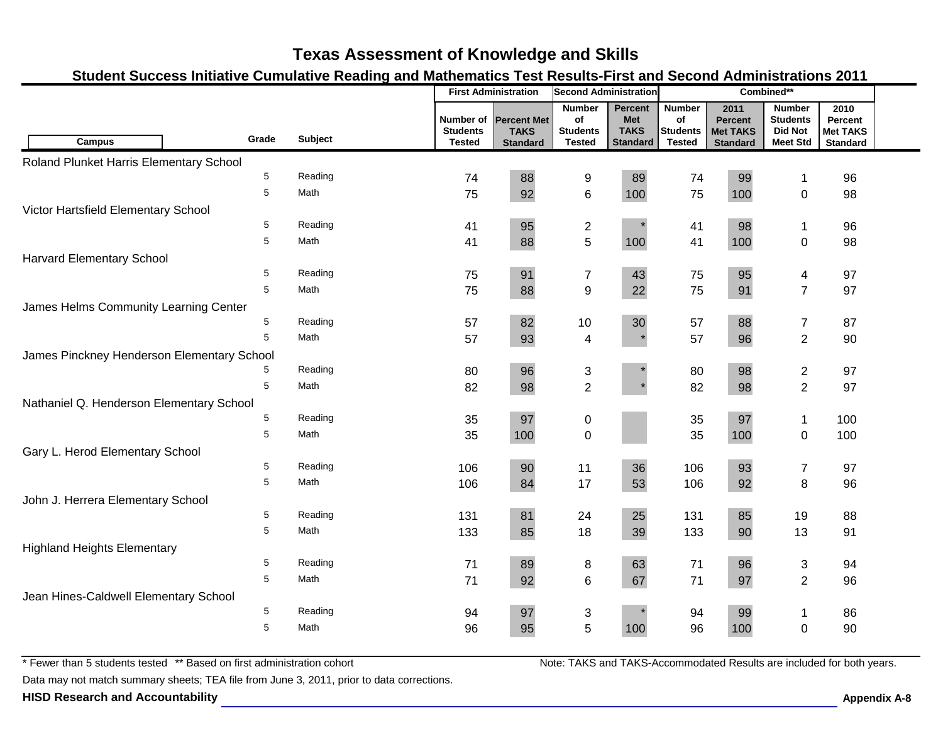### **Student Success Initiative Cumulative Reading and Mathematics Test Results-First and Second Administrations 2011**

|                                            |       |         |                                               | <b>First Administration</b>                          | <b>Second Administration</b>                            |                                                                |                                                         |                                                              | Combined**                                                            |                                                       |  |
|--------------------------------------------|-------|---------|-----------------------------------------------|------------------------------------------------------|---------------------------------------------------------|----------------------------------------------------------------|---------------------------------------------------------|--------------------------------------------------------------|-----------------------------------------------------------------------|-------------------------------------------------------|--|
| <b>Campus</b>                              | Grade | Subject | Number of<br><b>Students</b><br><b>Tested</b> | <b>Percent Met</b><br><b>TAKS</b><br><b>Standard</b> | <b>Number</b><br>of<br><b>Students</b><br><b>Tested</b> | <b>Percent</b><br><b>Met</b><br><b>TAKS</b><br><b>Standard</b> | <b>Number</b><br>of<br><b>Students</b><br><b>Tested</b> | 2011<br><b>Percent</b><br><b>Met TAKS</b><br><b>Standard</b> | <b>Number</b><br><b>Students</b><br><b>Did Not</b><br><b>Meet Std</b> | 2010<br>Percent<br><b>Met TAKS</b><br><b>Standard</b> |  |
| Roland Plunket Harris Elementary School    |       |         |                                               |                                                      |                                                         |                                                                |                                                         |                                                              |                                                                       |                                                       |  |
|                                            | 5     | Reading | 74                                            | 88                                                   | 9                                                       | 89                                                             | 74                                                      | 99                                                           | $\mathbf 1$                                                           | 96                                                    |  |
|                                            | 5     | Math    | 75                                            | 92                                                   | $6\phantom{1}6$                                         | 100                                                            | 75                                                      | 100                                                          | $\mathbf 0$                                                           | 98                                                    |  |
| Victor Hartsfield Elementary School        |       |         |                                               |                                                      |                                                         |                                                                |                                                         |                                                              |                                                                       |                                                       |  |
|                                            | 5     | Reading | 41                                            | 95                                                   | $\overline{c}$                                          |                                                                | 41                                                      | 98                                                           | $\mathbf{1}$                                                          | 96                                                    |  |
|                                            | 5     | Math    | 41                                            | 88                                                   | 5                                                       | 100                                                            | 41                                                      | 100                                                          | $\mathbf 0$                                                           | 98                                                    |  |
| <b>Harvard Elementary School</b>           |       |         |                                               |                                                      |                                                         |                                                                |                                                         |                                                              |                                                                       |                                                       |  |
|                                            | 5     | Reading | 75                                            | 91                                                   | $\overline{7}$                                          | 43                                                             | 75                                                      | 95                                                           | $\overline{4}$                                                        | 97                                                    |  |
|                                            | 5     | Math    | 75                                            | 88                                                   | $\boldsymbol{9}$                                        | 22                                                             | 75                                                      | 91                                                           | $\overline{7}$                                                        | 97                                                    |  |
| James Helms Community Learning Center      |       |         |                                               |                                                      |                                                         |                                                                |                                                         |                                                              |                                                                       |                                                       |  |
|                                            | 5     | Reading | 57                                            | 82                                                   | 10                                                      | 30                                                             | 57                                                      | 88                                                           | $\overline{7}$                                                        | 87                                                    |  |
|                                            | 5     | Math    | 57                                            | 93                                                   | $\overline{\mathbf{4}}$                                 | $\star$                                                        | 57                                                      | 96                                                           | $\overline{2}$                                                        | 90                                                    |  |
| James Pinckney Henderson Elementary School |       |         |                                               |                                                      |                                                         |                                                                |                                                         |                                                              |                                                                       |                                                       |  |
|                                            | 5     | Reading | 80                                            | 96                                                   | 3                                                       |                                                                | 80                                                      | 98                                                           | $\mathbf{2}$                                                          | 97                                                    |  |
|                                            | 5     | Math    | 82                                            | 98                                                   | $\overline{2}$                                          |                                                                | 82                                                      | 98                                                           | $\overline{2}$                                                        | 97                                                    |  |
| Nathaniel Q. Henderson Elementary School   |       |         |                                               |                                                      |                                                         |                                                                |                                                         |                                                              |                                                                       |                                                       |  |
|                                            | 5     | Reading | 35                                            | 97                                                   | $\pmb{0}$                                               |                                                                | 35                                                      | 97                                                           | $\mathbf{1}$                                                          | 100                                                   |  |
|                                            | 5     | Math    | 35                                            | 100                                                  | $\mathbf 0$                                             |                                                                | 35                                                      | 100                                                          | $\pmb{0}$                                                             | 100                                                   |  |
| Gary L. Herod Elementary School            |       |         |                                               |                                                      |                                                         |                                                                |                                                         |                                                              |                                                                       |                                                       |  |
|                                            | 5     | Reading | 106                                           | 90                                                   | 11                                                      | 36                                                             | 106                                                     | 93                                                           | $\overline{7}$                                                        | 97                                                    |  |
|                                            | 5     | Math    | 106                                           | 84                                                   | 17                                                      | 53                                                             | 106                                                     | 92                                                           | 8                                                                     | 96                                                    |  |
| John J. Herrera Elementary School          |       |         |                                               |                                                      |                                                         |                                                                |                                                         |                                                              |                                                                       |                                                       |  |
|                                            | 5     | Reading | 131                                           | 81                                                   | 24                                                      | 25                                                             | 131                                                     | 85                                                           | 19                                                                    | 88                                                    |  |
|                                            | 5     | Math    | 133                                           | 85                                                   | 18                                                      | 39                                                             | 133                                                     | 90                                                           | 13                                                                    | 91                                                    |  |
| <b>Highland Heights Elementary</b>         |       |         |                                               |                                                      |                                                         |                                                                |                                                         |                                                              |                                                                       |                                                       |  |
|                                            | 5     | Reading | 71                                            | 89                                                   | 8                                                       | 63                                                             | 71                                                      | 96                                                           | 3                                                                     | 94                                                    |  |
|                                            | 5     | Math    | 71                                            | 92                                                   | $6\phantom{1}6$                                         | 67                                                             | 71                                                      | 97                                                           | $\overline{2}$                                                        | 96                                                    |  |
| Jean Hines-Caldwell Elementary School      |       |         |                                               |                                                      |                                                         |                                                                |                                                         |                                                              |                                                                       |                                                       |  |
|                                            | 5     | Reading | 94                                            | 97                                                   | 3                                                       |                                                                | 94                                                      | 99                                                           | 1                                                                     | 86                                                    |  |
|                                            | 5     | Math    | 96                                            | 95                                                   | 5                                                       | 100                                                            | 96                                                      | 100                                                          | $\overline{0}$                                                        | 90                                                    |  |
|                                            |       |         |                                               |                                                      |                                                         |                                                                |                                                         |                                                              |                                                                       |                                                       |  |

\* Fewer than 5 students tested \*\* Based on first administration cohort

Data may not match summary sheets; TEA file from June 3, 2011, prior to data corrections.

**HISD Research and Accountability Appendix A-8**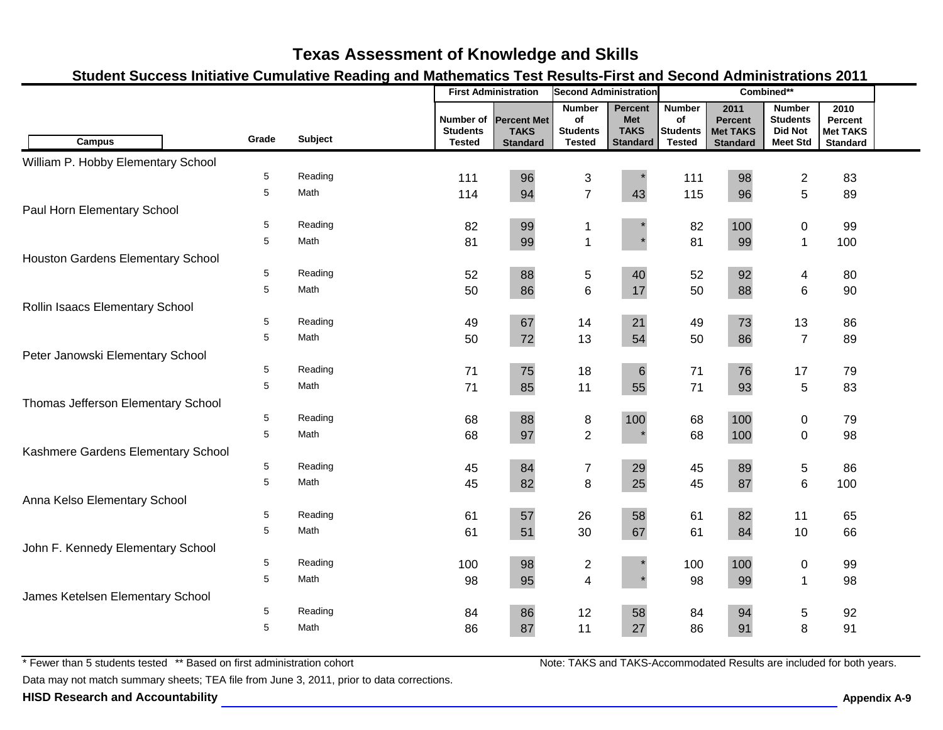### **Student Success Initiative Cumulative Reading and Mathematics Test Results-First and Second Administrations 2011**

|                                    |             |                | <b>First Administration</b><br><b>Second Administration</b> |                                                      | Combined**                                              |                                                                |                                                         |                                                              |                                                                       |                                                       |  |
|------------------------------------|-------------|----------------|-------------------------------------------------------------|------------------------------------------------------|---------------------------------------------------------|----------------------------------------------------------------|---------------------------------------------------------|--------------------------------------------------------------|-----------------------------------------------------------------------|-------------------------------------------------------|--|
| <b>Campus</b>                      | Grade       | <b>Subject</b> | Number of<br><b>Students</b><br><b>Tested</b>               | <b>Percent Met</b><br><b>TAKS</b><br><b>Standard</b> | <b>Number</b><br>of<br><b>Students</b><br><b>Tested</b> | <b>Percent</b><br><b>Met</b><br><b>TAKS</b><br><b>Standard</b> | <b>Number</b><br>of<br><b>Students</b><br><b>Tested</b> | 2011<br><b>Percent</b><br><b>Met TAKS</b><br><b>Standard</b> | <b>Number</b><br><b>Students</b><br><b>Did Not</b><br><b>Meet Std</b> | 2010<br>Percent<br><b>Met TAKS</b><br><b>Standard</b> |  |
| William P. Hobby Elementary School |             |                |                                                             |                                                      |                                                         |                                                                |                                                         |                                                              |                                                                       |                                                       |  |
|                                    | 5           | Reading        | 111                                                         | 96                                                   | 3                                                       |                                                                | 111                                                     | 98                                                           | $\overline{\mathbf{c}}$                                               | 83                                                    |  |
|                                    | 5           | Math           | 114                                                         | 94                                                   | $\overline{7}$                                          | 43                                                             | 115                                                     | 96                                                           | 5                                                                     | 89                                                    |  |
| Paul Horn Elementary School        |             |                |                                                             |                                                      |                                                         |                                                                |                                                         |                                                              |                                                                       |                                                       |  |
|                                    | 5           | Reading        | 82                                                          | 99                                                   | -1                                                      |                                                                | 82                                                      | 100                                                          | $\pmb{0}$                                                             | 99                                                    |  |
|                                    | 5           | Math           | 81                                                          | 99                                                   | $\overline{1}$                                          |                                                                | 81                                                      | 99                                                           | $\mathbf{1}$                                                          | 100                                                   |  |
| Houston Gardens Elementary School  |             |                |                                                             |                                                      |                                                         |                                                                |                                                         |                                                              |                                                                       |                                                       |  |
|                                    | 5           | Reading        | 52                                                          | 88                                                   | $\sqrt{5}$                                              | 40                                                             | 52                                                      | 92                                                           | 4                                                                     | 80                                                    |  |
|                                    | 5           | Math           | 50                                                          | 86                                                   | $6\phantom{1}$                                          | 17                                                             | 50                                                      | 88                                                           | 6                                                                     | 90                                                    |  |
| Rollin Isaacs Elementary School    |             |                |                                                             |                                                      |                                                         |                                                                |                                                         |                                                              |                                                                       |                                                       |  |
|                                    | 5           | Reading        | 49                                                          | 67                                                   | 14                                                      | 21                                                             | 49                                                      | 73                                                           | 13                                                                    | 86                                                    |  |
|                                    | 5           | Math           | 50                                                          | 72                                                   | 13                                                      | 54                                                             | 50                                                      | 86                                                           | $\overline{7}$                                                        | 89                                                    |  |
| Peter Janowski Elementary School   |             |                |                                                             |                                                      |                                                         |                                                                |                                                         |                                                              |                                                                       |                                                       |  |
|                                    | 5           | Reading        | 71                                                          | 75                                                   | 18                                                      | $\,6$                                                          | 71                                                      | 76                                                           | 17                                                                    | 79                                                    |  |
|                                    | 5           | Math           | 71                                                          | 85                                                   | 11                                                      | 55                                                             | 71                                                      | 93                                                           | 5                                                                     | 83                                                    |  |
| Thomas Jefferson Elementary School |             |                |                                                             |                                                      |                                                         |                                                                |                                                         |                                                              |                                                                       |                                                       |  |
|                                    | $\,$ 5 $\,$ | Reading        | 68                                                          | 88                                                   | $\bf 8$                                                 | 100                                                            | 68                                                      | 100                                                          | $\pmb{0}$                                                             | 79                                                    |  |
|                                    | 5           | Math           | 68                                                          | 97                                                   | $\overline{2}$                                          |                                                                | 68                                                      | 100                                                          | $\pmb{0}$                                                             | 98                                                    |  |
| Kashmere Gardens Elementary School |             |                |                                                             |                                                      |                                                         |                                                                |                                                         |                                                              |                                                                       |                                                       |  |
|                                    | 5           | Reading        | 45                                                          | 84                                                   | $\boldsymbol{7}$                                        | 29                                                             | 45                                                      | 89                                                           | 5                                                                     | 86                                                    |  |
|                                    | 5           | Math           | 45                                                          | 82                                                   | 8                                                       | 25                                                             | 45                                                      | 87                                                           | 6                                                                     | 100                                                   |  |
| Anna Kelso Elementary School       |             |                |                                                             |                                                      |                                                         |                                                                |                                                         |                                                              |                                                                       |                                                       |  |
|                                    | 5           | Reading        | 61                                                          | 57                                                   | 26                                                      | 58                                                             | 61                                                      | 82                                                           | 11                                                                    | 65                                                    |  |
|                                    | 5           | Math           | 61                                                          | 51                                                   | 30                                                      | 67                                                             | 61                                                      | 84                                                           | 10                                                                    | 66                                                    |  |
| John F. Kennedy Elementary School  |             |                |                                                             |                                                      |                                                         |                                                                |                                                         |                                                              |                                                                       |                                                       |  |
|                                    | 5           | Reading        | 100                                                         | 98                                                   | $\overline{c}$                                          |                                                                | 100                                                     | 100                                                          | 0                                                                     | 99                                                    |  |
|                                    | 5           | Math           | 98                                                          | 95                                                   | $\overline{4}$                                          |                                                                | 98                                                      | 99                                                           | $\mathbf 1$                                                           | 98                                                    |  |
| James Ketelsen Elementary School   |             |                |                                                             |                                                      |                                                         |                                                                |                                                         |                                                              |                                                                       |                                                       |  |
|                                    | 5           | Reading        | 84                                                          | 86                                                   | 12                                                      | 58                                                             | 84                                                      | 94                                                           | $\,$ 5 $\,$                                                           | 92                                                    |  |
|                                    | 5           | Math           | 86                                                          | 87                                                   | 11                                                      | 27                                                             | 86                                                      | 91                                                           | 8                                                                     | 91                                                    |  |

\* Fewer than 5 students tested \*\* Based on first administration cohort

Data may not match summary sheets; TEA file from June 3, 2011, prior to data corrections.

**HISD Research and Accountability Appendix A-9**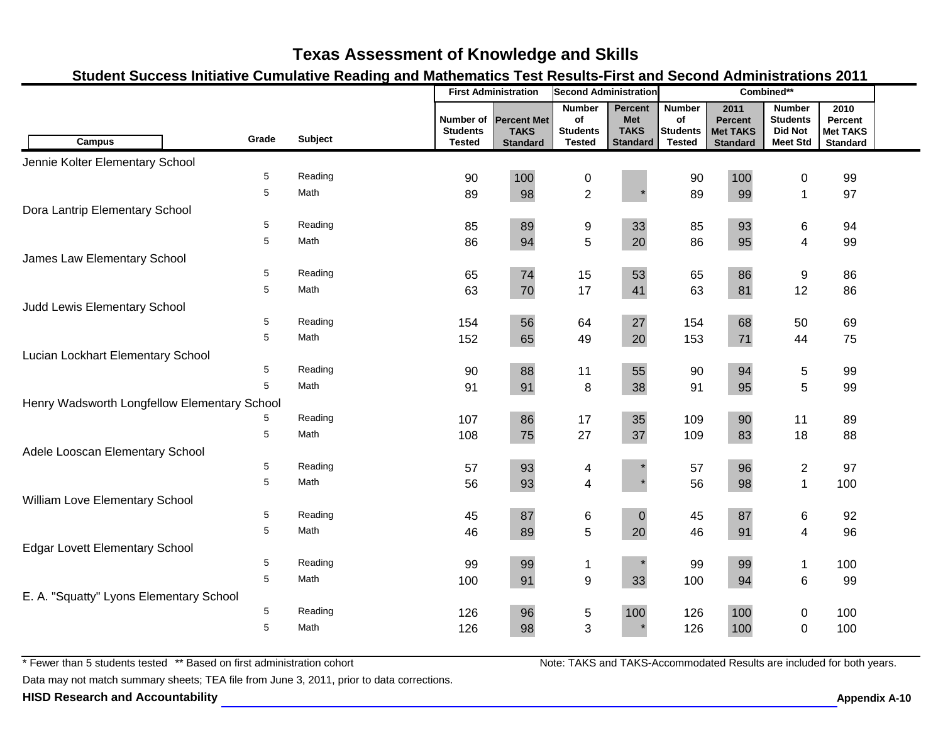### **Student Success Initiative Cumulative Reading and Mathematics Test Results-First and Second Administrations 2011**

|                                              |       |         | <b>First Administration</b><br><b>Second Administration</b> |                                                      | Combined**                                              |                                                         |                                                         |                                                              |                                                                       |                                                       |  |
|----------------------------------------------|-------|---------|-------------------------------------------------------------|------------------------------------------------------|---------------------------------------------------------|---------------------------------------------------------|---------------------------------------------------------|--------------------------------------------------------------|-----------------------------------------------------------------------|-------------------------------------------------------|--|
| <b>Campus</b>                                | Grade | Subject | Number of<br><b>Students</b><br><b>Tested</b>               | <b>Percent Met</b><br><b>TAKS</b><br><b>Standard</b> | <b>Number</b><br>of<br><b>Students</b><br><b>Tested</b> | Percent<br><b>Met</b><br><b>TAKS</b><br><b>Standard</b> | <b>Number</b><br>of<br><b>Students</b><br><b>Tested</b> | 2011<br><b>Percent</b><br><b>Met TAKS</b><br><b>Standard</b> | <b>Number</b><br><b>Students</b><br><b>Did Not</b><br><b>Meet Std</b> | 2010<br>Percent<br><b>Met TAKS</b><br><b>Standard</b> |  |
| Jennie Kolter Elementary School              |       |         |                                                             |                                                      |                                                         |                                                         |                                                         |                                                              |                                                                       |                                                       |  |
|                                              | 5     | Reading | 90                                                          | 100                                                  | 0                                                       |                                                         | 90                                                      | 100                                                          | 0                                                                     | 99                                                    |  |
|                                              | 5     | Math    | 89                                                          | 98                                                   | $\overline{2}$                                          |                                                         | 89                                                      | 99                                                           | $\mathbf{1}$                                                          | 97                                                    |  |
| Dora Lantrip Elementary School               |       |         |                                                             |                                                      |                                                         |                                                         |                                                         |                                                              |                                                                       |                                                       |  |
|                                              | 5     | Reading | 85                                                          | 89                                                   | 9                                                       | 33                                                      | 85                                                      | 93                                                           | 6                                                                     | 94                                                    |  |
|                                              | 5     | Math    | 86                                                          | 94                                                   | 5                                                       | 20                                                      | 86                                                      | 95                                                           | $\overline{\mathbf{4}}$                                               | 99                                                    |  |
| James Law Elementary School                  |       |         |                                                             |                                                      |                                                         |                                                         |                                                         |                                                              |                                                                       |                                                       |  |
|                                              | 5     | Reading | 65                                                          | 74                                                   | 15                                                      | 53                                                      | 65                                                      | 86                                                           | 9                                                                     | 86                                                    |  |
|                                              | 5     | Math    | 63                                                          | 70                                                   | 17                                                      | 41                                                      | 63                                                      | 81                                                           | 12                                                                    | 86                                                    |  |
| Judd Lewis Elementary School                 |       |         |                                                             |                                                      |                                                         |                                                         |                                                         |                                                              |                                                                       |                                                       |  |
|                                              | 5     | Reading | 154                                                         | 56                                                   | 64                                                      | 27                                                      | 154                                                     | 68                                                           | 50                                                                    | 69                                                    |  |
|                                              | 5     | Math    | 152                                                         | 65                                                   | 49                                                      | 20                                                      | 153                                                     | 71                                                           | 44                                                                    | 75                                                    |  |
| Lucian Lockhart Elementary School            |       |         |                                                             |                                                      |                                                         |                                                         |                                                         |                                                              |                                                                       |                                                       |  |
|                                              | 5     | Reading | 90                                                          | 88                                                   | 11                                                      | 55                                                      | 90                                                      | 94                                                           | 5                                                                     | 99                                                    |  |
|                                              | 5     | Math    | 91                                                          | 91                                                   | 8                                                       | 38                                                      | 91                                                      | 95                                                           | 5                                                                     | 99                                                    |  |
| Henry Wadsworth Longfellow Elementary School |       |         |                                                             |                                                      |                                                         |                                                         |                                                         |                                                              |                                                                       |                                                       |  |
|                                              |       | Reading | 107                                                         | 86                                                   | 17                                                      | 35                                                      | 109                                                     | 90                                                           | 11                                                                    | 89                                                    |  |
|                                              | 5     | Math    | 108                                                         | 75                                                   | 27                                                      | 37                                                      | 109                                                     | 83                                                           | 18                                                                    | 88                                                    |  |
| Adele Looscan Elementary School              |       |         |                                                             |                                                      |                                                         |                                                         |                                                         |                                                              |                                                                       |                                                       |  |
|                                              | 5     | Reading | 57                                                          | 93                                                   | 4                                                       |                                                         | 57                                                      | 96                                                           | $\overline{c}$                                                        | 97                                                    |  |
|                                              | 5     | Math    | 56                                                          | 93                                                   | $\overline{\mathbf{4}}$                                 |                                                         | 56                                                      | 98                                                           | $\mathbf{1}$                                                          | 100                                                   |  |
| William Love Elementary School               |       |         |                                                             |                                                      |                                                         |                                                         |                                                         |                                                              |                                                                       |                                                       |  |
|                                              | 5     | Reading | 45                                                          | 87                                                   | 6                                                       | $\pmb{0}$                                               | 45                                                      | 87                                                           | 6                                                                     | 92                                                    |  |
|                                              | 5     | Math    | 46                                                          | 89                                                   | $\sqrt{5}$                                              | 20                                                      | 46                                                      | 91                                                           | 4                                                                     | 96                                                    |  |
| <b>Edgar Lovett Elementary School</b>        |       |         |                                                             |                                                      |                                                         |                                                         |                                                         |                                                              |                                                                       |                                                       |  |
|                                              | 5     | Reading | 99                                                          | 99                                                   | $\mathbf{1}$                                            | $\star$                                                 | 99                                                      | 99                                                           | $\mathbf{1}$                                                          | 100                                                   |  |
|                                              | 5     | Math    | 100                                                         | 91                                                   | $\boldsymbol{9}$                                        | 33                                                      | 100                                                     | 94                                                           | 6                                                                     | 99                                                    |  |
| E. A. "Squatty" Lyons Elementary School      |       |         |                                                             |                                                      |                                                         |                                                         |                                                         |                                                              |                                                                       |                                                       |  |
|                                              | 5     | Reading | 126                                                         | 96                                                   | $\sqrt{5}$                                              | 100                                                     | 126                                                     | 100                                                          | 0                                                                     | 100                                                   |  |
|                                              | 5     | Math    | 126                                                         | 98                                                   | 3                                                       |                                                         | 126                                                     | 100                                                          | $\mathbf 0$                                                           | 100                                                   |  |
|                                              |       |         |                                                             |                                                      |                                                         |                                                         |                                                         |                                                              |                                                                       |                                                       |  |

\* Fewer than 5 students tested \*\* Based on first administration cohort

Data may not match summary sheets; TEA file from June 3, 2011, prior to data corrections.

**HISD Research and Accountability Allowski School School School Appendix A-10 Appendix A-10**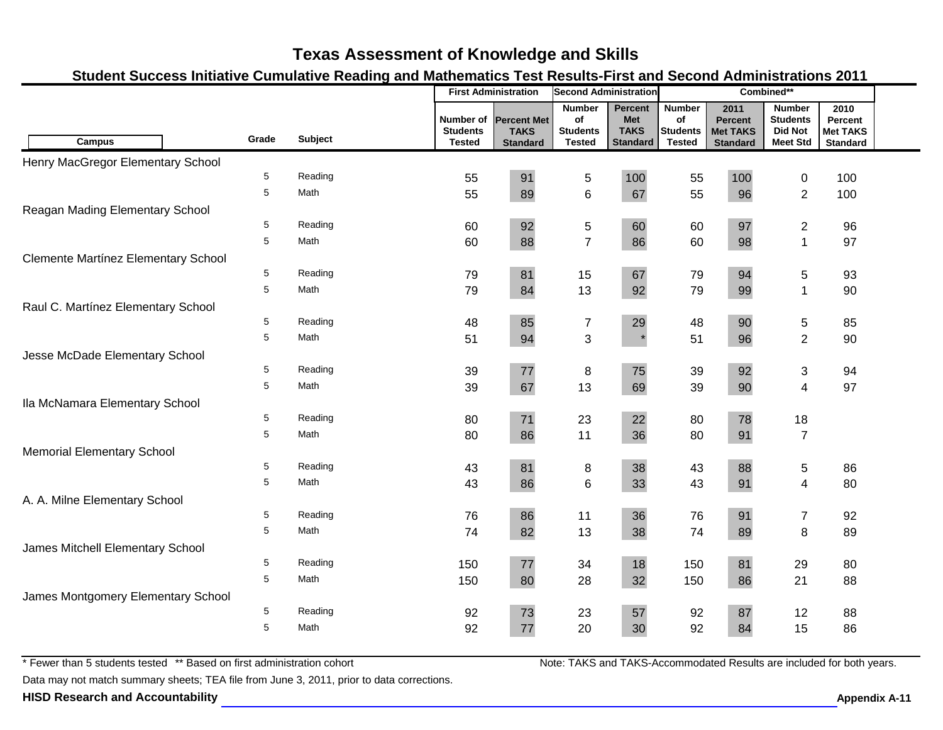### **Student Success Initiative Cumulative Reading and Mathematics Test Results-First and Second Administrations 2011**

|                                            |       |         | <b>First Administration</b><br><b>Second Administration</b> |                                                      | Combined**                                              |                                                         |                                                         |                                                              |                                                                       |                                                       |  |
|--------------------------------------------|-------|---------|-------------------------------------------------------------|------------------------------------------------------|---------------------------------------------------------|---------------------------------------------------------|---------------------------------------------------------|--------------------------------------------------------------|-----------------------------------------------------------------------|-------------------------------------------------------|--|
| <b>Campus</b>                              | Grade | Subject | Number of<br><b>Students</b><br><b>Tested</b>               | <b>Percent Met</b><br><b>TAKS</b><br><b>Standard</b> | <b>Number</b><br>of<br><b>Students</b><br><b>Tested</b> | Percent<br><b>Met</b><br><b>TAKS</b><br><b>Standard</b> | <b>Number</b><br>of<br><b>Students</b><br><b>Tested</b> | 2011<br><b>Percent</b><br><b>Met TAKS</b><br><b>Standard</b> | <b>Number</b><br><b>Students</b><br><b>Did Not</b><br><b>Meet Std</b> | 2010<br>Percent<br><b>Met TAKS</b><br><b>Standard</b> |  |
| Henry MacGregor Elementary School          |       |         |                                                             |                                                      |                                                         |                                                         |                                                         |                                                              |                                                                       |                                                       |  |
|                                            | 5     | Reading | 55                                                          | 91                                                   | $\sqrt{5}$                                              | 100                                                     | 55                                                      | 100                                                          | 0                                                                     | 100                                                   |  |
|                                            | 5     | Math    | 55                                                          | 89                                                   | $\,6\,$                                                 | 67                                                      | 55                                                      | 96                                                           | $\overline{2}$                                                        | 100                                                   |  |
| Reagan Mading Elementary School            |       |         |                                                             |                                                      |                                                         |                                                         |                                                         |                                                              |                                                                       |                                                       |  |
|                                            | 5     | Reading | 60                                                          | 92                                                   | $\mathbf 5$                                             | 60                                                      | 60                                                      | 97                                                           | $\mathbf{2}$                                                          | 96                                                    |  |
|                                            | 5     | Math    | 60                                                          | 88                                                   | $\overline{7}$                                          | 86                                                      | 60                                                      | 98                                                           | $\mathbf{1}$                                                          | 97                                                    |  |
| <b>Clemente Martínez Elementary School</b> |       |         |                                                             |                                                      |                                                         |                                                         |                                                         |                                                              |                                                                       |                                                       |  |
|                                            | 5     | Reading | 79                                                          | 81                                                   | 15                                                      | 67                                                      | 79                                                      | 94                                                           | 5                                                                     | 93                                                    |  |
|                                            | 5     | Math    | 79                                                          | 84                                                   | 13                                                      | 92                                                      | 79                                                      | 99                                                           | 1                                                                     | 90                                                    |  |
| Raul C. Martínez Elementary School         |       |         |                                                             |                                                      |                                                         |                                                         |                                                         |                                                              |                                                                       |                                                       |  |
|                                            | 5     | Reading | 48                                                          | 85                                                   | $\boldsymbol{7}$                                        | 29                                                      | 48                                                      | 90                                                           | 5                                                                     | 85                                                    |  |
|                                            | 5     | Math    | 51                                                          | 94                                                   | $\sqrt{3}$                                              | $\star$                                                 | 51                                                      | 96                                                           | $\overline{2}$                                                        | 90                                                    |  |
| Jesse McDade Elementary School             |       |         |                                                             |                                                      |                                                         |                                                         |                                                         |                                                              |                                                                       |                                                       |  |
|                                            | 5     | Reading | 39                                                          | $77\,$                                               | 8                                                       | 75                                                      | 39                                                      | 92                                                           | 3                                                                     | 94                                                    |  |
|                                            | 5     | Math    | 39                                                          | 67                                                   | 13                                                      | 69                                                      | 39                                                      | 90                                                           | $\overline{4}$                                                        | 97                                                    |  |
| Ila McNamara Elementary School             |       |         |                                                             |                                                      |                                                         |                                                         |                                                         |                                                              |                                                                       |                                                       |  |
|                                            | 5     | Reading | 80                                                          | $71$                                                 | 23                                                      | 22                                                      | 80                                                      | 78                                                           | 18                                                                    |                                                       |  |
|                                            | 5     | Math    | 80                                                          | 86                                                   | 11                                                      | 36                                                      | 80                                                      | 91                                                           | $\overline{7}$                                                        |                                                       |  |
| <b>Memorial Elementary School</b>          |       |         |                                                             |                                                      |                                                         |                                                         |                                                         |                                                              |                                                                       |                                                       |  |
|                                            | 5     | Reading | 43                                                          | 81                                                   | 8                                                       | 38                                                      | 43                                                      | 88                                                           | 5                                                                     | 86                                                    |  |
|                                            | 5     | Math    | 43                                                          | 86                                                   | $\,6$                                                   | 33                                                      | 43                                                      | 91                                                           | $\overline{\mathbf{4}}$                                               | 80                                                    |  |
| A. A. Milne Elementary School              |       |         |                                                             |                                                      |                                                         |                                                         |                                                         |                                                              |                                                                       |                                                       |  |
|                                            | 5     | Reading | 76                                                          | 86                                                   | 11                                                      | 36                                                      | 76                                                      | 91                                                           | $\boldsymbol{7}$                                                      | 92                                                    |  |
|                                            | 5     | Math    | 74                                                          | 82                                                   | 13                                                      | 38                                                      | 74                                                      | 89                                                           | 8                                                                     | 89                                                    |  |
| James Mitchell Elementary School           |       |         |                                                             |                                                      |                                                         |                                                         |                                                         |                                                              |                                                                       |                                                       |  |
|                                            | 5     | Reading | 150                                                         | $77 \,$                                              | 34                                                      | 18                                                      | 150                                                     | 81                                                           | 29                                                                    | 80                                                    |  |
|                                            | 5     | Math    | 150                                                         | 80                                                   | 28                                                      | 32                                                      | 150                                                     | 86                                                           | 21                                                                    | 88                                                    |  |
| James Montgomery Elementary School         |       |         |                                                             |                                                      |                                                         |                                                         |                                                         |                                                              |                                                                       |                                                       |  |
|                                            | 5     | Reading | 92                                                          | 73                                                   | 23                                                      | 57                                                      | 92                                                      | 87                                                           | 12                                                                    | 88                                                    |  |
|                                            | 5     | Math    | 92                                                          | 77                                                   | 20                                                      | 30                                                      | 92                                                      | 84                                                           | 15                                                                    | 86                                                    |  |

\* Fewer than 5 students tested \*\* Based on first administration cohort

Data may not match summary sheets; TEA file from June 3, 2011, prior to data corrections.

**HISD Research and Accountability Allowski School School School School Appendix A-11 Appendix A-11**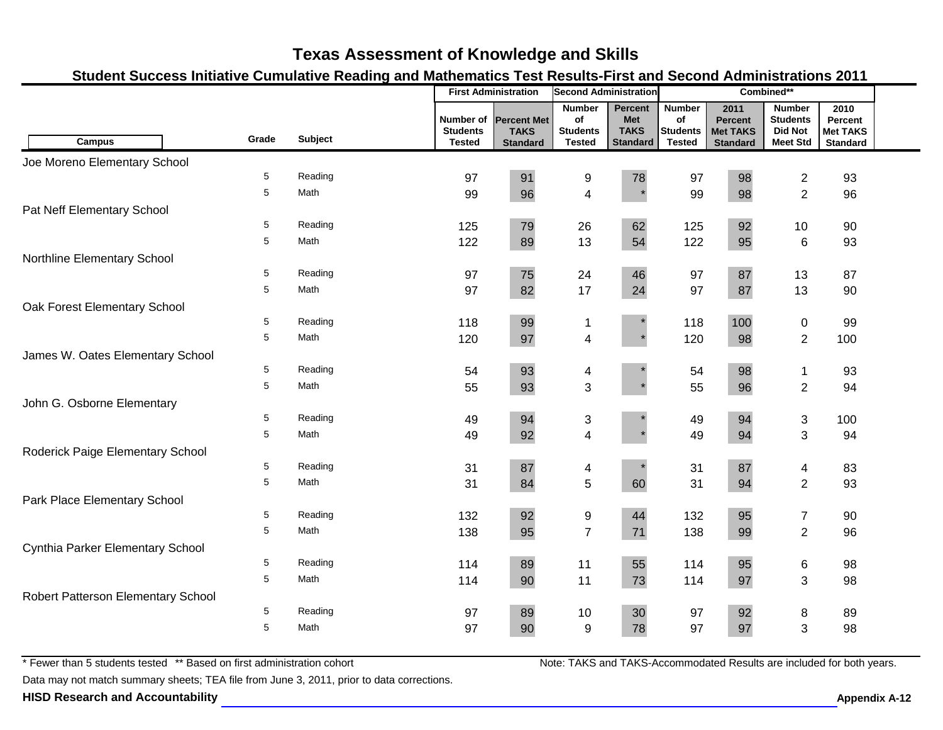### **Student Success Initiative Cumulative Reading and Mathematics Test Results-First and Second Administrations 2011**

|                                    |       |         | <b>First Administration</b><br><b>Second Administration</b> |                                                      |                                                         | Combined**                                              |                                                         |                                                              |                                                                       |                                                       |  |
|------------------------------------|-------|---------|-------------------------------------------------------------|------------------------------------------------------|---------------------------------------------------------|---------------------------------------------------------|---------------------------------------------------------|--------------------------------------------------------------|-----------------------------------------------------------------------|-------------------------------------------------------|--|
| <b>Campus</b>                      | Grade | Subject | Number of<br><b>Students</b><br><b>Tested</b>               | <b>Percent Met</b><br><b>TAKS</b><br><b>Standard</b> | <b>Number</b><br>of<br><b>Students</b><br><b>Tested</b> | Percent<br><b>Met</b><br><b>TAKS</b><br><b>Standard</b> | <b>Number</b><br>of<br><b>Students</b><br><b>Tested</b> | 2011<br><b>Percent</b><br><b>Met TAKS</b><br><b>Standard</b> | <b>Number</b><br><b>Students</b><br><b>Did Not</b><br><b>Meet Std</b> | 2010<br>Percent<br><b>Met TAKS</b><br><b>Standard</b> |  |
| Joe Moreno Elementary School       |       |         |                                                             |                                                      |                                                         |                                                         |                                                         |                                                              |                                                                       |                                                       |  |
|                                    | 5     | Reading | 97                                                          | 91                                                   | 9                                                       | 78                                                      | 97                                                      | 98                                                           | $\overline{c}$                                                        | 93                                                    |  |
|                                    | 5     | Math    | 99                                                          | 96                                                   | 4                                                       | $\star$                                                 | 99                                                      | 98                                                           | $\overline{2}$                                                        | 96                                                    |  |
| Pat Neff Elementary School         |       |         |                                                             |                                                      |                                                         |                                                         |                                                         |                                                              |                                                                       |                                                       |  |
|                                    | 5     | Reading | 125                                                         | 79                                                   | 26                                                      | 62                                                      | 125                                                     | 92                                                           | 10                                                                    | 90                                                    |  |
|                                    | 5     | Math    | 122                                                         | 89                                                   | 13                                                      | 54                                                      | 122                                                     | 95                                                           | $\,6$                                                                 | 93                                                    |  |
| Northline Elementary School        |       |         |                                                             |                                                      |                                                         |                                                         |                                                         |                                                              |                                                                       |                                                       |  |
|                                    | 5     | Reading | 97                                                          | 75                                                   | 24                                                      | 46                                                      | 97                                                      | 87                                                           | 13                                                                    | 87                                                    |  |
|                                    | 5     | Math    | 97                                                          | 82                                                   | 17                                                      | 24                                                      | 97                                                      | 87                                                           | 13                                                                    | 90                                                    |  |
| Oak Forest Elementary School       |       |         |                                                             |                                                      |                                                         |                                                         |                                                         |                                                              |                                                                       |                                                       |  |
|                                    | 5     | Reading | 118                                                         | 99                                                   | $\mathbf{1}$                                            |                                                         | 118                                                     | 100                                                          | $\pmb{0}$                                                             | 99                                                    |  |
|                                    | 5     | Math    | 120                                                         | 97                                                   | $\overline{\mathbf{4}}$                                 |                                                         | 120                                                     | 98                                                           | $\overline{2}$                                                        | 100                                                   |  |
| James W. Oates Elementary School   |       |         |                                                             |                                                      |                                                         |                                                         |                                                         |                                                              |                                                                       |                                                       |  |
|                                    | 5     | Reading | 54                                                          | 93                                                   | 4                                                       |                                                         | 54                                                      | 98                                                           | $\mathbf 1$                                                           | 93                                                    |  |
|                                    | 5     | Math    | 55                                                          | 93                                                   | 3                                                       |                                                         | 55                                                      | 96                                                           | $\overline{2}$                                                        | 94                                                    |  |
| John G. Osborne Elementary         |       |         |                                                             |                                                      |                                                         |                                                         |                                                         |                                                              |                                                                       |                                                       |  |
|                                    | 5     | Reading | 49                                                          | 94                                                   | 3                                                       |                                                         | 49                                                      | 94                                                           | $\sqrt{3}$                                                            | 100                                                   |  |
|                                    | 5     | Math    | 49                                                          | 92                                                   | $\overline{\mathbf{4}}$                                 |                                                         | 49                                                      | 94                                                           | $\mathfrak{S}$                                                        | 94                                                    |  |
| Roderick Paige Elementary School   |       |         |                                                             |                                                      |                                                         |                                                         |                                                         |                                                              |                                                                       |                                                       |  |
|                                    | 5     | Reading | 31                                                          | 87                                                   | 4                                                       |                                                         | 31                                                      | 87                                                           | 4                                                                     | 83                                                    |  |
|                                    | 5     | Math    | 31                                                          | 84                                                   | 5                                                       | 60                                                      | 31                                                      | 94                                                           | $\overline{2}$                                                        | 93                                                    |  |
| Park Place Elementary School       |       |         |                                                             |                                                      |                                                         |                                                         |                                                         |                                                              |                                                                       |                                                       |  |
|                                    | 5     | Reading | 132                                                         | 92                                                   | 9                                                       | 44                                                      | 132                                                     | 95                                                           | $\boldsymbol{7}$                                                      | 90                                                    |  |
|                                    | 5     | Math    | 138                                                         | 95                                                   | $\overline{7}$                                          | 71                                                      | 138                                                     | 99                                                           | $\overline{2}$                                                        | 96                                                    |  |
| Cynthia Parker Elementary School   |       |         |                                                             |                                                      |                                                         |                                                         |                                                         |                                                              |                                                                       |                                                       |  |
|                                    | 5     | Reading | 114                                                         | 89                                                   | 11                                                      | 55                                                      | 114                                                     | 95                                                           | $\,6$                                                                 | 98                                                    |  |
|                                    | 5     | Math    | 114                                                         | 90                                                   | 11                                                      | 73                                                      | 114                                                     | 97                                                           | $\mathbf{3}$                                                          | 98                                                    |  |
| Robert Patterson Elementary School |       |         |                                                             |                                                      |                                                         |                                                         |                                                         |                                                              |                                                                       |                                                       |  |
|                                    | 5     | Reading | 97                                                          | 89                                                   | 10                                                      | 30                                                      | 97                                                      | 92                                                           | 8                                                                     | 89                                                    |  |
|                                    | 5     | Math    | 97                                                          | 90                                                   | 9                                                       | 78                                                      | 97                                                      | 97                                                           | 3                                                                     | 98                                                    |  |

\* Fewer than 5 students tested \*\* Based on first administration cohort

Data may not match summary sheets; TEA file from June 3, 2011, prior to data corrections.

**HISD Research and Accountability Allowski School School School Appendix A-12 Appendix A-12**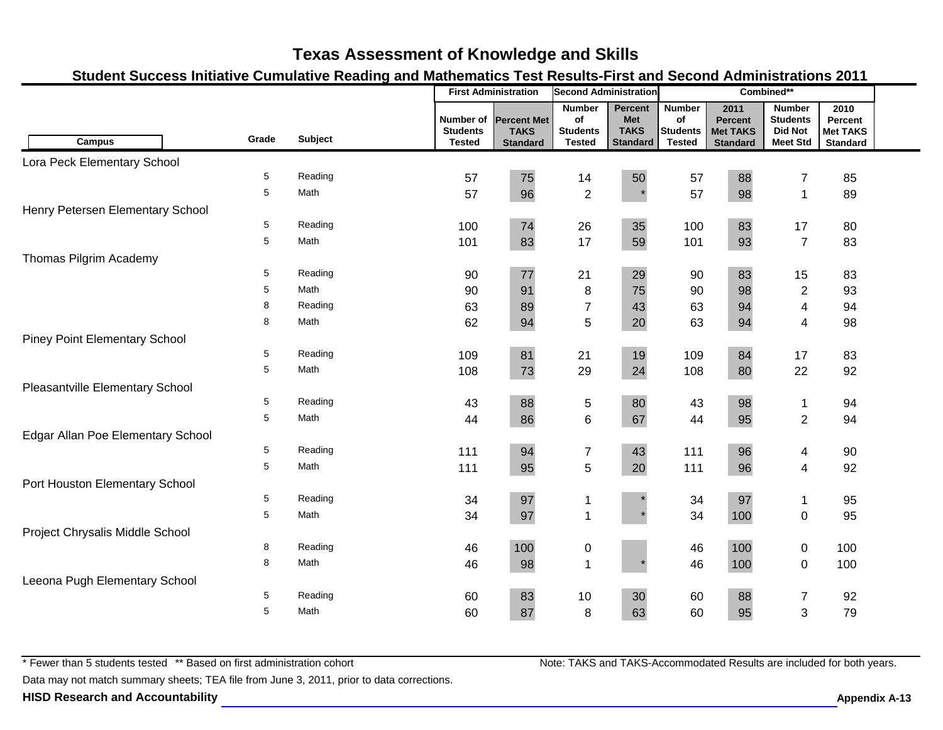### **Student Success Initiative Cumulative Reading and Mathematics Test Results-First and Second Administrations 2011**

|                                      |       |                |                                               | <b>First Administration</b>                          | <b>Second Administration</b>                            |                                                                |                                                         |                                                              | Combined**                                                            |                                                       |  |
|--------------------------------------|-------|----------------|-----------------------------------------------|------------------------------------------------------|---------------------------------------------------------|----------------------------------------------------------------|---------------------------------------------------------|--------------------------------------------------------------|-----------------------------------------------------------------------|-------------------------------------------------------|--|
| <b>Campus</b>                        | Grade | <b>Subject</b> | Number of<br><b>Students</b><br><b>Tested</b> | <b>Percent Met</b><br><b>TAKS</b><br><b>Standard</b> | <b>Number</b><br>of<br><b>Students</b><br><b>Tested</b> | <b>Percent</b><br><b>Met</b><br><b>TAKS</b><br><b>Standard</b> | <b>Number</b><br>of<br><b>Students</b><br><b>Tested</b> | 2011<br><b>Percent</b><br><b>Met TAKS</b><br><b>Standard</b> | <b>Number</b><br><b>Students</b><br><b>Did Not</b><br><b>Meet Std</b> | 2010<br>Percent<br><b>Met TAKS</b><br><b>Standard</b> |  |
| Lora Peck Elementary School          |       |                |                                               |                                                      |                                                         |                                                                |                                                         |                                                              |                                                                       |                                                       |  |
|                                      | 5     | Reading        | 57                                            | 75                                                   | 14                                                      | 50                                                             | 57                                                      | 88                                                           | $\overline{7}$                                                        | 85                                                    |  |
|                                      | 5     | Math           | 57                                            | 96                                                   | $\overline{2}$                                          | $\star$                                                        | 57                                                      | 98                                                           | $\mathbf{1}$                                                          | 89                                                    |  |
| Henry Petersen Elementary School     |       |                |                                               |                                                      |                                                         |                                                                |                                                         |                                                              |                                                                       |                                                       |  |
|                                      | 5     | Reading        | 100                                           | 74                                                   | 26                                                      | 35                                                             | 100                                                     | 83                                                           | 17                                                                    | 80                                                    |  |
|                                      | 5     | Math           | 101                                           | 83                                                   | 17                                                      | 59                                                             | 101                                                     | 93                                                           | $\overline{7}$                                                        | 83                                                    |  |
| Thomas Pilgrim Academy               |       |                |                                               |                                                      |                                                         |                                                                |                                                         |                                                              |                                                                       |                                                       |  |
|                                      | 5     | Reading        | 90                                            | 77                                                   | 21                                                      | 29                                                             | 90                                                      | 83                                                           | 15                                                                    | 83                                                    |  |
|                                      | 5     | Math           | 90                                            | 91                                                   | 8                                                       | 75                                                             | 90                                                      | 98                                                           | $\sqrt{2}$                                                            | 93                                                    |  |
|                                      | 8     | Reading        | 63                                            | 89                                                   | $\overline{7}$                                          | 43                                                             | 63                                                      | 94                                                           | 4                                                                     | 94                                                    |  |
|                                      | 8     | Math           | 62                                            | 94                                                   | 5                                                       | 20                                                             | 63                                                      | 94                                                           | $\overline{4}$                                                        | 98                                                    |  |
| <b>Piney Point Elementary School</b> |       |                |                                               |                                                      |                                                         |                                                                |                                                         |                                                              |                                                                       |                                                       |  |
|                                      | 5     | Reading        | 109                                           | 81                                                   | 21                                                      | 19                                                             | 109                                                     | 84                                                           | 17                                                                    | 83                                                    |  |
|                                      | 5     | Math           | 108                                           | 73                                                   | 29                                                      | 24                                                             | 108                                                     | 80                                                           | 22                                                                    | 92                                                    |  |
| Pleasantville Elementary School      |       |                |                                               |                                                      |                                                         |                                                                |                                                         |                                                              |                                                                       |                                                       |  |
|                                      | 5     | Reading        | 43                                            | 88                                                   | $\,$ 5 $\,$                                             | 80                                                             | 43                                                      | 98                                                           | 1                                                                     | 94                                                    |  |
|                                      | 5     | Math           | 44                                            | 86                                                   | $\,6$                                                   | 67                                                             | 44                                                      | 95                                                           | $\overline{2}$                                                        | 94                                                    |  |
| Edgar Allan Poe Elementary School    |       |                |                                               |                                                      |                                                         |                                                                |                                                         |                                                              |                                                                       |                                                       |  |
|                                      | 5     | Reading        | 111                                           | 94                                                   | $\boldsymbol{7}$                                        | 43                                                             | 111                                                     | 96                                                           | 4                                                                     | 90                                                    |  |
|                                      | 5     | Math           | 111                                           | 95                                                   | $\overline{5}$                                          | 20                                                             | 111                                                     | 96                                                           | $\overline{4}$                                                        | 92                                                    |  |
| Port Houston Elementary School       |       |                |                                               |                                                      |                                                         |                                                                |                                                         |                                                              |                                                                       |                                                       |  |
|                                      | 5     | Reading        | 34                                            | $97\,$                                               | 1                                                       |                                                                | 34                                                      | 97                                                           | $\mathbf{1}$                                                          | 95                                                    |  |
|                                      | 5     | Math           | 34                                            | 97                                                   | $\mathbf{1}$                                            |                                                                | 34                                                      | 100                                                          | $\pmb{0}$                                                             | 95                                                    |  |
| Project Chrysalis Middle School      |       |                |                                               |                                                      |                                                         |                                                                |                                                         |                                                              |                                                                       |                                                       |  |
|                                      | 8     | Reading        | 46                                            | 100                                                  | $\pmb{0}$                                               |                                                                | 46                                                      | 100                                                          | $\pmb{0}$                                                             | 100                                                   |  |
|                                      | 8     | Math           | 46                                            | 98                                                   | $\mathbf{1}$                                            |                                                                | 46                                                      | 100                                                          | $\mathbf 0$                                                           | 100                                                   |  |
| Leeona Pugh Elementary School        |       |                |                                               |                                                      |                                                         |                                                                |                                                         |                                                              |                                                                       |                                                       |  |
|                                      | 5     | Reading        | 60                                            | 83                                                   | 10                                                      | 30                                                             | 60                                                      | 88                                                           | $\overline{7}$                                                        | 92                                                    |  |
|                                      | 5     | Math           | 60                                            | 87                                                   | 8                                                       | 63                                                             | 60                                                      | 95                                                           | 3                                                                     | 79                                                    |  |

\* Fewer than 5 students tested \*\* Based on first administration cohort

Note: TAKS and TAKS-Accommodated Results are included for both years.

Data may not match summary sheets; TEA file from June 3, 2011, prior to data corrections.

**HISD Research and Accountability A-13** Appendix A-13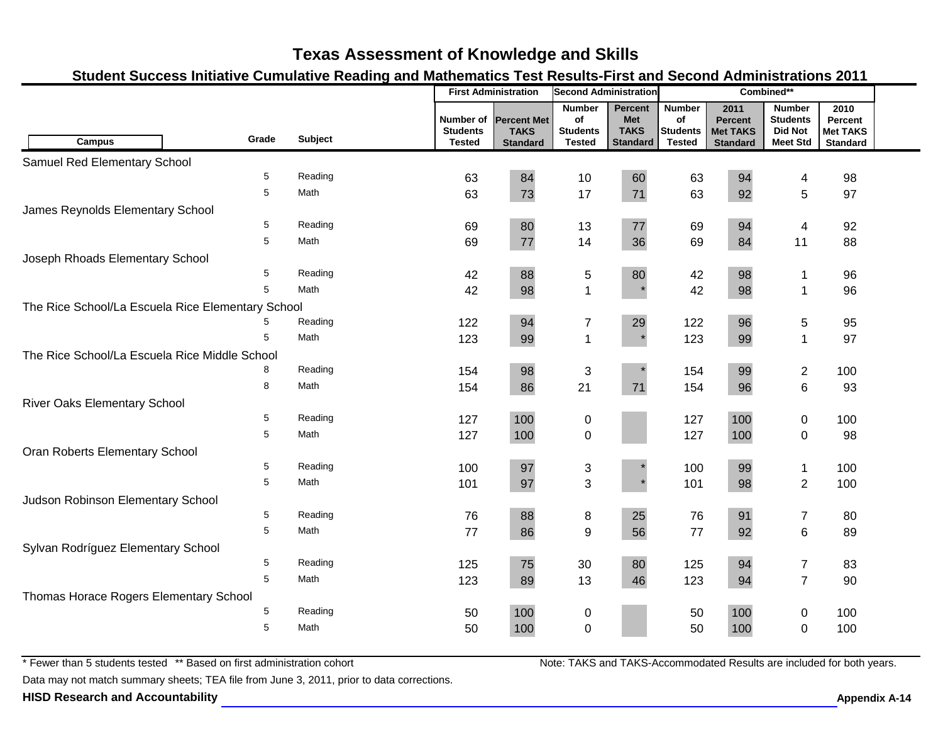### **Student Success Initiative Cumulative Reading and Mathematics Test Results-First and Second Administrations 2011**

|                                                   |         | <b>First Administration</b><br><b>Second Administration</b> |                                                      | Combined**                                              |                                                                |                                                  |                                                              |                                                                       |                                                       |  |
|---------------------------------------------------|---------|-------------------------------------------------------------|------------------------------------------------------|---------------------------------------------------------|----------------------------------------------------------------|--------------------------------------------------|--------------------------------------------------------------|-----------------------------------------------------------------------|-------------------------------------------------------|--|
| Grade<br><b>Campus</b>                            | Subject | Number of<br><b>Students</b><br><b>Tested</b>               | <b>Percent Met</b><br><b>TAKS</b><br><b>Standard</b> | <b>Number</b><br>of<br><b>Students</b><br><b>Tested</b> | <b>Percent</b><br><b>Met</b><br><b>TAKS</b><br><b>Standard</b> | <b>Number</b><br>of<br>Students<br><b>Tested</b> | 2011<br><b>Percent</b><br><b>Met TAKS</b><br><b>Standard</b> | <b>Number</b><br><b>Students</b><br><b>Did Not</b><br><b>Meet Std</b> | 2010<br>Percent<br><b>Met TAKS</b><br><b>Standard</b> |  |
| Samuel Red Elementary School                      |         |                                                             |                                                      |                                                         |                                                                |                                                  |                                                              |                                                                       |                                                       |  |
| 5                                                 | Reading | 63                                                          | 84                                                   | 10                                                      | 60                                                             | 63                                               | 94                                                           | 4                                                                     | 98                                                    |  |
| 5                                                 | Math    | 63                                                          | 73                                                   | 17                                                      | 71                                                             | 63                                               | 92                                                           | 5                                                                     | 97                                                    |  |
| James Reynolds Elementary School                  |         |                                                             |                                                      |                                                         |                                                                |                                                  |                                                              |                                                                       |                                                       |  |
| 5                                                 | Reading | 69                                                          | 80                                                   | 13                                                      | 77                                                             | 69                                               | 94                                                           | 4                                                                     | 92                                                    |  |
| 5                                                 | Math    | 69                                                          | 77                                                   | 14                                                      | 36                                                             | 69                                               | 84                                                           | 11                                                                    | 88                                                    |  |
| Joseph Rhoads Elementary School                   |         |                                                             |                                                      |                                                         |                                                                |                                                  |                                                              |                                                                       |                                                       |  |
| 5                                                 | Reading | 42                                                          | 88                                                   | 5                                                       | 80                                                             | 42                                               | 98                                                           | 1                                                                     | 96                                                    |  |
| 5                                                 | Math    | 42                                                          | 98                                                   | $\mathbf 1$                                             |                                                                | 42                                               | 98                                                           | $\mathbf 1$                                                           | 96                                                    |  |
| The Rice School/La Escuela Rice Elementary School |         |                                                             |                                                      |                                                         |                                                                |                                                  |                                                              |                                                                       |                                                       |  |
| 5                                                 | Reading | 122                                                         | 94                                                   | $\overline{7}$                                          | 29                                                             | 122                                              | 96                                                           | 5                                                                     | 95                                                    |  |
| 5                                                 | Math    | 123                                                         | 99                                                   | $\mathbf{1}$                                            |                                                                | 123                                              | 99                                                           | 1                                                                     | 97                                                    |  |
| The Rice School/La Escuela Rice Middle School     |         |                                                             |                                                      |                                                         |                                                                |                                                  |                                                              |                                                                       |                                                       |  |
| 8                                                 | Reading | 154                                                         | 98                                                   | 3                                                       |                                                                | 154                                              | 99                                                           | 2                                                                     | 100                                                   |  |
| 8                                                 | Math    | 154                                                         | 86                                                   | 21                                                      | 71                                                             | 154                                              | 96                                                           | 6                                                                     | 93                                                    |  |
| <b>River Oaks Elementary School</b>               |         |                                                             |                                                      |                                                         |                                                                |                                                  |                                                              |                                                                       |                                                       |  |
| 5                                                 | Reading | 127                                                         | 100                                                  | 0                                                       |                                                                | 127                                              | 100                                                          | 0                                                                     | 100                                                   |  |
| 5                                                 | Math    | 127                                                         | 100                                                  | $\pmb{0}$                                               |                                                                | 127                                              | 100                                                          | $\mathbf 0$                                                           | 98                                                    |  |
| Oran Roberts Elementary School                    |         |                                                             |                                                      |                                                         |                                                                |                                                  |                                                              |                                                                       |                                                       |  |
| 5                                                 | Reading | 100                                                         | 97                                                   | 3                                                       |                                                                | 100                                              | 99                                                           | $\mathbf 1$                                                           | 100                                                   |  |
| 5                                                 | Math    | 101                                                         | 97                                                   | 3                                                       |                                                                | 101                                              | 98                                                           | $\overline{2}$                                                        | 100                                                   |  |
| Judson Robinson Elementary School                 |         |                                                             |                                                      |                                                         |                                                                |                                                  |                                                              |                                                                       |                                                       |  |
| 5                                                 | Reading | 76                                                          | 88                                                   | 8                                                       | 25                                                             | 76                                               | 91                                                           | $\overline{7}$                                                        | 80                                                    |  |
| 5                                                 | Math    | 77                                                          | 86                                                   | 9                                                       | 56                                                             | 77                                               | 92                                                           | 6                                                                     | 89                                                    |  |
| Sylvan Rodríguez Elementary School                |         |                                                             |                                                      |                                                         |                                                                |                                                  |                                                              |                                                                       |                                                       |  |
| 5                                                 | Reading | 125                                                         | 75                                                   | 30                                                      | 80                                                             | 125                                              | 94                                                           | $\overline{7}$                                                        | 83                                                    |  |
| 5                                                 | Math    | 123                                                         | 89                                                   | 13                                                      | 46                                                             | 123                                              | 94                                                           | $\overline{7}$                                                        | 90                                                    |  |
| Thomas Horace Rogers Elementary School            |         |                                                             |                                                      |                                                         |                                                                |                                                  |                                                              |                                                                       |                                                       |  |
| 5                                                 | Reading | 50                                                          | 100                                                  | 0                                                       |                                                                | 50                                               | 100                                                          | 0                                                                     | 100                                                   |  |
| 5                                                 | Math    | 50                                                          | 100                                                  | $\overline{0}$                                          |                                                                | 50                                               | 100                                                          | 0                                                                     | 100                                                   |  |

\* Fewer than 5 students tested \*\* Based on first administration cohort

Data may not match summary sheets; TEA file from June 3, 2011, prior to data corrections.

**HISD Research and Accountability A-14 Appendix A-14 Appendix A-14 Appendix A-14 Appendix A-14 Appendix A-14 Appendix A-14 Appendix A-14 Appendix A-14 Appendix A-14 Appendix A-14 Appendix A-14 App**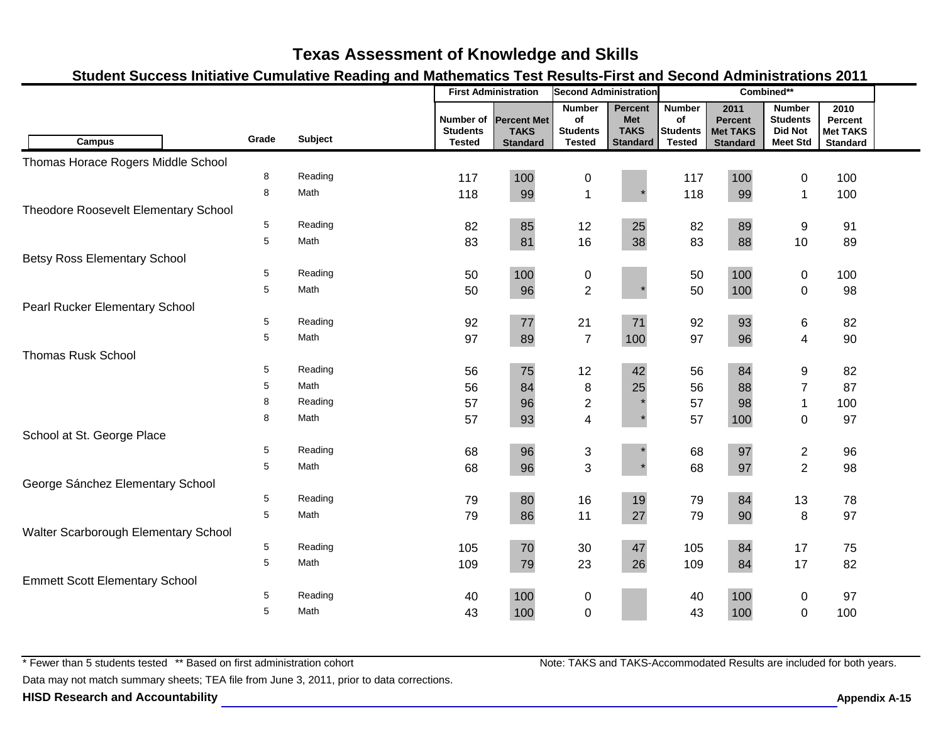### **Student Success Initiative Cumulative Reading and Mathematics Test Results-First and Second Administrations 2011**

|                                       |       |                |                                               | <b>First Administration</b>                          | <b>Second Administration</b>                            |                                                                |                                                         |                                                              | Combined**                                                            |                                                       |  |
|---------------------------------------|-------|----------------|-----------------------------------------------|------------------------------------------------------|---------------------------------------------------------|----------------------------------------------------------------|---------------------------------------------------------|--------------------------------------------------------------|-----------------------------------------------------------------------|-------------------------------------------------------|--|
| <b>Campus</b>                         | Grade | <b>Subject</b> | Number of<br><b>Students</b><br><b>Tested</b> | <b>Percent Met</b><br><b>TAKS</b><br><b>Standard</b> | <b>Number</b><br>of<br><b>Students</b><br><b>Tested</b> | <b>Percent</b><br><b>Met</b><br><b>TAKS</b><br><b>Standard</b> | <b>Number</b><br>of<br><b>Students</b><br><b>Tested</b> | 2011<br><b>Percent</b><br><b>Met TAKS</b><br><b>Standard</b> | <b>Number</b><br><b>Students</b><br><b>Did Not</b><br><b>Meet Std</b> | 2010<br>Percent<br><b>Met TAKS</b><br><b>Standard</b> |  |
| Thomas Horace Rogers Middle School    |       |                |                                               |                                                      |                                                         |                                                                |                                                         |                                                              |                                                                       |                                                       |  |
|                                       | 8     | Reading        | 117                                           | 100                                                  | $\pmb{0}$                                               |                                                                | 117                                                     | 100                                                          | 0                                                                     | 100                                                   |  |
|                                       | 8     | Math           | 118                                           | 99                                                   | $\mathbf{1}$                                            |                                                                | 118                                                     | 99                                                           | $\mathbf{1}$                                                          | 100                                                   |  |
| Theodore Roosevelt Elementary School  |       |                |                                               |                                                      |                                                         |                                                                |                                                         |                                                              |                                                                       |                                                       |  |
|                                       | 5     | Reading        | 82                                            | 85                                                   | 12                                                      | 25                                                             | 82                                                      | 89                                                           | 9                                                                     | 91                                                    |  |
|                                       | 5     | Math           | 83                                            | 81                                                   | 16                                                      | 38                                                             | 83                                                      | 88                                                           | 10                                                                    | 89                                                    |  |
| <b>Betsy Ross Elementary School</b>   |       |                |                                               |                                                      |                                                         |                                                                |                                                         |                                                              |                                                                       |                                                       |  |
|                                       | 5     | Reading        | 50                                            | 100                                                  | $\pmb{0}$                                               |                                                                | 50                                                      | 100                                                          | 0                                                                     | 100                                                   |  |
|                                       | 5     | Math           | 50                                            | 96                                                   | $\overline{2}$                                          |                                                                | 50                                                      | 100                                                          | $\mathbf 0$                                                           | 98                                                    |  |
| Pearl Rucker Elementary School        |       |                |                                               |                                                      |                                                         |                                                                |                                                         |                                                              |                                                                       |                                                       |  |
|                                       | 5     | Reading        | 92                                            | 77                                                   | 21                                                      | 71                                                             | 92                                                      | 93                                                           | 6                                                                     | 82                                                    |  |
|                                       | 5     | Math           | 97                                            | 89                                                   | $\overline{7}$                                          | 100                                                            | 97                                                      | 96                                                           | 4                                                                     | 90                                                    |  |
| <b>Thomas Rusk School</b>             |       |                |                                               |                                                      |                                                         |                                                                |                                                         |                                                              |                                                                       |                                                       |  |
|                                       | 5     | Reading        | 56                                            | 75                                                   | 12                                                      | 42                                                             | 56                                                      | 84                                                           | 9                                                                     | 82                                                    |  |
|                                       | 5     | Math           | 56                                            | 84                                                   | $\bf 8$                                                 | 25                                                             | 56                                                      | 88                                                           | $\overline{7}$                                                        | 87                                                    |  |
|                                       | 8     | Reading        | 57                                            | 96                                                   | $\overline{\mathbf{c}}$                                 |                                                                | 57                                                      | 98                                                           | 1                                                                     | 100                                                   |  |
|                                       | 8     | Math           | 57                                            | 93                                                   | $\overline{\mathbf{4}}$                                 |                                                                | 57                                                      | 100                                                          | $\mathbf 0$                                                           | 97                                                    |  |
| School at St. George Place            |       |                |                                               |                                                      |                                                         |                                                                |                                                         |                                                              |                                                                       |                                                       |  |
|                                       | 5     | Reading        | 68                                            | 96                                                   | $\sqrt{3}$                                              |                                                                | 68                                                      | 97                                                           | $\overline{\mathbf{c}}$                                               | 96                                                    |  |
|                                       | 5     | Math           | 68                                            | 96                                                   | 3                                                       |                                                                | 68                                                      | 97                                                           | $\overline{2}$                                                        | 98                                                    |  |
| George Sánchez Elementary School      |       |                |                                               |                                                      |                                                         |                                                                |                                                         |                                                              |                                                                       |                                                       |  |
|                                       | 5     | Reading        | 79                                            | 80                                                   | 16                                                      | 19                                                             | 79                                                      | 84                                                           | 13                                                                    | 78                                                    |  |
|                                       | 5     | Math           | 79                                            | 86                                                   | 11                                                      | 27                                                             | 79                                                      | 90                                                           | $\, 8$                                                                | 97                                                    |  |
| Walter Scarborough Elementary School  |       |                |                                               |                                                      |                                                         |                                                                |                                                         |                                                              |                                                                       |                                                       |  |
|                                       | 5     | Reading        | 105                                           | $70\,$                                               | 30                                                      | 47                                                             | 105                                                     | 84                                                           | 17                                                                    | 75                                                    |  |
|                                       | 5     | Math           | 109                                           | 79                                                   | 23                                                      | 26                                                             | 109                                                     | 84                                                           | 17                                                                    | 82                                                    |  |
| <b>Emmett Scott Elementary School</b> |       |                |                                               |                                                      |                                                         |                                                                |                                                         |                                                              |                                                                       |                                                       |  |
|                                       | 5     | Reading        | 40                                            | 100                                                  | 0                                                       |                                                                | 40                                                      | 100                                                          | 0                                                                     | 97                                                    |  |
|                                       | 5     | Math           | 43                                            | 100                                                  | $\mathbf 0$                                             |                                                                | 43                                                      | 100                                                          | $\mathbf 0$                                                           | 100                                                   |  |

\* Fewer than 5 students tested \*\* Based on first administration cohort

Data may not match summary sheets; TEA file from June 3, 2011, prior to data corrections.

**HISD Research and Accountability Allowski School School School Appendix A-15** Appendix A-15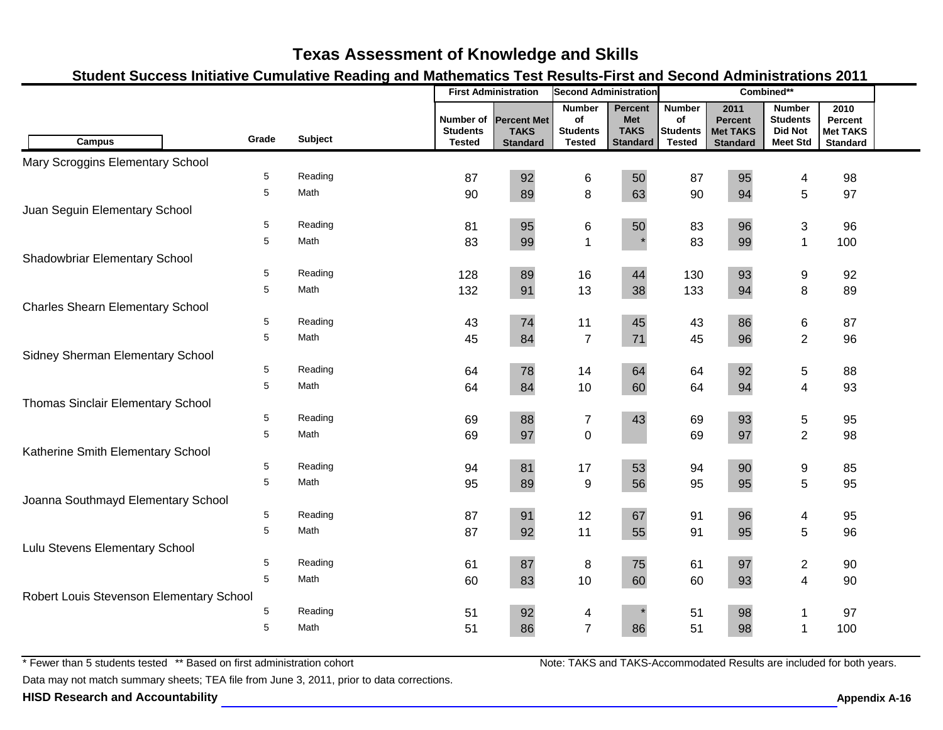### **Student Success Initiative Cumulative Reading and Mathematics Test Results-First and Second Administrations 2011**

| 2011<br>2010<br><b>Number</b><br><b>Percent</b><br><b>Number</b><br><b>Number</b><br>Number of<br><b>Percent Met</b><br>of<br><b>Met</b><br>of<br><b>Students</b><br><b>Percent</b><br>Percent<br><b>TAKS</b><br><b>Students</b><br><b>Students</b><br><b>Did Not</b><br><b>Students</b><br><b>TAKS</b><br><b>Met TAKS</b><br><b>Met TAKS</b><br><b>Subject</b><br>Grade<br><b>Campus</b><br><b>Tested</b><br><b>Tested</b><br><b>Standard</b><br><b>Tested</b><br><b>Meet Std</b><br><b>Standard</b><br><b>Standard</b><br><b>Standard</b><br>Mary Scroggins Elementary School<br>5<br>Reading<br>92<br>95<br>50<br>87<br>87<br>6<br>98<br>4<br>5<br>Math<br>8<br>5<br>90<br>89<br>63<br>90<br>94<br>97<br>Juan Seguin Elementary School<br>5<br>Reading<br>95<br>96<br>$\ensuremath{\mathsf{3}}$<br>6<br>50<br>83<br>96<br>81<br>5<br>$\mathbf{1}$<br>Math<br>83<br>99<br>83<br>99<br>$\mathbf{1}$<br>100<br>Shadowbriar Elementary School<br>5<br>Reading<br>89<br>16<br>44<br>130<br>93<br>92<br>128<br>9<br>8<br>5<br>Math<br>13<br>132<br>91<br>38<br>133<br>94<br>89<br><b>Charles Shearn Elementary School</b><br>5<br>Reading<br>74<br>11<br>45<br>43<br>86<br>6<br>87<br>43<br>$\overline{2}$<br>84<br>$\overline{7}$<br>$71$<br>5<br>Math<br>45<br>96<br>45<br>96<br>Sidney Sherman Elementary School<br>5<br>92<br>Reading<br>78<br>64<br>14<br>5<br>64<br>64<br>88<br>5<br>Math<br>10<br>$\overline{\mathbf{4}}$<br>64<br>84<br>64<br>94<br>93<br>60<br>Thomas Sinclair Elementary School<br>88<br>93<br>5<br>Reading<br>$\boldsymbol{7}$<br>43<br>69<br>$\mathbf 5$<br>69<br>95<br>$\overline{2}$<br>$\pmb{0}$<br>5<br>Math<br>97<br>97<br>69<br>69<br>98<br>Katherine Smith Elementary School<br>5<br>81<br>90<br>Reading<br>53<br>94<br>17<br>9<br>85<br>94<br>5<br>5<br>Math<br>56<br>95<br>95<br>89<br>9<br>95<br>95<br>Joanna Southmayd Elementary School<br>5<br>Reading<br>91<br>96<br>87<br>12<br>67<br>91<br>95<br>$\overline{\mathcal{A}}$<br>5<br>5<br>Math<br>87<br>92<br>11<br>55<br>91<br>95<br>96<br>Lulu Stevens Elementary School<br>5<br>Reading<br>87<br>75<br>97<br>$\overline{2}$<br>61<br>8<br>61<br>90<br>5<br>10<br>$\overline{\mathbf{4}}$<br>Math<br>83<br>60<br>60<br>93<br>60<br>90<br>Robert Louis Stevenson Elementary School<br>92<br>5<br>Reading<br>98<br>51<br>97<br>51<br>4<br>1<br>$\overline{7}$<br>5<br>51<br>Math<br>51<br>86<br>86<br>98<br>100<br>$\mathbf 1$ |  | <b>First Administration</b><br><b>Second Administration</b> |  |  | Combined** |  |  |  |  |  |
|----------------------------------------------------------------------------------------------------------------------------------------------------------------------------------------------------------------------------------------------------------------------------------------------------------------------------------------------------------------------------------------------------------------------------------------------------------------------------------------------------------------------------------------------------------------------------------------------------------------------------------------------------------------------------------------------------------------------------------------------------------------------------------------------------------------------------------------------------------------------------------------------------------------------------------------------------------------------------------------------------------------------------------------------------------------------------------------------------------------------------------------------------------------------------------------------------------------------------------------------------------------------------------------------------------------------------------------------------------------------------------------------------------------------------------------------------------------------------------------------------------------------------------------------------------------------------------------------------------------------------------------------------------------------------------------------------------------------------------------------------------------------------------------------------------------------------------------------------------------------------------------------------------------------------------------------------------------------------------------------------------------------------------------------------------------------------------------------------------------------------------------------------------------------------------------------------------------------------------------------------------------------------------------------------------------------------------------------------------------------------------------------------------------------|--|-------------------------------------------------------------|--|--|------------|--|--|--|--|--|
|                                                                                                                                                                                                                                                                                                                                                                                                                                                                                                                                                                                                                                                                                                                                                                                                                                                                                                                                                                                                                                                                                                                                                                                                                                                                                                                                                                                                                                                                                                                                                                                                                                                                                                                                                                                                                                                                                                                                                                                                                                                                                                                                                                                                                                                                                                                                                                                                                      |  |                                                             |  |  |            |  |  |  |  |  |
|                                                                                                                                                                                                                                                                                                                                                                                                                                                                                                                                                                                                                                                                                                                                                                                                                                                                                                                                                                                                                                                                                                                                                                                                                                                                                                                                                                                                                                                                                                                                                                                                                                                                                                                                                                                                                                                                                                                                                                                                                                                                                                                                                                                                                                                                                                                                                                                                                      |  |                                                             |  |  |            |  |  |  |  |  |
|                                                                                                                                                                                                                                                                                                                                                                                                                                                                                                                                                                                                                                                                                                                                                                                                                                                                                                                                                                                                                                                                                                                                                                                                                                                                                                                                                                                                                                                                                                                                                                                                                                                                                                                                                                                                                                                                                                                                                                                                                                                                                                                                                                                                                                                                                                                                                                                                                      |  |                                                             |  |  |            |  |  |  |  |  |
|                                                                                                                                                                                                                                                                                                                                                                                                                                                                                                                                                                                                                                                                                                                                                                                                                                                                                                                                                                                                                                                                                                                                                                                                                                                                                                                                                                                                                                                                                                                                                                                                                                                                                                                                                                                                                                                                                                                                                                                                                                                                                                                                                                                                                                                                                                                                                                                                                      |  |                                                             |  |  |            |  |  |  |  |  |
|                                                                                                                                                                                                                                                                                                                                                                                                                                                                                                                                                                                                                                                                                                                                                                                                                                                                                                                                                                                                                                                                                                                                                                                                                                                                                                                                                                                                                                                                                                                                                                                                                                                                                                                                                                                                                                                                                                                                                                                                                                                                                                                                                                                                                                                                                                                                                                                                                      |  |                                                             |  |  |            |  |  |  |  |  |
|                                                                                                                                                                                                                                                                                                                                                                                                                                                                                                                                                                                                                                                                                                                                                                                                                                                                                                                                                                                                                                                                                                                                                                                                                                                                                                                                                                                                                                                                                                                                                                                                                                                                                                                                                                                                                                                                                                                                                                                                                                                                                                                                                                                                                                                                                                                                                                                                                      |  |                                                             |  |  |            |  |  |  |  |  |
|                                                                                                                                                                                                                                                                                                                                                                                                                                                                                                                                                                                                                                                                                                                                                                                                                                                                                                                                                                                                                                                                                                                                                                                                                                                                                                                                                                                                                                                                                                                                                                                                                                                                                                                                                                                                                                                                                                                                                                                                                                                                                                                                                                                                                                                                                                                                                                                                                      |  |                                                             |  |  |            |  |  |  |  |  |
|                                                                                                                                                                                                                                                                                                                                                                                                                                                                                                                                                                                                                                                                                                                                                                                                                                                                                                                                                                                                                                                                                                                                                                                                                                                                                                                                                                                                                                                                                                                                                                                                                                                                                                                                                                                                                                                                                                                                                                                                                                                                                                                                                                                                                                                                                                                                                                                                                      |  |                                                             |  |  |            |  |  |  |  |  |
|                                                                                                                                                                                                                                                                                                                                                                                                                                                                                                                                                                                                                                                                                                                                                                                                                                                                                                                                                                                                                                                                                                                                                                                                                                                                                                                                                                                                                                                                                                                                                                                                                                                                                                                                                                                                                                                                                                                                                                                                                                                                                                                                                                                                                                                                                                                                                                                                                      |  |                                                             |  |  |            |  |  |  |  |  |
|                                                                                                                                                                                                                                                                                                                                                                                                                                                                                                                                                                                                                                                                                                                                                                                                                                                                                                                                                                                                                                                                                                                                                                                                                                                                                                                                                                                                                                                                                                                                                                                                                                                                                                                                                                                                                                                                                                                                                                                                                                                                                                                                                                                                                                                                                                                                                                                                                      |  |                                                             |  |  |            |  |  |  |  |  |
|                                                                                                                                                                                                                                                                                                                                                                                                                                                                                                                                                                                                                                                                                                                                                                                                                                                                                                                                                                                                                                                                                                                                                                                                                                                                                                                                                                                                                                                                                                                                                                                                                                                                                                                                                                                                                                                                                                                                                                                                                                                                                                                                                                                                                                                                                                                                                                                                                      |  |                                                             |  |  |            |  |  |  |  |  |
|                                                                                                                                                                                                                                                                                                                                                                                                                                                                                                                                                                                                                                                                                                                                                                                                                                                                                                                                                                                                                                                                                                                                                                                                                                                                                                                                                                                                                                                                                                                                                                                                                                                                                                                                                                                                                                                                                                                                                                                                                                                                                                                                                                                                                                                                                                                                                                                                                      |  |                                                             |  |  |            |  |  |  |  |  |
|                                                                                                                                                                                                                                                                                                                                                                                                                                                                                                                                                                                                                                                                                                                                                                                                                                                                                                                                                                                                                                                                                                                                                                                                                                                                                                                                                                                                                                                                                                                                                                                                                                                                                                                                                                                                                                                                                                                                                                                                                                                                                                                                                                                                                                                                                                                                                                                                                      |  |                                                             |  |  |            |  |  |  |  |  |
|                                                                                                                                                                                                                                                                                                                                                                                                                                                                                                                                                                                                                                                                                                                                                                                                                                                                                                                                                                                                                                                                                                                                                                                                                                                                                                                                                                                                                                                                                                                                                                                                                                                                                                                                                                                                                                                                                                                                                                                                                                                                                                                                                                                                                                                                                                                                                                                                                      |  |                                                             |  |  |            |  |  |  |  |  |
|                                                                                                                                                                                                                                                                                                                                                                                                                                                                                                                                                                                                                                                                                                                                                                                                                                                                                                                                                                                                                                                                                                                                                                                                                                                                                                                                                                                                                                                                                                                                                                                                                                                                                                                                                                                                                                                                                                                                                                                                                                                                                                                                                                                                                                                                                                                                                                                                                      |  |                                                             |  |  |            |  |  |  |  |  |
|                                                                                                                                                                                                                                                                                                                                                                                                                                                                                                                                                                                                                                                                                                                                                                                                                                                                                                                                                                                                                                                                                                                                                                                                                                                                                                                                                                                                                                                                                                                                                                                                                                                                                                                                                                                                                                                                                                                                                                                                                                                                                                                                                                                                                                                                                                                                                                                                                      |  |                                                             |  |  |            |  |  |  |  |  |
|                                                                                                                                                                                                                                                                                                                                                                                                                                                                                                                                                                                                                                                                                                                                                                                                                                                                                                                                                                                                                                                                                                                                                                                                                                                                                                                                                                                                                                                                                                                                                                                                                                                                                                                                                                                                                                                                                                                                                                                                                                                                                                                                                                                                                                                                                                                                                                                                                      |  |                                                             |  |  |            |  |  |  |  |  |
|                                                                                                                                                                                                                                                                                                                                                                                                                                                                                                                                                                                                                                                                                                                                                                                                                                                                                                                                                                                                                                                                                                                                                                                                                                                                                                                                                                                                                                                                                                                                                                                                                                                                                                                                                                                                                                                                                                                                                                                                                                                                                                                                                                                                                                                                                                                                                                                                                      |  |                                                             |  |  |            |  |  |  |  |  |
|                                                                                                                                                                                                                                                                                                                                                                                                                                                                                                                                                                                                                                                                                                                                                                                                                                                                                                                                                                                                                                                                                                                                                                                                                                                                                                                                                                                                                                                                                                                                                                                                                                                                                                                                                                                                                                                                                                                                                                                                                                                                                                                                                                                                                                                                                                                                                                                                                      |  |                                                             |  |  |            |  |  |  |  |  |
|                                                                                                                                                                                                                                                                                                                                                                                                                                                                                                                                                                                                                                                                                                                                                                                                                                                                                                                                                                                                                                                                                                                                                                                                                                                                                                                                                                                                                                                                                                                                                                                                                                                                                                                                                                                                                                                                                                                                                                                                                                                                                                                                                                                                                                                                                                                                                                                                                      |  |                                                             |  |  |            |  |  |  |  |  |
|                                                                                                                                                                                                                                                                                                                                                                                                                                                                                                                                                                                                                                                                                                                                                                                                                                                                                                                                                                                                                                                                                                                                                                                                                                                                                                                                                                                                                                                                                                                                                                                                                                                                                                                                                                                                                                                                                                                                                                                                                                                                                                                                                                                                                                                                                                                                                                                                                      |  |                                                             |  |  |            |  |  |  |  |  |
|                                                                                                                                                                                                                                                                                                                                                                                                                                                                                                                                                                                                                                                                                                                                                                                                                                                                                                                                                                                                                                                                                                                                                                                                                                                                                                                                                                                                                                                                                                                                                                                                                                                                                                                                                                                                                                                                                                                                                                                                                                                                                                                                                                                                                                                                                                                                                                                                                      |  |                                                             |  |  |            |  |  |  |  |  |
|                                                                                                                                                                                                                                                                                                                                                                                                                                                                                                                                                                                                                                                                                                                                                                                                                                                                                                                                                                                                                                                                                                                                                                                                                                                                                                                                                                                                                                                                                                                                                                                                                                                                                                                                                                                                                                                                                                                                                                                                                                                                                                                                                                                                                                                                                                                                                                                                                      |  |                                                             |  |  |            |  |  |  |  |  |
|                                                                                                                                                                                                                                                                                                                                                                                                                                                                                                                                                                                                                                                                                                                                                                                                                                                                                                                                                                                                                                                                                                                                                                                                                                                                                                                                                                                                                                                                                                                                                                                                                                                                                                                                                                                                                                                                                                                                                                                                                                                                                                                                                                                                                                                                                                                                                                                                                      |  |                                                             |  |  |            |  |  |  |  |  |
|                                                                                                                                                                                                                                                                                                                                                                                                                                                                                                                                                                                                                                                                                                                                                                                                                                                                                                                                                                                                                                                                                                                                                                                                                                                                                                                                                                                                                                                                                                                                                                                                                                                                                                                                                                                                                                                                                                                                                                                                                                                                                                                                                                                                                                                                                                                                                                                                                      |  |                                                             |  |  |            |  |  |  |  |  |
|                                                                                                                                                                                                                                                                                                                                                                                                                                                                                                                                                                                                                                                                                                                                                                                                                                                                                                                                                                                                                                                                                                                                                                                                                                                                                                                                                                                                                                                                                                                                                                                                                                                                                                                                                                                                                                                                                                                                                                                                                                                                                                                                                                                                                                                                                                                                                                                                                      |  |                                                             |  |  |            |  |  |  |  |  |
|                                                                                                                                                                                                                                                                                                                                                                                                                                                                                                                                                                                                                                                                                                                                                                                                                                                                                                                                                                                                                                                                                                                                                                                                                                                                                                                                                                                                                                                                                                                                                                                                                                                                                                                                                                                                                                                                                                                                                                                                                                                                                                                                                                                                                                                                                                                                                                                                                      |  |                                                             |  |  |            |  |  |  |  |  |
|                                                                                                                                                                                                                                                                                                                                                                                                                                                                                                                                                                                                                                                                                                                                                                                                                                                                                                                                                                                                                                                                                                                                                                                                                                                                                                                                                                                                                                                                                                                                                                                                                                                                                                                                                                                                                                                                                                                                                                                                                                                                                                                                                                                                                                                                                                                                                                                                                      |  |                                                             |  |  |            |  |  |  |  |  |
|                                                                                                                                                                                                                                                                                                                                                                                                                                                                                                                                                                                                                                                                                                                                                                                                                                                                                                                                                                                                                                                                                                                                                                                                                                                                                                                                                                                                                                                                                                                                                                                                                                                                                                                                                                                                                                                                                                                                                                                                                                                                                                                                                                                                                                                                                                                                                                                                                      |  |                                                             |  |  |            |  |  |  |  |  |
|                                                                                                                                                                                                                                                                                                                                                                                                                                                                                                                                                                                                                                                                                                                                                                                                                                                                                                                                                                                                                                                                                                                                                                                                                                                                                                                                                                                                                                                                                                                                                                                                                                                                                                                                                                                                                                                                                                                                                                                                                                                                                                                                                                                                                                                                                                                                                                                                                      |  |                                                             |  |  |            |  |  |  |  |  |
|                                                                                                                                                                                                                                                                                                                                                                                                                                                                                                                                                                                                                                                                                                                                                                                                                                                                                                                                                                                                                                                                                                                                                                                                                                                                                                                                                                                                                                                                                                                                                                                                                                                                                                                                                                                                                                                                                                                                                                                                                                                                                                                                                                                                                                                                                                                                                                                                                      |  |                                                             |  |  |            |  |  |  |  |  |

\* Fewer than 5 students tested \*\* Based on first administration cohort

Data may not match summary sheets; TEA file from June 3, 2011, prior to data corrections.

**HISD Research and Accountability Allowski School School School Appendix A-16** Appendix A-16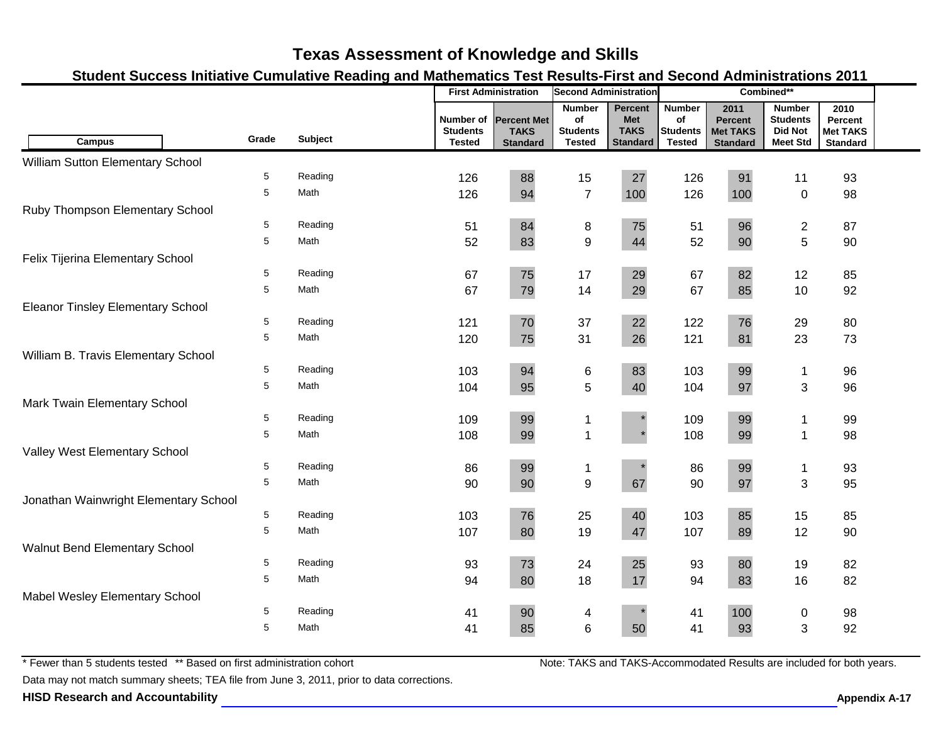### **Student Success Initiative Cumulative Reading and Mathematics Test Results-First and Second Administrations 2011**

|                                          |             |                |                                               | <b>First Administration</b>                          | <b>Second Administration</b>                            |                                                                | Combined**                                              |                                                              |                                                                       |                                                       |  |
|------------------------------------------|-------------|----------------|-----------------------------------------------|------------------------------------------------------|---------------------------------------------------------|----------------------------------------------------------------|---------------------------------------------------------|--------------------------------------------------------------|-----------------------------------------------------------------------|-------------------------------------------------------|--|
| <b>Campus</b>                            | Grade       | <b>Subject</b> | Number of<br><b>Students</b><br><b>Tested</b> | <b>Percent Met</b><br><b>TAKS</b><br><b>Standard</b> | <b>Number</b><br>of<br><b>Students</b><br><b>Tested</b> | <b>Percent</b><br><b>Met</b><br><b>TAKS</b><br><b>Standard</b> | <b>Number</b><br>Οf<br><b>Students</b><br><b>Tested</b> | 2011<br><b>Percent</b><br><b>Met TAKS</b><br><b>Standard</b> | <b>Number</b><br><b>Students</b><br><b>Did Not</b><br><b>Meet Std</b> | 2010<br>Percent<br><b>Met TAKS</b><br><b>Standard</b> |  |
| William Sutton Elementary School         |             |                |                                               |                                                      |                                                         |                                                                |                                                         |                                                              |                                                                       |                                                       |  |
|                                          | 5           | Reading        | 126                                           | 88                                                   | 15                                                      | 27                                                             | 126                                                     | 91                                                           | 11                                                                    | 93                                                    |  |
|                                          | 5           | Math           | 126                                           | 94                                                   | $\overline{7}$                                          | 100                                                            | 126                                                     | 100                                                          | $\mathbf 0$                                                           | 98                                                    |  |
| Ruby Thompson Elementary School          |             |                |                                               |                                                      |                                                         |                                                                |                                                         |                                                              |                                                                       |                                                       |  |
|                                          | 5           | Reading        | 51                                            | 84                                                   | 8                                                       | 75                                                             | 51                                                      | 96                                                           | $\boldsymbol{2}$                                                      | 87                                                    |  |
|                                          | 5           | Math           | 52                                            | 83                                                   | $\boldsymbol{9}$                                        | 44                                                             | 52                                                      | 90                                                           | 5                                                                     | 90                                                    |  |
| Felix Tijerina Elementary School         |             |                |                                               |                                                      |                                                         |                                                                |                                                         |                                                              |                                                                       |                                                       |  |
|                                          | 5           | Reading        | 67                                            | 75                                                   | 17                                                      | 29                                                             | 67                                                      | 82                                                           | 12                                                                    | 85                                                    |  |
|                                          | 5           | Math           | 67                                            | 79                                                   | 14                                                      | 29                                                             | 67                                                      | 85                                                           | 10                                                                    | 92                                                    |  |
| <b>Eleanor Tinsley Elementary School</b> |             |                |                                               |                                                      |                                                         |                                                                |                                                         |                                                              |                                                                       |                                                       |  |
|                                          | 5           | Reading        | 121                                           | 70                                                   | 37                                                      | 22                                                             | 122                                                     | 76                                                           | 29                                                                    | 80                                                    |  |
|                                          | 5           | Math           | 120                                           | 75                                                   | 31                                                      | 26                                                             | 121                                                     | 81                                                           | 23                                                                    | 73                                                    |  |
| William B. Travis Elementary School      |             |                |                                               |                                                      |                                                         |                                                                |                                                         |                                                              |                                                                       |                                                       |  |
|                                          | 5           | Reading        | 103                                           | 94                                                   | 6                                                       | 83                                                             | 103                                                     | 99                                                           | 1                                                                     | 96                                                    |  |
|                                          | 5           | Math           | 104                                           | 95                                                   | 5                                                       | 40                                                             | 104                                                     | 97                                                           | 3                                                                     | 96                                                    |  |
| Mark Twain Elementary School             |             |                |                                               |                                                      |                                                         |                                                                |                                                         |                                                              |                                                                       |                                                       |  |
|                                          | 5           | Reading        | 109                                           | 99                                                   | 1                                                       |                                                                | 109                                                     | 99                                                           | 1                                                                     | 99                                                    |  |
|                                          | 5           | Math           | 108                                           | 99                                                   | $\overline{1}$                                          |                                                                | 108                                                     | 99                                                           | $\mathbf{1}$                                                          | 98                                                    |  |
| Valley West Elementary School            |             |                |                                               |                                                      |                                                         |                                                                |                                                         |                                                              |                                                                       |                                                       |  |
|                                          | 5           | Reading        | 86                                            | 99                                                   | -1                                                      |                                                                | 86                                                      | 99                                                           | $\mathbf 1$                                                           | 93                                                    |  |
|                                          | 5           | Math           | 90                                            | 90                                                   | $\boldsymbol{9}$                                        | 67                                                             | 90                                                      | 97                                                           | 3                                                                     | 95                                                    |  |
| Jonathan Wainwright Elementary School    |             |                |                                               |                                                      |                                                         |                                                                |                                                         |                                                              |                                                                       |                                                       |  |
|                                          | $\,$ 5 $\,$ | Reading        | 103                                           | 76                                                   | 25                                                      | 40                                                             | 103                                                     | 85                                                           | 15                                                                    | 85                                                    |  |
|                                          | 5           | Math           | 107                                           | 80                                                   | 19                                                      | 47                                                             | 107                                                     | 89                                                           | 12                                                                    | 90                                                    |  |
| Walnut Bend Elementary School            |             |                |                                               |                                                      |                                                         |                                                                |                                                         |                                                              |                                                                       |                                                       |  |
|                                          | 5           | Reading        | 93                                            | 73                                                   | 24                                                      | 25                                                             | 93                                                      | 80                                                           | 19                                                                    | 82                                                    |  |
|                                          | 5           | Math           | 94                                            | 80                                                   | 18                                                      | 17                                                             | 94                                                      | 83                                                           | 16                                                                    | 82                                                    |  |
| Mabel Wesley Elementary School           |             |                |                                               |                                                      |                                                         |                                                                |                                                         |                                                              |                                                                       |                                                       |  |
|                                          | 5           | Reading        | 41                                            | 90                                                   | 4                                                       |                                                                | 41                                                      | 100                                                          | 0                                                                     | 98                                                    |  |
|                                          | 5           | Math           | 41                                            | 85                                                   | $6\phantom{1}$                                          | 50                                                             | 41                                                      | 93                                                           | 3                                                                     | 92                                                    |  |
|                                          |             |                |                                               |                                                      |                                                         |                                                                |                                                         |                                                              |                                                                       |                                                       |  |

\* Fewer than 5 students tested \*\* Based on first administration cohort

Data may not match summary sheets; TEA file from June 3, 2011, prior to data corrections.

**HISD Research and Accountability A-17 Appendix A-17 Appendix A-17 Appendix A-17**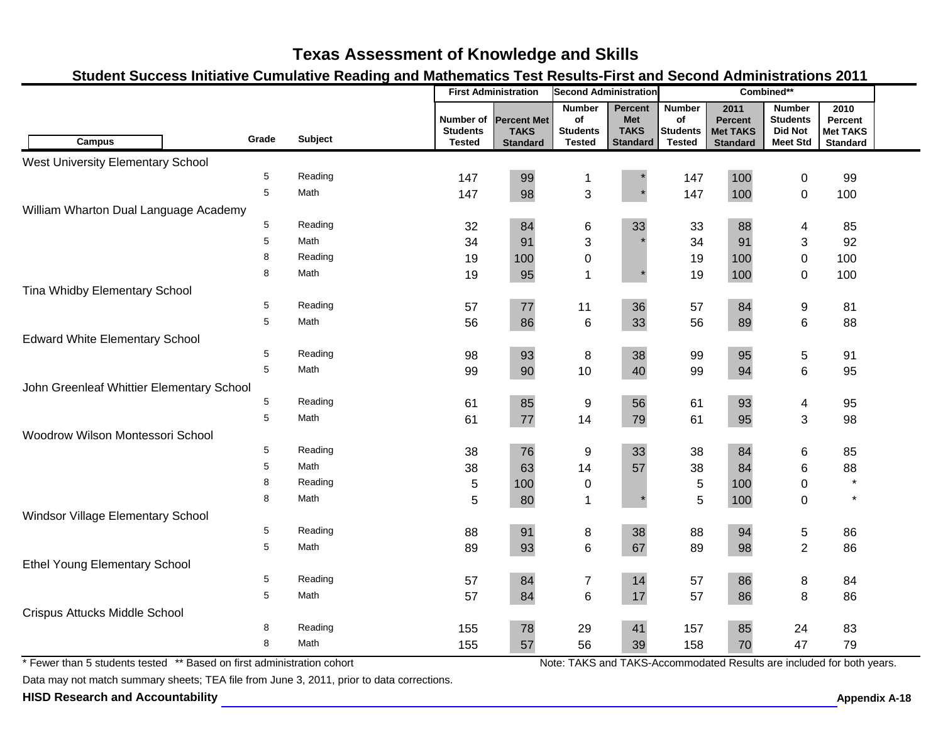### **Student Success Initiative Cumulative Reading and Mathematics Test Results-First and Second Administrations 2011**

|                                                                        |       |                |                                               | <b>First Administration</b>                          | <b>Second Administration</b>                            |                                                                |                                                         | Combined**                                                            |                                                                       |                                                       |  |
|------------------------------------------------------------------------|-------|----------------|-----------------------------------------------|------------------------------------------------------|---------------------------------------------------------|----------------------------------------------------------------|---------------------------------------------------------|-----------------------------------------------------------------------|-----------------------------------------------------------------------|-------------------------------------------------------|--|
| Campus                                                                 | Grade | <b>Subject</b> | Number of<br><b>Students</b><br><b>Tested</b> | <b>Percent Met</b><br><b>TAKS</b><br><b>Standard</b> | <b>Number</b><br>of<br><b>Students</b><br><b>Tested</b> | <b>Percent</b><br><b>Met</b><br><b>TAKS</b><br><b>Standard</b> | <b>Number</b><br>of<br><b>Students</b><br><b>Tested</b> | 2011<br><b>Percent</b><br><b>Met TAKS</b><br><b>Standard</b>          | <b>Number</b><br><b>Students</b><br><b>Did Not</b><br><b>Meet Std</b> | 2010<br>Percent<br><b>Met TAKS</b><br><b>Standard</b> |  |
| <b>West University Elementary School</b>                               |       |                |                                               |                                                      |                                                         |                                                                |                                                         |                                                                       |                                                                       |                                                       |  |
|                                                                        | 5     | Reading        | 147                                           | 99                                                   | 1                                                       |                                                                | 147                                                     | 100                                                                   | 0                                                                     | 99                                                    |  |
|                                                                        | 5     | Math           | 147                                           | 98                                                   | $\mathfrak{S}$                                          |                                                                | 147                                                     | 100                                                                   | $\pmb{0}$                                                             | 100                                                   |  |
| William Wharton Dual Language Academy                                  |       |                |                                               |                                                      |                                                         |                                                                |                                                         |                                                                       |                                                                       |                                                       |  |
|                                                                        | 5     | Reading        | 32                                            | 84                                                   | 6                                                       | 33                                                             | 33                                                      | 88                                                                    | 4                                                                     | 85                                                    |  |
|                                                                        | 5     | Math           | 34                                            | 91                                                   | 3                                                       |                                                                | 34                                                      | 91                                                                    | 3                                                                     | 92                                                    |  |
|                                                                        | 8     | Reading        | 19                                            | 100                                                  | $\pmb{0}$                                               |                                                                | 19                                                      | 100                                                                   | 0                                                                     | 100                                                   |  |
|                                                                        | 8     | Math           | 19                                            | 95                                                   | 1                                                       |                                                                | 19                                                      | 100                                                                   | 0                                                                     | 100                                                   |  |
| Tina Whidby Elementary School                                          |       |                |                                               |                                                      |                                                         |                                                                |                                                         |                                                                       |                                                                       |                                                       |  |
|                                                                        | 5     | Reading        | 57                                            | 77                                                   | 11                                                      | 36                                                             | 57                                                      | 84                                                                    | 9                                                                     | 81                                                    |  |
|                                                                        | 5     | Math           | 56                                            | 86                                                   | 6                                                       | 33                                                             | 56                                                      | 89                                                                    | 6                                                                     | 88                                                    |  |
| <b>Edward White Elementary School</b>                                  |       |                |                                               |                                                      |                                                         |                                                                |                                                         |                                                                       |                                                                       |                                                       |  |
|                                                                        | 5     | Reading        | 98                                            | 93                                                   | 8                                                       | 38                                                             | 99                                                      | 95                                                                    | 5                                                                     | 91                                                    |  |
|                                                                        | 5     | Math           | 99                                            | 90                                                   | 10                                                      | 40                                                             | 99                                                      | 94                                                                    | 6                                                                     | 95                                                    |  |
| John Greenleaf Whittier Elementary School                              |       |                |                                               |                                                      |                                                         |                                                                |                                                         |                                                                       |                                                                       |                                                       |  |
|                                                                        | 5     | Reading        | 61                                            | 85                                                   | 9                                                       | 56                                                             | 61                                                      | 93                                                                    | 4                                                                     | 95                                                    |  |
|                                                                        | 5     | Math           | 61                                            | 77                                                   | 14                                                      | 79                                                             | 61                                                      | 95                                                                    | 3                                                                     | 98                                                    |  |
| Woodrow Wilson Montessori School                                       |       |                |                                               |                                                      |                                                         |                                                                |                                                         |                                                                       |                                                                       |                                                       |  |
|                                                                        | 5     | Reading        | 38                                            | 76                                                   | 9                                                       | 33                                                             | 38                                                      | 84                                                                    | 6                                                                     | 85                                                    |  |
|                                                                        | 5     | Math           | 38                                            | 63                                                   | 14                                                      | 57                                                             | 38                                                      | 84                                                                    | 6                                                                     | 88                                                    |  |
|                                                                        | 8     | Reading        | 5                                             | 100                                                  | $\pmb{0}$                                               |                                                                | $\sqrt{5}$                                              | 100                                                                   | 0                                                                     | $\star$                                               |  |
|                                                                        | 8     | Math           | 5                                             | 80                                                   | 1                                                       |                                                                | 5                                                       | 100                                                                   | $\mathbf 0$                                                           | $\star$                                               |  |
| Windsor Village Elementary School                                      |       |                |                                               |                                                      |                                                         |                                                                |                                                         |                                                                       |                                                                       |                                                       |  |
|                                                                        | 5     | Reading        | 88                                            | 91                                                   | 8                                                       | 38                                                             | 88                                                      | 94                                                                    | 5                                                                     | 86                                                    |  |
|                                                                        | 5     | Math           | 89                                            | 93                                                   | $6\phantom{a}$                                          | 67                                                             | 89                                                      | 98                                                                    | $\overline{2}$                                                        | 86                                                    |  |
| <b>Ethel Young Elementary School</b>                                   |       |                |                                               |                                                      |                                                         |                                                                |                                                         |                                                                       |                                                                       |                                                       |  |
|                                                                        | 5     | Reading        | 57                                            | 84                                                   | $\overline{7}$                                          | 14                                                             | 57                                                      | 86                                                                    | 8                                                                     | 84                                                    |  |
|                                                                        | 5     | Math           | 57                                            | 84                                                   | $6\phantom{1}$                                          | 17                                                             | 57                                                      | 86                                                                    | 8                                                                     | 86                                                    |  |
| Crispus Attucks Middle School                                          |       |                |                                               |                                                      |                                                         |                                                                |                                                         |                                                                       |                                                                       |                                                       |  |
|                                                                        | 8     | Reading        | 155                                           | 78                                                   | 29                                                      | 41                                                             | 157                                                     | 85                                                                    | 24                                                                    | 83                                                    |  |
|                                                                        | 8     | Math           | 155                                           | 57                                                   | 56                                                      | 39                                                             | 158                                                     | 70                                                                    | 47                                                                    | 79                                                    |  |
| * Fewer than 5 students tested ** Based on first administration cohort |       |                |                                               |                                                      |                                                         |                                                                |                                                         | Note: TAKS and TAKS-Accommodated Results are included for both years. |                                                                       |                                                       |  |

\* Fewer than 5 students tested \*\* Based on first administration cohort

Data may not match summary sheets; TEA file from June 3, 2011, prior to data corrections.

**HISD Research and Accountability Allowski School School School Appendix A-18** Appendix A-18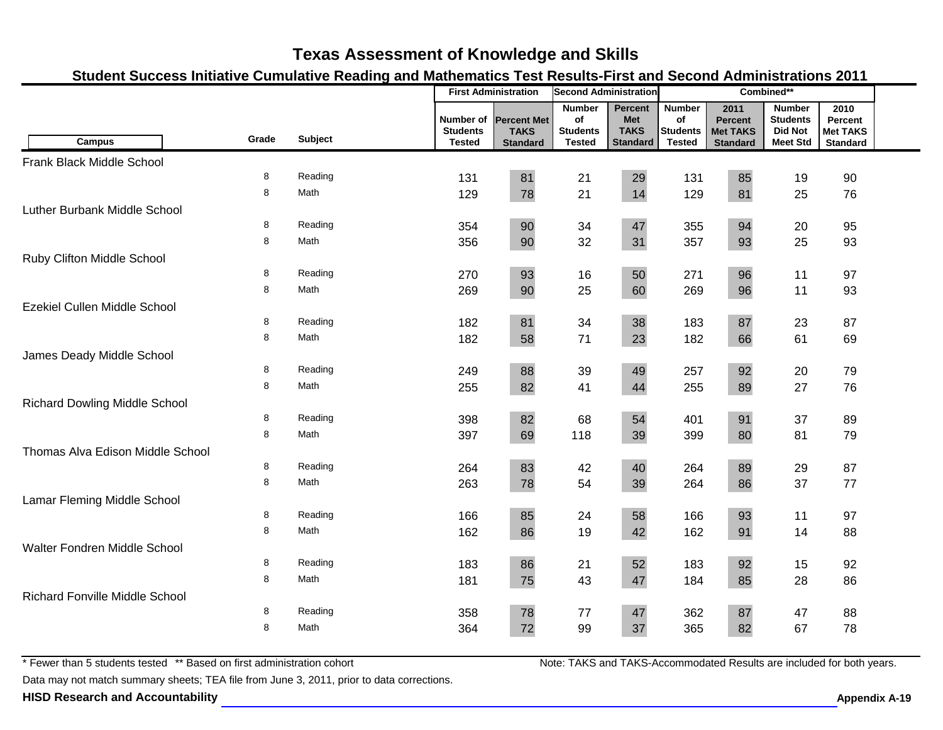### **Student Success Initiative Cumulative Reading and Mathematics Test Results-First and Second Administrations 2011**

|                                       |        |                 |                                               | <b>First Administration</b>                          | <b>Second Administration</b>                            |                                                         | Combined**                                              |                                                              |                                                                       |                                                       |  |
|---------------------------------------|--------|-----------------|-----------------------------------------------|------------------------------------------------------|---------------------------------------------------------|---------------------------------------------------------|---------------------------------------------------------|--------------------------------------------------------------|-----------------------------------------------------------------------|-------------------------------------------------------|--|
| <b>Campus</b>                         | Grade  | Subject         | Number of<br><b>Students</b><br><b>Tested</b> | <b>Percent Met</b><br><b>TAKS</b><br><b>Standard</b> | <b>Number</b><br>of<br><b>Students</b><br><b>Tested</b> | Percent<br><b>Met</b><br><b>TAKS</b><br><b>Standard</b> | <b>Number</b><br>of<br><b>Students</b><br><b>Tested</b> | 2011<br><b>Percent</b><br><b>Met TAKS</b><br><b>Standard</b> | <b>Number</b><br><b>Students</b><br><b>Did Not</b><br><b>Meet Std</b> | 2010<br>Percent<br><b>Met TAKS</b><br><b>Standard</b> |  |
| Frank Black Middle School             |        |                 |                                               |                                                      |                                                         |                                                         |                                                         |                                                              |                                                                       |                                                       |  |
|                                       | 8      | Reading         | 131                                           | 81                                                   | 21                                                      | 29                                                      | 131                                                     | 85                                                           | 19                                                                    | 90                                                    |  |
|                                       | 8      | Math            | 129                                           | 78                                                   | 21                                                      | 14                                                      | 129                                                     | 81                                                           | 25                                                                    | 76                                                    |  |
| Luther Burbank Middle School          |        |                 |                                               |                                                      |                                                         |                                                         |                                                         |                                                              |                                                                       |                                                       |  |
|                                       | 8      | Reading         | 354                                           | 90                                                   | 34                                                      | 47                                                      | 355                                                     | 94                                                           | 20                                                                    | 95                                                    |  |
|                                       | 8      | Math            | 356                                           | 90                                                   | 32                                                      | 31                                                      | 357                                                     | 93                                                           | 25                                                                    | 93                                                    |  |
| Ruby Clifton Middle School            |        |                 |                                               |                                                      |                                                         |                                                         |                                                         |                                                              |                                                                       |                                                       |  |
|                                       | 8      | Reading         | 270                                           | 93                                                   | 16                                                      | 50                                                      | 271                                                     | 96                                                           | 11                                                                    | 97                                                    |  |
|                                       | 8      | Math            | 269                                           | 90                                                   | 25                                                      | 60                                                      | 269                                                     | 96                                                           | 11                                                                    | 93                                                    |  |
| Ezekiel Cullen Middle School          |        |                 |                                               |                                                      |                                                         |                                                         |                                                         |                                                              |                                                                       |                                                       |  |
|                                       | 8      | Reading         | 182                                           | 81                                                   | 34                                                      | 38                                                      | 183                                                     | 87                                                           | 23                                                                    | 87                                                    |  |
|                                       | 8      | Math            | 182                                           | 58                                                   | 71                                                      | 23                                                      | 182                                                     | 66                                                           | 61                                                                    | 69                                                    |  |
| James Deady Middle School             |        |                 |                                               |                                                      |                                                         |                                                         |                                                         |                                                              |                                                                       |                                                       |  |
|                                       | 8<br>8 | Reading<br>Math | 249                                           | 88                                                   | 39                                                      | 49                                                      | 257                                                     | 92                                                           | 20                                                                    | 79                                                    |  |
|                                       |        |                 | 255                                           | 82                                                   | 41                                                      | 44                                                      | 255                                                     | 89                                                           | 27                                                                    | 76                                                    |  |
| <b>Richard Dowling Middle School</b>  | 8      | Reading         |                                               | 82                                                   | 68                                                      | 54                                                      |                                                         | 91                                                           | 37                                                                    | 89                                                    |  |
|                                       | 8      | Math            | 398<br>397                                    | 69                                                   | 118                                                     | 39                                                      | 401<br>399                                              | 80                                                           | 81                                                                    | 79                                                    |  |
| Thomas Alva Edison Middle School      |        |                 |                                               |                                                      |                                                         |                                                         |                                                         |                                                              |                                                                       |                                                       |  |
|                                       | 8      | Reading         | 264                                           | 83                                                   | 42                                                      | 40                                                      | 264                                                     | 89                                                           | 29                                                                    | 87                                                    |  |
|                                       | 8      | Math            | 263                                           | 78                                                   | 54                                                      | 39                                                      | 264                                                     | 86                                                           | 37                                                                    | 77                                                    |  |
| Lamar Fleming Middle School           |        |                 |                                               |                                                      |                                                         |                                                         |                                                         |                                                              |                                                                       |                                                       |  |
|                                       | 8      | Reading         | 166                                           | 85                                                   | 24                                                      | 58                                                      | 166                                                     | 93                                                           | 11                                                                    | 97                                                    |  |
|                                       | 8      | Math            | 162                                           | 86                                                   | 19                                                      | 42                                                      | 162                                                     | 91                                                           | 14                                                                    | 88                                                    |  |
| Walter Fondren Middle School          |        |                 |                                               |                                                      |                                                         |                                                         |                                                         |                                                              |                                                                       |                                                       |  |
|                                       | 8      | Reading         | 183                                           | 86                                                   | 21                                                      | 52                                                      | 183                                                     | 92                                                           | 15                                                                    | 92                                                    |  |
|                                       | 8      | Math            | 181                                           | 75                                                   | 43                                                      | 47                                                      | 184                                                     | 85                                                           | 28                                                                    | 86                                                    |  |
| <b>Richard Fonville Middle School</b> |        |                 |                                               |                                                      |                                                         |                                                         |                                                         |                                                              |                                                                       |                                                       |  |
|                                       | 8      | Reading         | 358                                           | 78                                                   | 77                                                      | 47                                                      | 362                                                     | 87                                                           | 47                                                                    | 88                                                    |  |
|                                       | 8      | Math            | 364                                           | 72                                                   | 99                                                      | 37                                                      | 365                                                     | 82                                                           | 67                                                                    | 78                                                    |  |
|                                       |        |                 |                                               |                                                      |                                                         |                                                         |                                                         |                                                              |                                                                       |                                                       |  |

\* Fewer than 5 students tested \*\* Based on first administration cohort

Data may not match summary sheets; TEA file from June 3, 2011, prior to data corrections.

**HISD Research and Accountability Allowski School School School Appendix A-19 Appendix A-19**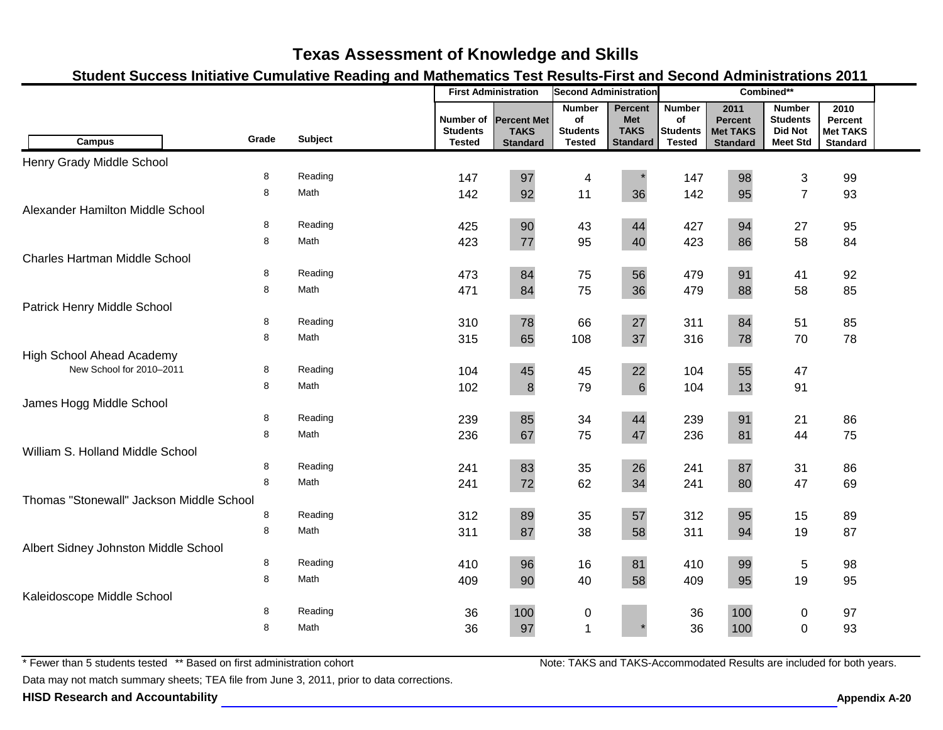### **Student Success Initiative Cumulative Reading and Mathematics Test Results-First and Second Administrations 2011**

|                                          |       |         |                                               | <b>First Administration</b>                          | <b>Second Administration</b>                            |                                                         | Combined**                                       |                                                              |                                                                       |                                                       |  |
|------------------------------------------|-------|---------|-----------------------------------------------|------------------------------------------------------|---------------------------------------------------------|---------------------------------------------------------|--------------------------------------------------|--------------------------------------------------------------|-----------------------------------------------------------------------|-------------------------------------------------------|--|
| <b>Campus</b>                            | Grade | Subject | Number of<br><b>Students</b><br><b>Tested</b> | <b>Percent Met</b><br><b>TAKS</b><br><b>Standard</b> | <b>Number</b><br>of<br><b>Students</b><br><b>Tested</b> | Percent<br><b>Met</b><br><b>TAKS</b><br><b>Standard</b> | <b>Number</b><br>of<br><b>Students</b><br>Tested | 2011<br><b>Percent</b><br><b>Met TAKS</b><br><b>Standard</b> | <b>Number</b><br><b>Students</b><br><b>Did Not</b><br><b>Meet Std</b> | 2010<br>Percent<br><b>Met TAKS</b><br><b>Standard</b> |  |
| Henry Grady Middle School                |       |         |                                               |                                                      |                                                         |                                                         |                                                  |                                                              |                                                                       |                                                       |  |
|                                          | 8     | Reading | 147                                           | 97                                                   | 4                                                       |                                                         | 147                                              | 98                                                           | 3                                                                     | 99                                                    |  |
|                                          | 8     | Math    | 142                                           | 92                                                   | 11                                                      | 36                                                      | 142                                              | 95                                                           | $\overline{7}$                                                        | 93                                                    |  |
| Alexander Hamilton Middle School         |       |         |                                               |                                                      |                                                         |                                                         |                                                  |                                                              |                                                                       |                                                       |  |
|                                          | 8     | Reading | 425                                           | 90                                                   | 43                                                      | 44                                                      | 427                                              | 94                                                           | 27                                                                    | 95                                                    |  |
|                                          | 8     | Math    | 423                                           | $77 \,$                                              | 95                                                      | 40                                                      | 423                                              | 86                                                           | 58                                                                    | 84                                                    |  |
| Charles Hartman Middle School            |       |         |                                               |                                                      |                                                         |                                                         |                                                  |                                                              |                                                                       |                                                       |  |
|                                          | 8     | Reading | 473                                           | 84                                                   | 75                                                      | 56                                                      | 479                                              | 91                                                           | 41                                                                    | 92                                                    |  |
|                                          | 8     | Math    | 471                                           | 84                                                   | 75                                                      | 36                                                      | 479                                              | 88                                                           | 58                                                                    | 85                                                    |  |
| Patrick Henry Middle School              |       |         |                                               |                                                      |                                                         |                                                         |                                                  |                                                              |                                                                       |                                                       |  |
|                                          | 8     | Reading | 310                                           | 78                                                   | 66                                                      | 27                                                      | 311                                              | 84                                                           | 51                                                                    | 85                                                    |  |
|                                          | 8     | Math    | 315                                           | 65                                                   | 108                                                     | 37                                                      | 316                                              | 78                                                           | 70                                                                    | 78                                                    |  |
| <b>High School Ahead Academy</b>         |       |         |                                               |                                                      |                                                         |                                                         |                                                  |                                                              |                                                                       |                                                       |  |
| New School for 2010-2011                 | 8     | Reading | 104                                           | 45                                                   | 45                                                      | 22                                                      | 104                                              | 55                                                           | 47                                                                    |                                                       |  |
|                                          | 8     | Math    | 102                                           | $\bf 8$                                              | 79                                                      | 6                                                       | 104                                              | 13                                                           | 91                                                                    |                                                       |  |
| James Hogg Middle School                 |       |         |                                               |                                                      |                                                         |                                                         |                                                  |                                                              |                                                                       |                                                       |  |
|                                          | 8     | Reading | 239                                           | 85                                                   | 34                                                      | 44                                                      | 239                                              | 91                                                           | 21                                                                    | 86                                                    |  |
|                                          | 8     | Math    | 236                                           | 67                                                   | 75                                                      | 47                                                      | 236                                              | 81                                                           | 44                                                                    | 75                                                    |  |
| William S. Holland Middle School         |       |         |                                               |                                                      |                                                         |                                                         |                                                  |                                                              |                                                                       |                                                       |  |
|                                          | 8     | Reading | 241                                           | 83                                                   | 35                                                      | 26                                                      | 241                                              | 87                                                           | 31                                                                    | 86                                                    |  |
|                                          | 8     | Math    | 241                                           | 72                                                   | 62                                                      | 34                                                      | 241                                              | 80                                                           | 47                                                                    | 69                                                    |  |
| Thomas "Stonewall" Jackson Middle School |       |         |                                               |                                                      |                                                         |                                                         |                                                  |                                                              |                                                                       |                                                       |  |
|                                          | 8     | Reading | 312                                           | 89                                                   | 35                                                      | 57                                                      | 312                                              | 95                                                           | 15                                                                    | 89                                                    |  |
|                                          | 8     | Math    | 311                                           | 87                                                   | 38                                                      | 58                                                      | 311                                              | 94                                                           | 19                                                                    | 87                                                    |  |
| Albert Sidney Johnston Middle School     |       |         |                                               |                                                      |                                                         |                                                         |                                                  |                                                              |                                                                       |                                                       |  |
|                                          | 8     | Reading | 410                                           | 96                                                   | 16                                                      | 81                                                      | 410                                              | 99                                                           | 5                                                                     | 98                                                    |  |
|                                          | 8     | Math    | 409                                           | 90                                                   | 40                                                      | 58                                                      | 409                                              | 95                                                           | 19                                                                    | 95                                                    |  |
| Kaleidoscope Middle School               |       |         |                                               |                                                      |                                                         |                                                         |                                                  |                                                              |                                                                       |                                                       |  |
|                                          | 8     | Reading | 36                                            | 100                                                  | 0                                                       |                                                         | 36                                               | 100                                                          | 0                                                                     | 97                                                    |  |
|                                          | 8     | Math    | 36                                            | 97                                                   | $\overline{1}$                                          |                                                         | 36                                               | 100                                                          | $\overline{0}$                                                        | 93                                                    |  |
|                                          |       |         |                                               |                                                      |                                                         |                                                         |                                                  |                                                              |                                                                       |                                                       |  |

\* Fewer than 5 students tested \*\* Based on first administration cohort

Data may not match summary sheets; TEA file from June 3, 2011, prior to data corrections.

**HISD Research and Accountability A-20 Appendix A-20 Appendix A-20**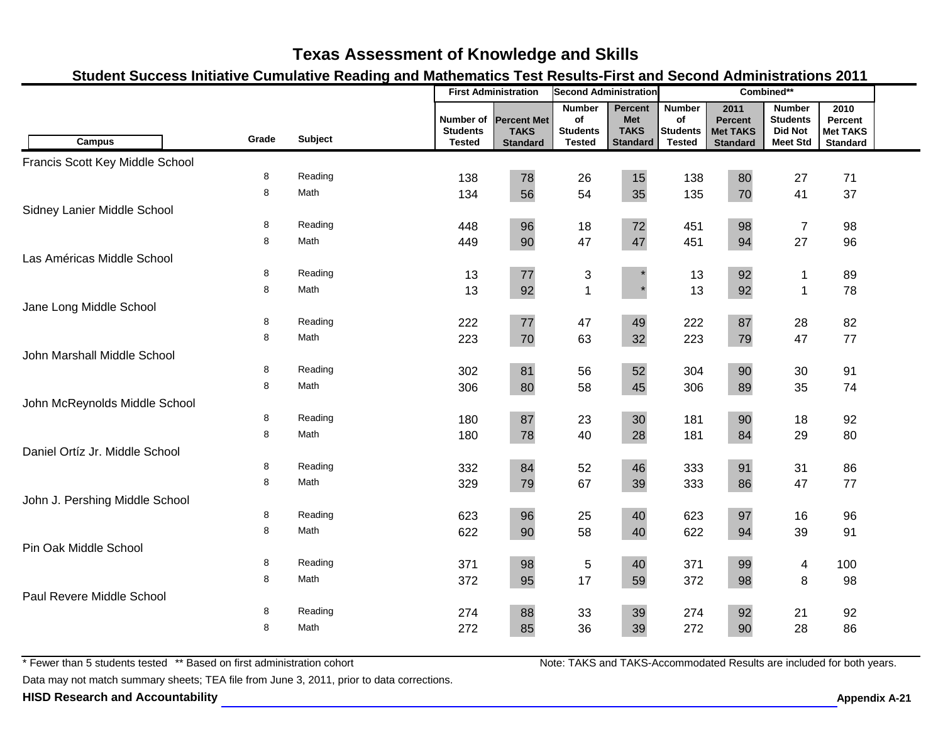### **Student Success Initiative Cumulative Reading and Mathematics Test Results-First and Second Administrations 2011**

|                                 |        |         |                                               | <b>First Administration</b>                          | <b>Second Administration</b>                            |                                                         | Combined**                                              |                                                              |                                                                       |                                                       |  |
|---------------------------------|--------|---------|-----------------------------------------------|------------------------------------------------------|---------------------------------------------------------|---------------------------------------------------------|---------------------------------------------------------|--------------------------------------------------------------|-----------------------------------------------------------------------|-------------------------------------------------------|--|
| <b>Campus</b>                   | Grade  | Subject | Number of<br><b>Students</b><br><b>Tested</b> | <b>Percent Met</b><br><b>TAKS</b><br><b>Standard</b> | <b>Number</b><br>of<br><b>Students</b><br><b>Tested</b> | Percent<br><b>Met</b><br><b>TAKS</b><br><b>Standard</b> | <b>Number</b><br>of<br><b>Students</b><br><b>Tested</b> | 2011<br><b>Percent</b><br><b>Met TAKS</b><br><b>Standard</b> | <b>Number</b><br><b>Students</b><br><b>Did Not</b><br><b>Meet Std</b> | 2010<br>Percent<br><b>Met TAKS</b><br><b>Standard</b> |  |
| Francis Scott Key Middle School |        |         |                                               |                                                      |                                                         |                                                         |                                                         |                                                              |                                                                       |                                                       |  |
|                                 | 8      | Reading | 138                                           | 78                                                   | 26                                                      | 15                                                      | 138                                                     | 80                                                           | 27                                                                    | 71                                                    |  |
|                                 | 8      | Math    | 134                                           | 56                                                   | 54                                                      | 35                                                      | 135                                                     | 70                                                           | 41                                                                    | 37                                                    |  |
| Sidney Lanier Middle School     |        |         |                                               |                                                      |                                                         |                                                         |                                                         |                                                              |                                                                       |                                                       |  |
|                                 | 8      | Reading | 448                                           | 96                                                   | 18                                                      | 72                                                      | 451                                                     | 98                                                           | $\boldsymbol{7}$                                                      | 98                                                    |  |
|                                 | 8      | Math    | 449                                           | 90                                                   | 47                                                      | 47                                                      | 451                                                     | 94                                                           | 27                                                                    | 96                                                    |  |
| Las Américas Middle School      |        |         |                                               |                                                      |                                                         |                                                         |                                                         |                                                              |                                                                       |                                                       |  |
|                                 | 8      | Reading | 13                                            | $77\,$                                               | 3                                                       |                                                         | 13                                                      | 92                                                           | $\mathbf 1$                                                           | 89                                                    |  |
|                                 | 8      | Math    | 13                                            | 92                                                   | $\overline{1}$                                          |                                                         | 13                                                      | 92                                                           | $\mathbf{1}$                                                          | 78                                                    |  |
| Jane Long Middle School         |        |         |                                               |                                                      |                                                         |                                                         |                                                         |                                                              |                                                                       |                                                       |  |
|                                 | 8      | Reading | 222                                           | $77\,$                                               | 47                                                      | 49                                                      | 222                                                     | 87                                                           | 28                                                                    | 82                                                    |  |
|                                 | 8      | Math    | 223                                           | 70                                                   | 63                                                      | 32                                                      | 223                                                     | 79                                                           | 47                                                                    | 77                                                    |  |
| John Marshall Middle School     |        |         |                                               |                                                      |                                                         |                                                         |                                                         |                                                              |                                                                       |                                                       |  |
|                                 | 8      | Reading | 302                                           | 81                                                   | 56                                                      | 52                                                      | 304                                                     | 90                                                           | 30                                                                    | 91                                                    |  |
|                                 | 8      | Math    | 306                                           | 80                                                   | 58                                                      | 45                                                      | 306                                                     | 89                                                           | 35                                                                    | 74                                                    |  |
| John McReynolds Middle School   |        |         |                                               |                                                      |                                                         |                                                         |                                                         |                                                              |                                                                       |                                                       |  |
|                                 | 8      | Reading | 180                                           | 87                                                   | 23                                                      | 30                                                      | 181                                                     | 90                                                           | 18                                                                    | 92                                                    |  |
|                                 | 8      | Math    | 180                                           | 78                                                   | 40                                                      | 28                                                      | 181                                                     | 84                                                           | 29                                                                    | 80                                                    |  |
| Daniel Ortíz Jr. Middle School  |        |         |                                               |                                                      |                                                         |                                                         |                                                         |                                                              |                                                                       |                                                       |  |
|                                 | 8      | Reading | 332                                           | 84                                                   | 52                                                      | 46                                                      | 333                                                     | 91                                                           | 31                                                                    | 86                                                    |  |
|                                 | 8      | Math    | 329                                           | 79                                                   | 67                                                      | 39                                                      | 333                                                     | 86                                                           | 47                                                                    | 77                                                    |  |
| John J. Pershing Middle School  |        |         |                                               |                                                      |                                                         |                                                         |                                                         |                                                              |                                                                       |                                                       |  |
|                                 | 8      | Reading | 623                                           | 96                                                   | 25                                                      | 40                                                      | 623                                                     | 97                                                           | 16                                                                    | 96                                                    |  |
|                                 | 8      | Math    | 622                                           | 90                                                   | 58                                                      | 40                                                      | 622                                                     | 94                                                           | 39                                                                    | 91                                                    |  |
| Pin Oak Middle School           |        |         |                                               |                                                      |                                                         |                                                         |                                                         |                                                              |                                                                       |                                                       |  |
|                                 | 8      | Reading | 371                                           | 98                                                   | $\,$ 5 $\,$                                             | 40                                                      | 371                                                     | 99                                                           | 4                                                                     | 100                                                   |  |
|                                 | 8      | Math    | 372                                           | 95                                                   | 17                                                      | 59                                                      | 372                                                     | 98                                                           | 8                                                                     | 98                                                    |  |
| Paul Revere Middle School       |        |         |                                               |                                                      |                                                         |                                                         |                                                         |                                                              |                                                                       |                                                       |  |
|                                 | 8<br>8 | Reading | 274                                           | 88                                                   | 33                                                      | 39                                                      | 274                                                     | 92                                                           | 21                                                                    | 92                                                    |  |
|                                 |        | Math    | 272                                           | 85                                                   | 36                                                      | 39                                                      | 272                                                     | 90                                                           | 28                                                                    | 86                                                    |  |

\* Fewer than 5 students tested \*\* Based on first administration cohort

Data may not match summary sheets; TEA file from June 3, 2011, prior to data corrections.

**HISD Research and Accountability A-21 Appendix A-21 Appendix A-21 Appendix A-21**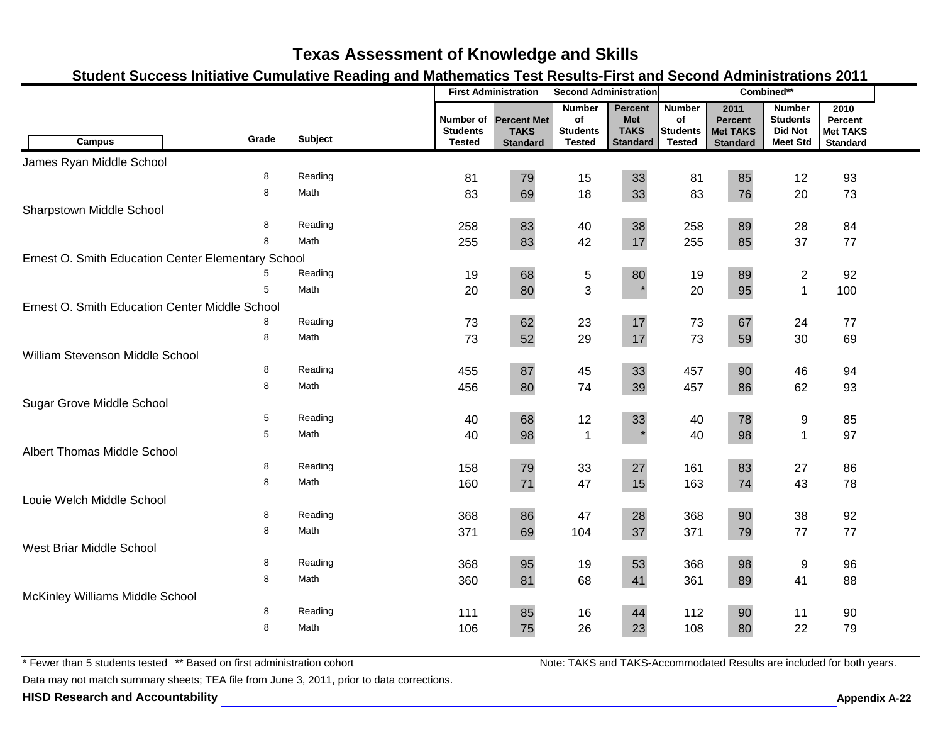### **Student Success Initiative Cumulative Reading and Mathematics Test Results-First and Second Administrations 2011**

|                                                    |       |                |                                               | <b>First Administration</b>                          | <b>Second Administration</b>                            |                                                         | Combined**                                              |                                                              |                                                                       |                                                       |  |
|----------------------------------------------------|-------|----------------|-----------------------------------------------|------------------------------------------------------|---------------------------------------------------------|---------------------------------------------------------|---------------------------------------------------------|--------------------------------------------------------------|-----------------------------------------------------------------------|-------------------------------------------------------|--|
| <b>Campus</b>                                      | Grade | <b>Subject</b> | Number of<br><b>Students</b><br><b>Tested</b> | <b>Percent Met</b><br><b>TAKS</b><br><b>Standard</b> | <b>Number</b><br>of<br><b>Students</b><br><b>Tested</b> | Percent<br><b>Met</b><br><b>TAKS</b><br><b>Standard</b> | <b>Number</b><br>of<br><b>Students</b><br><b>Tested</b> | 2011<br><b>Percent</b><br><b>Met TAKS</b><br><b>Standard</b> | <b>Number</b><br><b>Students</b><br><b>Did Not</b><br><b>Meet Std</b> | 2010<br>Percent<br><b>Met TAKS</b><br><b>Standard</b> |  |
| James Ryan Middle School                           |       |                |                                               |                                                      |                                                         |                                                         |                                                         |                                                              |                                                                       |                                                       |  |
|                                                    | 8     | Reading        | 81                                            | 79                                                   | 15                                                      | 33                                                      | 81                                                      | 85                                                           | 12                                                                    | 93                                                    |  |
|                                                    | 8     | Math           | 83                                            | 69                                                   | 18                                                      | 33                                                      | 83                                                      | 76                                                           | 20                                                                    | 73                                                    |  |
| Sharpstown Middle School                           |       |                |                                               |                                                      |                                                         |                                                         |                                                         |                                                              |                                                                       |                                                       |  |
|                                                    | 8     | Reading        | 258                                           | 83                                                   | 40                                                      | 38                                                      | 258                                                     | 89                                                           | 28                                                                    | 84                                                    |  |
|                                                    | 8     | Math           | 255                                           | 83                                                   | 42                                                      | 17                                                      | 255                                                     | 85                                                           | 37                                                                    | 77                                                    |  |
| Ernest O. Smith Education Center Elementary School |       |                |                                               |                                                      |                                                         |                                                         |                                                         |                                                              |                                                                       |                                                       |  |
|                                                    |       | Reading        | 19                                            | 68                                                   | 5                                                       | 80                                                      | 19                                                      | 89                                                           | $\overline{2}$                                                        | 92                                                    |  |
|                                                    | 5     | Math           | 20                                            | 80                                                   | 3                                                       |                                                         | 20                                                      | 95                                                           | $\mathbf{1}$                                                          | 100                                                   |  |
| Ernest O. Smith Education Center Middle School     |       |                |                                               |                                                      |                                                         |                                                         |                                                         |                                                              |                                                                       |                                                       |  |
|                                                    | 8     | Reading        | 73                                            | 62                                                   | 23                                                      | 17                                                      | 73                                                      | 67                                                           | 24                                                                    | 77                                                    |  |
|                                                    | 8     | Math           | 73                                            | 52                                                   | 29                                                      | 17                                                      | 73                                                      | 59                                                           | 30                                                                    | 69                                                    |  |
| William Stevenson Middle School                    |       |                |                                               |                                                      |                                                         |                                                         |                                                         |                                                              |                                                                       |                                                       |  |
|                                                    | 8     | Reading        | 455                                           | 87                                                   | 45                                                      | 33                                                      | 457                                                     | 90                                                           | 46                                                                    | 94                                                    |  |
|                                                    | 8     | Math           | 456                                           | 80                                                   | 74                                                      | 39                                                      | 457                                                     | 86                                                           | 62                                                                    | 93                                                    |  |
| <b>Sugar Grove Middle School</b>                   |       |                |                                               |                                                      |                                                         |                                                         |                                                         |                                                              |                                                                       |                                                       |  |
|                                                    | 5     | Reading        | 40                                            | 68                                                   | 12                                                      | 33                                                      | 40                                                      | 78                                                           | 9                                                                     | 85                                                    |  |
|                                                    | 5     | Math           | 40                                            | 98                                                   | $\mathbf{1}$                                            |                                                         | 40                                                      | 98                                                           | $\mathbf{1}$                                                          | 97                                                    |  |
| Albert Thomas Middle School                        |       |                |                                               |                                                      |                                                         |                                                         |                                                         |                                                              |                                                                       |                                                       |  |
|                                                    | 8     | Reading        | 158                                           | 79                                                   | 33                                                      | 27                                                      | 161                                                     | 83                                                           | 27                                                                    | 86                                                    |  |
|                                                    | 8     | Math           | 160                                           | 71                                                   | 47                                                      | 15                                                      | 163                                                     | 74                                                           | 43                                                                    | 78                                                    |  |
| Louie Welch Middle School                          |       |                |                                               |                                                      |                                                         |                                                         |                                                         |                                                              |                                                                       |                                                       |  |
|                                                    | 8     | Reading        | 368                                           | 86                                                   | 47                                                      | 28                                                      | 368                                                     | 90                                                           | 38                                                                    | 92                                                    |  |
|                                                    | 8     | Math           | 371                                           | 69                                                   | 104                                                     | 37                                                      | 371                                                     | 79                                                           | 77                                                                    | 77                                                    |  |
| West Briar Middle School                           |       |                |                                               |                                                      |                                                         |                                                         |                                                         |                                                              |                                                                       |                                                       |  |
|                                                    | 8     | Reading        | 368                                           | 95                                                   | 19                                                      | 53                                                      | 368                                                     | 98                                                           | 9                                                                     | 96                                                    |  |
|                                                    | 8     | Math           | 360                                           | 81                                                   | 68                                                      | 41                                                      | 361                                                     | 89                                                           | 41                                                                    | 88                                                    |  |
| McKinley Williams Middle School                    |       |                |                                               |                                                      |                                                         |                                                         |                                                         |                                                              |                                                                       |                                                       |  |
|                                                    | 8     | Reading        | 111                                           | 85                                                   | 16                                                      | 44                                                      | 112                                                     | 90                                                           | 11                                                                    | 90                                                    |  |
|                                                    | 8     | Math           | 106                                           | 75                                                   | 26                                                      | 23                                                      | 108                                                     | 80                                                           | 22                                                                    | 79                                                    |  |

\* Fewer than 5 students tested \*\* Based on first administration cohort

Data may not match summary sheets; TEA file from June 3, 2011, prior to data corrections.

**HISD Research and Accountability A-22 Appendix A-22**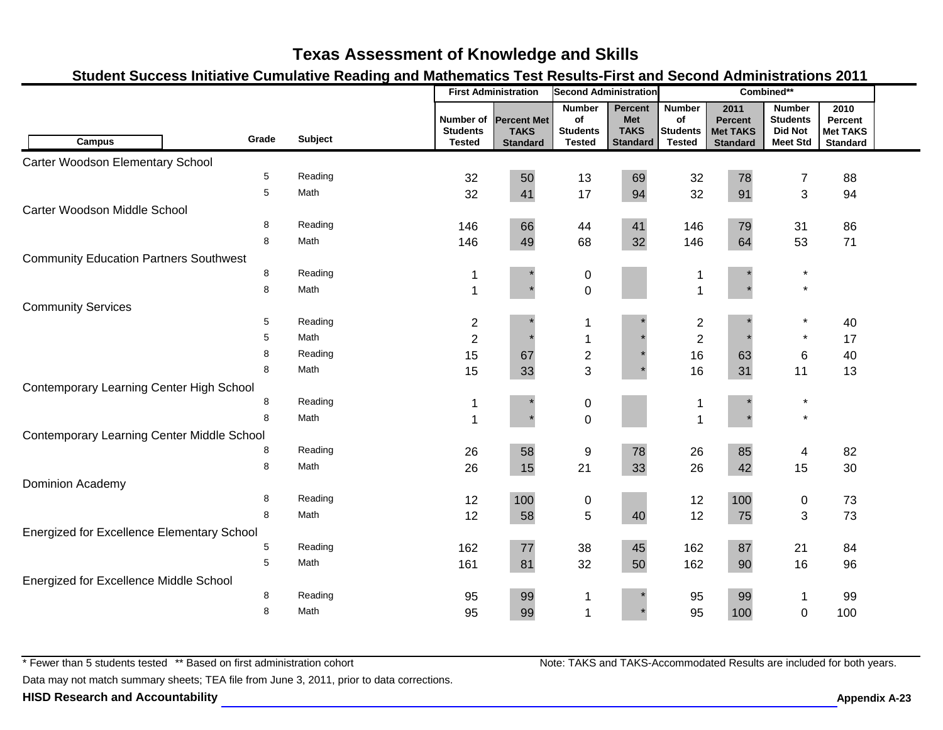### **Student Success Initiative Cumulative Reading and Mathematics Test Results-First and Second Administrations 2011**

|                                                   |            |                |                                               |                                                      | <b>Second Administration</b>                     |                                                                | Combined**                                              |                                                              |                                                                       |                                                       |  |
|---------------------------------------------------|------------|----------------|-----------------------------------------------|------------------------------------------------------|--------------------------------------------------|----------------------------------------------------------------|---------------------------------------------------------|--------------------------------------------------------------|-----------------------------------------------------------------------|-------------------------------------------------------|--|
| <b>Campus</b>                                     | Grade      | <b>Subject</b> | Number of<br><b>Students</b><br><b>Tested</b> | <b>Percent Met</b><br><b>TAKS</b><br><b>Standard</b> | <b>Number</b><br>of<br><b>Students</b><br>Tested | <b>Percent</b><br><b>Met</b><br><b>TAKS</b><br><b>Standard</b> | <b>Number</b><br>of<br><b>Students</b><br><b>Tested</b> | 2011<br><b>Percent</b><br><b>Met TAKS</b><br><b>Standard</b> | <b>Number</b><br><b>Students</b><br><b>Did Not</b><br><b>Meet Std</b> | 2010<br>Percent<br><b>Met TAKS</b><br><b>Standard</b> |  |
|                                                   |            |                |                                               |                                                      |                                                  |                                                                |                                                         |                                                              |                                                                       |                                                       |  |
| Carter Woodson Elementary School                  |            |                |                                               |                                                      |                                                  |                                                                |                                                         |                                                              |                                                                       |                                                       |  |
|                                                   | $\sqrt{5}$ | Reading        | 32                                            | 50                                                   | 13                                               | 69                                                             | 32                                                      | 78                                                           | 7                                                                     | 88                                                    |  |
|                                                   | 5          | Math           | 32                                            | 41                                                   | 17                                               | 94                                                             | 32                                                      | 91                                                           | 3                                                                     | 94                                                    |  |
| Carter Woodson Middle School                      |            |                |                                               |                                                      |                                                  |                                                                |                                                         |                                                              |                                                                       |                                                       |  |
|                                                   | 8          | Reading        | 146                                           | 66                                                   | 44                                               | 41                                                             | 146                                                     | 79                                                           | 31                                                                    | 86                                                    |  |
|                                                   | 8          | Math           | 146                                           | 49                                                   | 68                                               | 32                                                             | 146                                                     | 64                                                           | 53                                                                    | 71                                                    |  |
| <b>Community Education Partners Southwest</b>     |            |                |                                               |                                                      |                                                  |                                                                |                                                         |                                                              |                                                                       |                                                       |  |
|                                                   | $\bf 8$    | Reading        |                                               |                                                      | 0                                                |                                                                |                                                         |                                                              | $\star$                                                               |                                                       |  |
|                                                   | 8          | Math           | $\overline{1}$                                |                                                      | $\mathbf 0$                                      |                                                                | 1                                                       |                                                              | $\star$                                                               |                                                       |  |
| <b>Community Services</b>                         |            |                |                                               |                                                      |                                                  |                                                                |                                                         |                                                              |                                                                       |                                                       |  |
|                                                   | 5          | Reading        | $\overline{\mathbf{c}}$                       |                                                      | 1                                                |                                                                | $\overline{c}$                                          |                                                              | $\star$                                                               | 40                                                    |  |
|                                                   | 5          | Math           | $\overline{2}$                                |                                                      | 1                                                |                                                                | $\overline{2}$                                          |                                                              | $\star$                                                               | 17                                                    |  |
|                                                   | 8          | Reading        | 15                                            | 67                                                   | $\overline{\mathbf{c}}$                          |                                                                | 16                                                      | 63                                                           | 6                                                                     | 40                                                    |  |
|                                                   | 8          | Math           | 15                                            | 33                                                   | 3                                                |                                                                | 16                                                      | 31                                                           | 11                                                                    | 13                                                    |  |
| Contemporary Learning Center High School          |            |                |                                               |                                                      |                                                  |                                                                |                                                         |                                                              |                                                                       |                                                       |  |
|                                                   | 8          | Reading        |                                               |                                                      | $\pmb{0}$                                        |                                                                |                                                         |                                                              | $\ast$                                                                |                                                       |  |
|                                                   | 8          | Math           | 1                                             |                                                      | $\mathbf 0$                                      |                                                                | $\overline{ }$                                          |                                                              | $\star$                                                               |                                                       |  |
| Contemporary Learning Center Middle School        |            |                |                                               |                                                      |                                                  |                                                                |                                                         |                                                              |                                                                       |                                                       |  |
|                                                   | 8          | Reading        | 26                                            | 58                                                   | 9                                                | 78                                                             | 26                                                      | 85                                                           | 4                                                                     | 82                                                    |  |
|                                                   | 8          | Math           | 26                                            | 15                                                   | 21                                               | 33                                                             | 26                                                      | 42                                                           | 15                                                                    | 30                                                    |  |
| Dominion Academy                                  |            |                |                                               |                                                      |                                                  |                                                                |                                                         |                                                              |                                                                       |                                                       |  |
|                                                   | 8          | Reading        | 12                                            | 100                                                  | $\pmb{0}$                                        |                                                                | 12                                                      | 100                                                          | 0                                                                     | 73                                                    |  |
|                                                   | 8          | Math           | 12                                            | 58                                                   | 5                                                | 40                                                             | 12                                                      | 75                                                           | $\mathbf{3}$                                                          | 73                                                    |  |
| <b>Energized for Excellence Elementary School</b> |            |                |                                               |                                                      |                                                  |                                                                |                                                         |                                                              |                                                                       |                                                       |  |
|                                                   | 5          | Reading        | 162                                           | $77\,$                                               | 38                                               | 45                                                             | 162                                                     | 87                                                           | 21                                                                    | 84                                                    |  |
|                                                   | 5          | Math           | 161                                           | 81                                                   | 32                                               | 50                                                             | 162                                                     | 90                                                           | 16                                                                    | 96                                                    |  |
| Energized for Excellence Middle School            |            |                |                                               |                                                      |                                                  |                                                                |                                                         |                                                              |                                                                       |                                                       |  |
|                                                   | 8          | Reading        | 95                                            | 99                                                   | 1                                                |                                                                | 95                                                      | 99                                                           | 1                                                                     | 99                                                    |  |
|                                                   | 8          | Math           | 95                                            | 99                                                   | 1                                                |                                                                | 95                                                      | 100                                                          | $\mathbf 0$                                                           | 100                                                   |  |
|                                                   |            |                |                                               |                                                      |                                                  |                                                                |                                                         |                                                              |                                                                       |                                                       |  |

\* Fewer than 5 students tested \*\* Based on first administration cohort

Data may not match summary sheets; TEA file from June 3, 2011, prior to data corrections.

**HISD Research and Accountability Appendix A-23 Appendix A-23**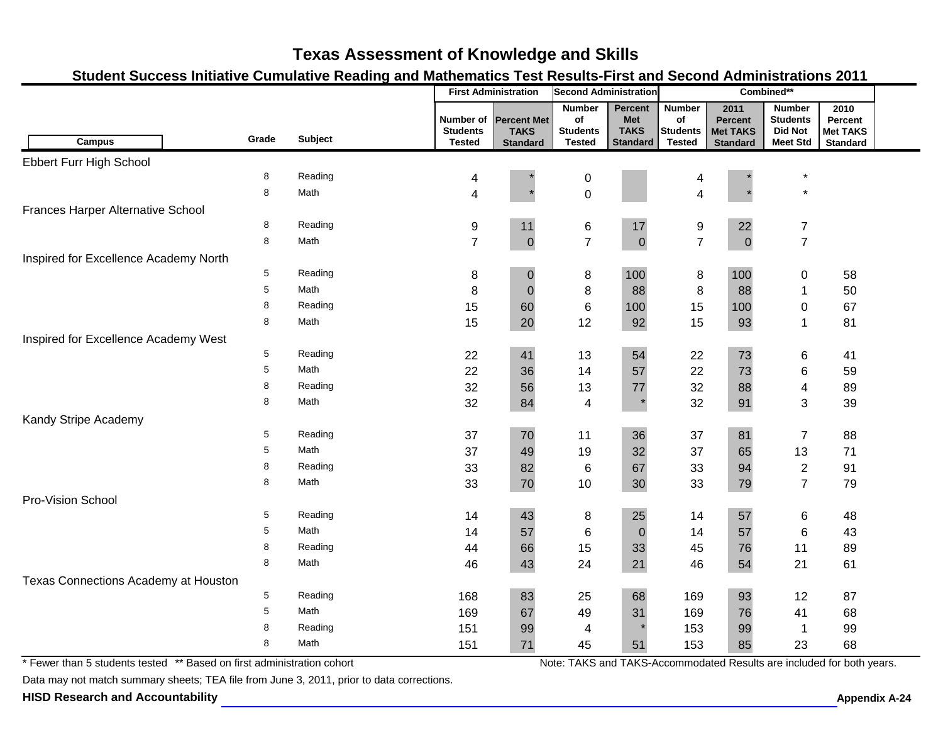### **Student Success Initiative Cumulative Reading and Mathematics Test Results-First and Second Administrations 2011**

|                                       |       |                |                                               | <b>First Administration</b>                          | <b>Second Administration</b>                            |                                                                | Combined**                                       |                                                       |                                                                       |                                                       |  |
|---------------------------------------|-------|----------------|-----------------------------------------------|------------------------------------------------------|---------------------------------------------------------|----------------------------------------------------------------|--------------------------------------------------|-------------------------------------------------------|-----------------------------------------------------------------------|-------------------------------------------------------|--|
| <b>Campus</b>                         | Grade | <b>Subject</b> | Number of<br><b>Students</b><br><b>Tested</b> | <b>Percent Met</b><br><b>TAKS</b><br><b>Standard</b> | <b>Number</b><br>of<br><b>Students</b><br><b>Tested</b> | <b>Percent</b><br><b>Met</b><br><b>TAKS</b><br><b>Standard</b> | <b>Number</b><br>of<br>Students<br><b>Tested</b> | 2011<br>Percent<br><b>Met TAKS</b><br><b>Standard</b> | <b>Number</b><br><b>Students</b><br><b>Did Not</b><br><b>Meet Std</b> | 2010<br>Percent<br><b>Met TAKS</b><br><b>Standard</b> |  |
| Ebbert Furr High School               |       |                |                                               |                                                      |                                                         |                                                                |                                                  |                                                       |                                                                       |                                                       |  |
|                                       | 8     | Reading        | 4                                             |                                                      | $\mathbf 0$                                             |                                                                | 4                                                |                                                       |                                                                       |                                                       |  |
|                                       | 8     | Math           | 4                                             |                                                      | $\overline{0}$                                          |                                                                | 4                                                |                                                       | $\star$                                                               |                                                       |  |
| Frances Harper Alternative School     |       |                |                                               |                                                      |                                                         |                                                                |                                                  |                                                       |                                                                       |                                                       |  |
|                                       | 8     | Reading        | 9                                             | 11                                                   | 6                                                       | 17                                                             | 9                                                | 22                                                    | $\overline{7}$                                                        |                                                       |  |
|                                       | 8     | Math           | $\overline{7}$                                | $\pmb{0}$                                            | $\overline{7}$                                          | $\mathbf 0$                                                    | $\overline{7}$                                   | $\mathbf 0$                                           | $\overline{7}$                                                        |                                                       |  |
| Inspired for Excellence Academy North |       |                |                                               |                                                      |                                                         |                                                                |                                                  |                                                       |                                                                       |                                                       |  |
|                                       | 5     | Reading        | 8                                             | $\pmb{0}$                                            | 8                                                       | 100                                                            | $\,8\,$                                          | 100                                                   | $\pmb{0}$                                                             | 58                                                    |  |
|                                       | 5     | Math           | 8                                             | $\pmb{0}$                                            | 8                                                       | 88                                                             | $\bf 8$                                          | 88                                                    | 1                                                                     | 50                                                    |  |
|                                       | 8     | Reading        | 15                                            | 60                                                   | $\,6$                                                   | 100                                                            | 15                                               | 100                                                   | 0                                                                     | 67                                                    |  |
|                                       | 8     | Math           | 15                                            | 20                                                   | 12                                                      | 92                                                             | 15                                               | 93                                                    | 1                                                                     | 81                                                    |  |
| Inspired for Excellence Academy West  |       |                |                                               |                                                      |                                                         |                                                                |                                                  |                                                       |                                                                       |                                                       |  |
|                                       | 5     | Reading        | 22                                            | 41                                                   | 13                                                      | 54                                                             | 22                                               | 73                                                    | 6                                                                     | 41                                                    |  |
|                                       | 5     | Math           | 22                                            | 36                                                   | 14                                                      | 57                                                             | 22                                               | 73                                                    | 6                                                                     | 59                                                    |  |
|                                       | 8     | Reading        | 32                                            | 56                                                   | 13                                                      | 77                                                             | 32                                               | 88                                                    | 4                                                                     | 89                                                    |  |
|                                       | 8     | Math           | 32                                            | 84                                                   | $\overline{4}$                                          |                                                                | 32                                               | 91                                                    | 3                                                                     | 39                                                    |  |
| Kandy Stripe Academy                  |       |                |                                               |                                                      |                                                         |                                                                |                                                  |                                                       |                                                                       |                                                       |  |
|                                       | 5     | Reading        | 37                                            | $70\,$                                               | 11                                                      | 36                                                             | 37                                               | 81                                                    | $\overline{7}$                                                        | 88                                                    |  |
|                                       | 5     | Math           | 37                                            | 49                                                   | 19                                                      | 32                                                             | 37                                               | 65                                                    | 13                                                                    | 71                                                    |  |
|                                       | 8     | Reading        | 33                                            | 82                                                   | $\,6$                                                   | 67                                                             | 33                                               | 94                                                    | $\overline{2}$                                                        | 91                                                    |  |
|                                       | 8     | Math           | 33                                            | 70                                                   | 10                                                      | 30                                                             | 33                                               | 79                                                    | $\overline{7}$                                                        | 79                                                    |  |
| Pro-Vision School                     |       |                |                                               |                                                      |                                                         |                                                                |                                                  |                                                       |                                                                       |                                                       |  |
|                                       | 5     | Reading        | 14                                            | 43                                                   | 8                                                       | 25                                                             | 14                                               | 57                                                    | 6                                                                     | 48                                                    |  |
|                                       | 5     | Math           | 14                                            | 57                                                   | 6                                                       | $\mathbf 0$                                                    | 14                                               | 57                                                    | $\,6$                                                                 | 43                                                    |  |
|                                       | 8     | Reading        | 44                                            | 66                                                   | 15                                                      | 33                                                             | 45                                               | 76                                                    | 11                                                                    | 89                                                    |  |
|                                       | 8     | Math           | 46                                            | 43                                                   | 24                                                      | 21                                                             | 46                                               | 54                                                    | 21                                                                    | 61                                                    |  |
| Texas Connections Academy at Houston  |       |                |                                               |                                                      |                                                         |                                                                |                                                  |                                                       |                                                                       |                                                       |  |
|                                       | 5     | Reading        | 168                                           | 83                                                   | 25                                                      | 68                                                             | 169                                              | 93                                                    | 12                                                                    | 87                                                    |  |
|                                       | 5     | Math           | 169                                           | 67                                                   | 49                                                      | 31                                                             | 169                                              | 76                                                    | 41                                                                    | 68                                                    |  |
|                                       | 8     | Reading        | 151                                           | 99                                                   | 4                                                       |                                                                | 153                                              | 99                                                    | $\mathbf 1$                                                           | 99                                                    |  |
|                                       | 8     | Math           | 151                                           | 71                                                   | 45                                                      | 51                                                             | 153                                              | 85                                                    | 23                                                                    | 68                                                    |  |

\* Fewer than 5 students tested \*\* Based on first administration cohort

Data may not match summary sheets; TEA file from June 3, 2011, prior to data corrections.

**HISD Research and Accountability A-24 Appendix A-24 Appendix A-24 Appendix A-24**